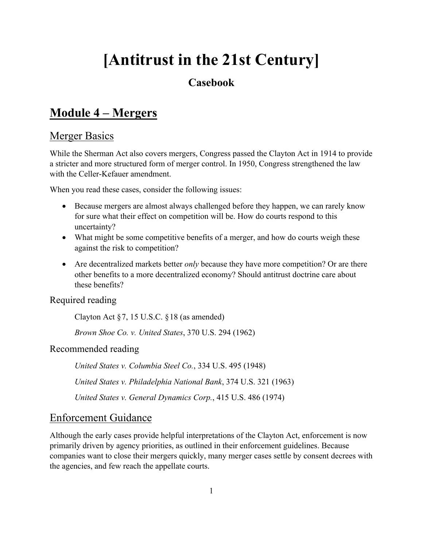# **[Antitrust in the 21st Century]**

# **Casebook**

# **Module 4 – Mergers**

# Merger Basics

While the Sherman Act also covers mergers, Congress passed the Clayton Act in 1914 to provide a stricter and more structured form of merger control. In 1950, Congress strengthened the law with the Celler-Kefauer amendment.

When you read these cases, consider the following issues:

- Because mergers are almost always challenged before they happen, we can rarely know for sure what their effect on competition will be. How do courts respond to this uncertainty?
- What might be some competitive benefits of a merger, and how do courts weigh these against the risk to competition?
- Are decentralized markets better *only* because they have more competition? Or are there other benefits to a more decentralized economy? Should antitrust doctrine care about these benefits?

Required reading

Clayton Act §7, 15 U.S.C. §18 (as amended)

*Brown Shoe Co. v. United States*, 370 U.S. 294 (1962)

## Recommended reading

*United States v. Columbia Steel Co.*, 334 U.S. 495 (1948)

*United States v. Philadelphia National Bank*, 374 U.S. 321 (1963)

*United States v. General Dynamics Corp.*, 415 U.S. 486 (1974)

# Enforcement Guidance

Although the early cases provide helpful interpretations of the Clayton Act, enforcement is now primarily driven by agency priorities, as outlined in their enforcement guidelines. Because companies want to close their mergers quickly, many merger cases settle by consent decrees with the agencies, and few reach the appellate courts.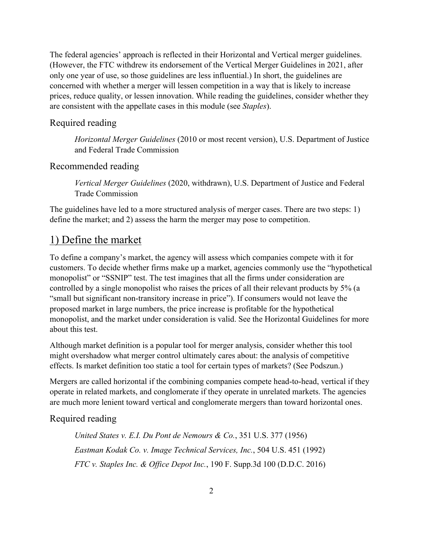The federal agencies' approach is reflected in their Horizontal and Vertical merger guidelines. (However, the FTC withdrew its endorsement of the Vertical Merger Guidelines in 2021, after only one year of use, so those guidelines are less influential.) In short, the guidelines are concerned with whether a merger will lessen competition in a way that is likely to increase prices, reduce quality, or lessen innovation. While reading the guidelines, consider whether they are consistent with the appellate cases in this module (see *Staples*).

## Required reading

*Horizontal Merger Guidelines* (2010 or most recent version), U.S. Department of Justice and Federal Trade Commission

## Recommended reading

*Vertical Merger Guidelines* (2020, withdrawn), U.S. Department of Justice and Federal Trade Commission

The guidelines have led to a more structured analysis of merger cases. There are two steps: 1) define the market; and 2) assess the harm the merger may pose to competition.

# 1) Define the market

To define a company's market, the agency will assess which companies compete with it for customers. To decide whether firms make up a market, agencies commonly use the "hypothetical monopolist" or "SSNIP" test. The test imagines that all the firms under consideration are controlled by a single monopolist who raises the prices of all their relevant products by 5% (a "small but significant non-transitory increase in price"). If consumers would not leave the proposed market in large numbers, the price increase is profitable for the hypothetical monopolist, and the market under consideration is valid. See the Horizontal Guidelines for more about this test.

Although market definition is a popular tool for merger analysis, consider whether this tool might overshadow what merger control ultimately cares about: the analysis of competitive effects. Is market definition too static a tool for certain types of markets? (See Podszun.)

Mergers are called horizontal if the combining companies compete head-to-head, vertical if they operate in related markets, and conglomerate if they operate in unrelated markets. The agencies are much more lenient toward vertical and conglomerate mergers than toward horizontal ones.

### Required reading

*United States v. E.I. Du Pont de Nemours & Co.*, 351 U.S. 377 (1956) *Eastman Kodak Co. v. Image Technical Services, Inc.*, 504 U.S. 451 (1992) *FTC v. Staples Inc. & Office Depot Inc.*, 190 F. Supp.3d 100 (D.D.C. 2016)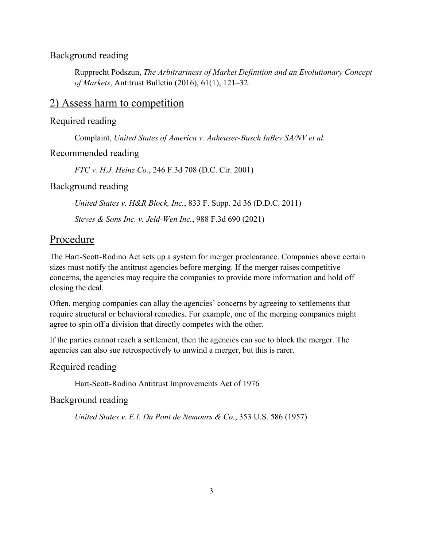## Background reading

Rupprecht Podszun, *The Arbitrariness of Market Definition and an Evolutionary Concept of Markets*, Antitrust Bulletin (2016), 61(1), 121–32.

## 2) Assess harm to competition

## Required reading

Complaint, *United States of America v. Anheuser-Busch InBev SA/NV et al.*

## Recommended reading

*FTC v. H.J. Heinz Co.*, 246 F.3d 708 (D.C. Cir. 2001)

## Background reading

*United States v. H&R Block, Inc.*, 833 F. Supp. 2d 36 (D.D.C. 2011)

*Steves & Sons Inc. v. Jeld-Wen Inc.*, 988 F.3d 690 (2021)

## Procedure

The Hart-Scott-Rodino Act sets up a system for merger preclearance. Companies above certain sizes must notify the antitrust agencies before merging. If the merger raises competitive concerns, the agencies may require the companies to provide more information and hold off closing the deal.

Often, merging companies can allay the agencies' concerns by agreeing to settlements that require structural or behavioral remedies. For example, one of the merging companies might agree to spin off a division that directly competes with the other.

If the parties cannot reach a settlement, then the agencies can sue to block the merger. The agencies can also sue retrospectively to unwind a merger, but this is rarer.

Required reading

Hart-Scott-Rodino Antitrust Improvements Act of 1976

Background reading

*United States v. E.I. Du Pont de Nemours & Co.*, 353 U.S. 586 (1957)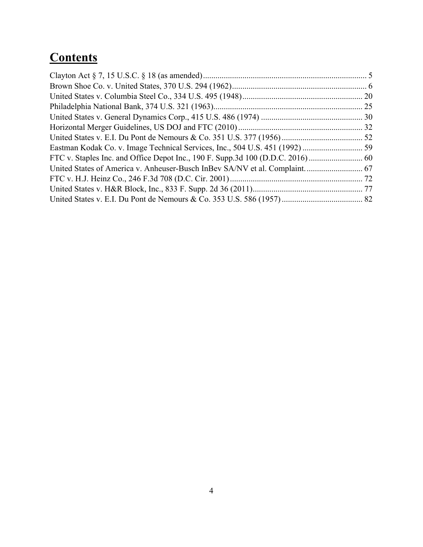# **Contents**

| United States of America v. Anheuser-Busch InBev SA/NV et al. Complaint 67 |  |
|----------------------------------------------------------------------------|--|
|                                                                            |  |
|                                                                            |  |
|                                                                            |  |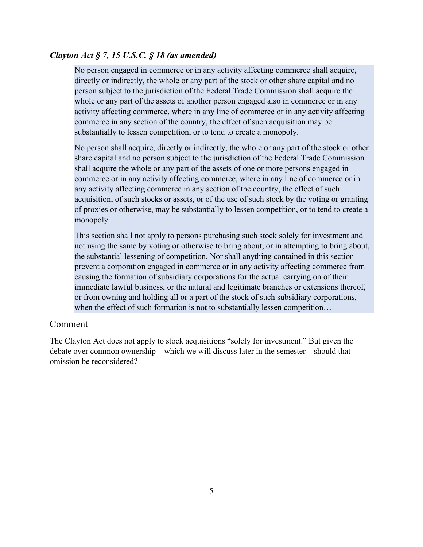## *Clayton Act § 7, 15 U.S.C. § 18 (as amended)*

No person engaged in commerce or in any activity affecting commerce shall acquire, directly or indirectly, the whole or any part of the stock or other share capital and no person subject to the jurisdiction of the Federal Trade Commission shall acquire the whole or any part of the assets of another person engaged also in commerce or in any activity affecting commerce, where in any line of commerce or in any activity affecting commerce in any section of the country, the effect of such acquisition may be substantially to lessen competition, or to tend to create a monopoly.

No person shall acquire, directly or indirectly, the whole or any part of the stock or other share capital and no person subject to the jurisdiction of the Federal Trade Commission shall acquire the whole or any part of the assets of one or more persons engaged in commerce or in any activity affecting commerce, where in any line of commerce or in any activity affecting commerce in any section of the country, the effect of such acquisition, of such stocks or assets, or of the use of such stock by the voting or granting of proxies or otherwise, may be substantially to lessen competition, or to tend to create a monopoly.

This section shall not apply to persons purchasing such stock solely for investment and not using the same by voting or otherwise to bring about, or in attempting to bring about, the substantial lessening of competition. Nor shall anything contained in this section prevent a corporation engaged in commerce or in any activity affecting commerce from causing the formation of subsidiary corporations for the actual carrying on of their immediate lawful business, or the natural and legitimate branches or extensions thereof, or from owning and holding all or a part of the stock of such subsidiary corporations, when the effect of such formation is not to substantially lessen competition...

## Comment

The Clayton Act does not apply to stock acquisitions "solely for investment." But given the debate over common ownership—which we will discuss later in the semester—should that omission be reconsidered?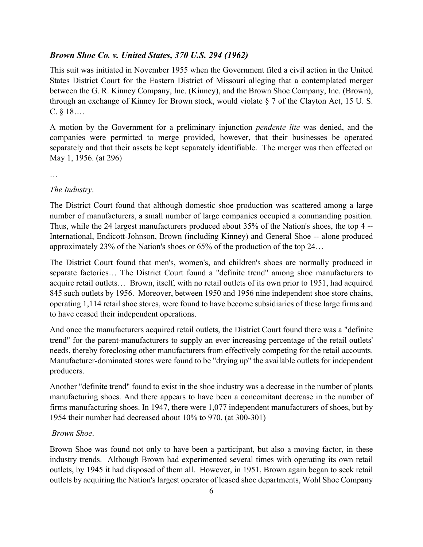#### *Brown Shoe Co. v. United States, 370 U.S. 294 (1962)*

This suit was initiated in November 1955 when the Government filed a civil action in the United States District Court for the Eastern District of Missouri alleging that a contemplated merger between the G. R. Kinney Company, Inc. (Kinney), and the Brown Shoe Company, Inc. (Brown), through an exchange of Kinney for Brown stock, would violate § 7 of the Clayton Act, 15 U. S. C. § 18….

A motion by the Government for a preliminary injunction *pendente lite* was denied, and the companies were permitted to merge provided, however, that their businesses be operated separately and that their assets be kept separately identifiable. The merger was then effected on May 1, 1956. (at 296)

…

#### *The Industry*.

The District Court found that although domestic shoe production was scattered among a large number of manufacturers, a small number of large companies occupied a commanding position. Thus, while the 24 largest manufacturers produced about 35% of the Nation's shoes, the top 4 -- International, Endicott-Johnson, Brown (including Kinney) and General Shoe -- alone produced approximately 23% of the Nation's shoes or 65% of the production of the top 24…

The District Court found that men's, women's, and children's shoes are normally produced in separate factories… The District Court found a "definite trend" among shoe manufacturers to acquire retail outlets… Brown, itself, with no retail outlets of its own prior to 1951, had acquired 845 such outlets by 1956. Moreover, between 1950 and 1956 nine independent shoe store chains, operating 1,114 retail shoe stores, were found to have become subsidiaries of these large firms and to have ceased their independent operations.

And once the manufacturers acquired retail outlets, the District Court found there was a "definite trend" for the parent-manufacturers to supply an ever increasing percentage of the retail outlets' needs, thereby foreclosing other manufacturers from effectively competing for the retail accounts. Manufacturer-dominated stores were found to be "drying up" the available outlets for independent producers.

Another "definite trend" found to exist in the shoe industry was a decrease in the number of plants manufacturing shoes. And there appears to have been a concomitant decrease in the number of firms manufacturing shoes. In 1947, there were 1,077 independent manufacturers of shoes, but by 1954 their number had decreased about 10% to 970. (at 300-301)

#### *Brown Shoe*.

Brown Shoe was found not only to have been a participant, but also a moving factor, in these industry trends. Although Brown had experimented several times with operating its own retail outlets, by 1945 it had disposed of them all. However, in 1951, Brown again began to seek retail outlets by acquiring the Nation's largest operator of leased shoe departments, Wohl Shoe Company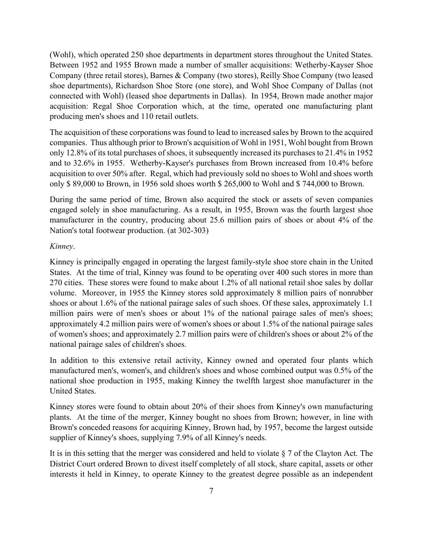(Wohl), which operated 250 shoe departments in department stores throughout the United States. Between 1952 and 1955 Brown made a number of smaller acquisitions: Wetherby-Kayser Shoe Company (three retail stores), Barnes & Company (two stores), Reilly Shoe Company (two leased shoe departments), Richardson Shoe Store (one store), and Wohl Shoe Company of Dallas (not connected with Wohl) (leased shoe departments in Dallas). In 1954, Brown made another major acquisition: Regal Shoe Corporation which, at the time, operated one manufacturing plant producing men's shoes and 110 retail outlets.

The acquisition of these corporations was found to lead to increased sales by Brown to the acquired companies. Thus although prior to Brown's acquisition of Wohl in 1951, Wohl bought from Brown only 12.8% of its total purchases of shoes, it subsequently increased its purchases to 21.4% in 1952 and to 32.6% in 1955. Wetherby-Kayser's purchases from Brown increased from 10.4% before acquisition to over 50% after. Regal, which had previously sold no shoes to Wohl and shoes worth only \$ 89,000 to Brown, in 1956 sold shoes worth \$ 265,000 to Wohl and \$ 744,000 to Brown.

During the same period of time, Brown also acquired the stock or assets of seven companies engaged solely in shoe manufacturing. As a result, in 1955, Brown was the fourth largest shoe manufacturer in the country, producing about 25.6 million pairs of shoes or about 4% of the Nation's total footwear production. (at 302-303)

#### *Kinney*.

Kinney is principally engaged in operating the largest family-style shoe store chain in the United States. At the time of trial, Kinney was found to be operating over 400 such stores in more than 270 cities. These stores were found to make about 1.2% of all national retail shoe sales by dollar volume. Moreover, in 1955 the Kinney stores sold approximately 8 million pairs of nonrubber shoes or about 1.6% of the national pairage sales of such shoes. Of these sales, approximately 1.1 million pairs were of men's shoes or about 1% of the national pairage sales of men's shoes; approximately 4.2 million pairs were of women's shoes or about 1.5% of the national pairage sales of women's shoes; and approximately 2.7 million pairs were of children's shoes or about 2% of the national pairage sales of children's shoes.

In addition to this extensive retail activity, Kinney owned and operated four plants which manufactured men's, women's, and children's shoes and whose combined output was 0.5% of the national shoe production in 1955, making Kinney the twelfth largest shoe manufacturer in the United States.

Kinney stores were found to obtain about 20% of their shoes from Kinney's own manufacturing plants. At the time of the merger, Kinney bought no shoes from Brown; however, in line with Brown's conceded reasons for acquiring Kinney, Brown had, by 1957, become the largest outside supplier of Kinney's shoes, supplying 7.9% of all Kinney's needs.

It is in this setting that the merger was considered and held to violate § 7 of the Clayton Act. The District Court ordered Brown to divest itself completely of all stock, share capital, assets or other interests it held in Kinney, to operate Kinney to the greatest degree possible as an independent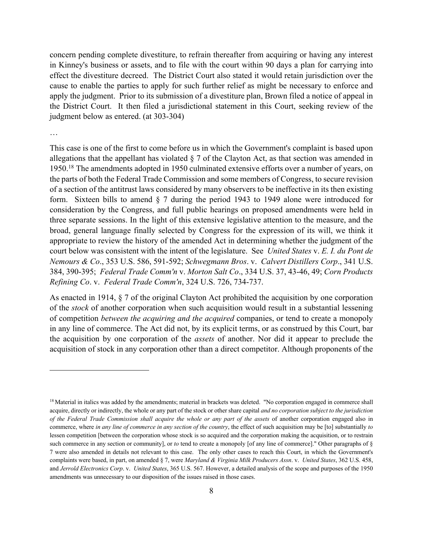concern pending complete divestiture, to refrain thereafter from acquiring or having any interest in Kinney's business or assets, and to file with the court within 90 days a plan for carrying into effect the divestiture decreed. The District Court also stated it would retain jurisdiction over the cause to enable the parties to apply for such further relief as might be necessary to enforce and apply the judgment. Prior to its submission of a divestiture plan, Brown filed a notice of appeal in the District Court. It then filed a jurisdictional statement in this Court, seeking review of the judgment below as entered. (at 303-304)

#### …

This case is one of the first to come before us in which the Government's complaint is based upon allegations that the appellant has violated § 7 of the Clayton Act, as that section was amended in 1950.18 The amendments adopted in 1950 culminated extensive efforts over a number of years, on the parts of both the Federal Trade Commission and some members of Congress, to secure revision of a section of the antitrust laws considered by many observers to be ineffective in its then existing form. Sixteen bills to amend § 7 during the period 1943 to 1949 alone were introduced for consideration by the Congress, and full public hearings on proposed amendments were held in three separate sessions. In the light of this extensive legislative attention to the measure, and the broad, general language finally selected by Congress for the expression of its will, we think it appropriate to review the history of the amended Act in determining whether the judgment of the court below was consistent with the intent of the legislature. See *United States* v. *E. I. du Pont de Nemours & Co*., 353 U.S. 586, 591-592; *Schwegmann Bros*. v. *Calvert Distillers Corp*., 341 U.S. 384, 390-395; *Federal Trade Comm'n* v. *Morton Salt Co*., 334 U.S. 37, 43-46, 49; *Corn Products Refining Co*. v. *Federal Trade Comm'n*, 324 U.S. 726, 734-737.

As enacted in 1914, § 7 of the original Clayton Act prohibited the acquisition by one corporation of the *stock* of another corporation when such acquisition would result in a substantial lessening of competition *between the acquiring and the acquired* companies, or tend to create a monopoly in any line of commerce. The Act did not, by its explicit terms, or as construed by this Court, bar the acquisition by one corporation of the *assets* of another. Nor did it appear to preclude the acquisition of stock in any corporation other than a direct competitor. Although proponents of the

<sup>&</sup>lt;sup>18</sup> Material in italics was added by the amendments; material in brackets was deleted. "No corporation engaged in commerce shall acquire, directly or indirectly, the whole or any part of the stock or other share capital *and no corporation subject to the jurisdiction of the Federal Trade Commission shall acquire the whole or any part of the assets* of another corporation engaged also in commerce, where *in any line of commerce in any section of the country*, the effect of such acquisition may be [to] substantially *to* lessen competition [between the corporation whose stock is so acquired and the corporation making the acquisition, or to restrain such commerce in any section or community], or *to* tend to create a monopoly [of any line of commerce]." Other paragraphs of § 7 were also amended in details not relevant to this case. The only other cases to reach this Court, in which the Government's complaints were based, in part, on amended § 7, were *Maryland & Virginia Milk Producers Assn*. v. *United States*, 362 U.S. 458, and *Jerrold Electronics Corp*. v. *United States*, 365 U.S. 567. However, a detailed analysis of the scope and purposes of the 1950 amendments was unnecessary to our disposition of the issues raised in those cases.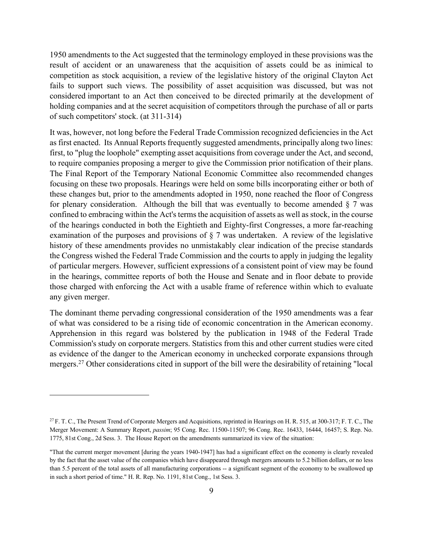1950 amendments to the Act suggested that the terminology employed in these provisions was the result of accident or an unawareness that the acquisition of assets could be as inimical to competition as stock acquisition, a review of the legislative history of the original Clayton Act fails to support such views. The possibility of asset acquisition was discussed, but was not considered important to an Act then conceived to be directed primarily at the development of holding companies and at the secret acquisition of competitors through the purchase of all or parts of such competitors' stock. (at 311-314)

It was, however, not long before the Federal Trade Commission recognized deficiencies in the Act as first enacted. Its Annual Reports frequently suggested amendments, principally along two lines: first, to "plug the loophole" exempting asset acquisitions from coverage under the Act, and second, to require companies proposing a merger to give the Commission prior notification of their plans. The Final Report of the Temporary National Economic Committee also recommended changes focusing on these two proposals. Hearings were held on some bills incorporating either or both of these changes but, prior to the amendments adopted in 1950, none reached the floor of Congress for plenary consideration. Although the bill that was eventually to become amended  $\S$  7 was confined to embracing within the Act's terms the acquisition of assets as well as stock, in the course of the hearings conducted in both the Eightieth and Eighty-first Congresses, a more far-reaching examination of the purposes and provisions of § 7 was undertaken. A review of the legislative history of these amendments provides no unmistakably clear indication of the precise standards the Congress wished the Federal Trade Commission and the courts to apply in judging the legality of particular mergers. However, sufficient expressions of a consistent point of view may be found in the hearings, committee reports of both the House and Senate and in floor debate to provide those charged with enforcing the Act with a usable frame of reference within which to evaluate any given merger.

The dominant theme pervading congressional consideration of the 1950 amendments was a fear of what was considered to be a rising tide of economic concentration in the American economy. Apprehension in this regard was bolstered by the publication in 1948 of the Federal Trade Commission's study on corporate mergers. Statistics from this and other current studies were cited as evidence of the danger to the American economy in unchecked corporate expansions through mergers.27 Other considerations cited in support of the bill were the desirability of retaining "local

<sup>&</sup>lt;sup>27</sup> F. T. C., The Present Trend of Corporate Mergers and Acquisitions, reprinted in Hearings on H. R. 515, at 300-317; F. T. C., The Merger Movement: A Summary Report, *passim*; 95 Cong. Rec. 11500-11507; 96 Cong. Rec. 16433, 16444, 16457; S. Rep. No. 1775, 81st Cong., 2d Sess. 3. The House Report on the amendments summarized its view of the situation:

<sup>&</sup>quot;That the current merger movement [during the years 1940-1947] has had a significant effect on the economy is clearly revealed by the fact that the asset value of the companies which have disappeared through mergers amounts to 5.2 billion dollars, or no less than 5.5 percent of the total assets of all manufacturing corporations -- a significant segment of the economy to be swallowed up in such a short period of time." H. R. Rep. No. 1191, 81st Cong., 1st Sess. 3.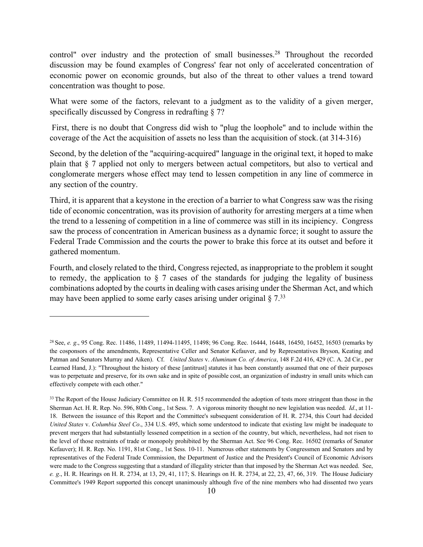control" over industry and the protection of small businesses.<sup>28</sup> Throughout the recorded discussion may be found examples of Congress' fear not only of accelerated concentration of economic power on economic grounds, but also of the threat to other values a trend toward concentration was thought to pose.

What were some of the factors, relevant to a judgment as to the validity of a given merger, specifically discussed by Congress in redrafting § 7?

First, there is no doubt that Congress did wish to "plug the loophole" and to include within the coverage of the Act the acquisition of assets no less than the acquisition of stock. (at 314-316)

Second, by the deletion of the "acquiring-acquired" language in the original text, it hoped to make plain that § 7 applied not only to mergers between actual competitors, but also to vertical and conglomerate mergers whose effect may tend to lessen competition in any line of commerce in any section of the country.

Third, it is apparent that a keystone in the erection of a barrier to what Congress saw was the rising tide of economic concentration, was its provision of authority for arresting mergers at a time when the trend to a lessening of competition in a line of commerce was still in its incipiency. Congress saw the process of concentration in American business as a dynamic force; it sought to assure the Federal Trade Commission and the courts the power to brake this force at its outset and before it gathered momentum.

Fourth, and closely related to the third, Congress rejected, as inappropriate to the problem it sought to remedy, the application to  $\S$  7 cases of the standards for judging the legality of business combinations adopted by the courts in dealing with cases arising under the Sherman Act, and which may have been applied to some early cases arising under original  $\S 7<sup>33</sup>$ 

<sup>28</sup> See, *e. g*., 95 Cong. Rec. 11486, 11489, 11494-11495, 11498; 96 Cong. Rec. 16444, 16448, 16450, 16452, 16503 (remarks by the cosponsors of the amendments, Representative Celler and Senator Kefauver, and by Representatives Bryson, Keating and Patman and Senators Murray and Aiken). Cf. *United States* v. *Aluminum Co. of America*, 148 F.2d 416, 429 (C. A. 2d Cir., per Learned Hand, J.): "Throughout the history of these [antitrust] statutes it has been constantly assumed that one of their purposes was to perpetuate and preserve, for its own sake and in spite of possible cost, an organization of industry in small units which can effectively compete with each other."

<sup>&</sup>lt;sup>33</sup> The Report of the House Judiciary Committee on H. R. 515 recommended the adoption of tests more stringent than those in the Sherman Act. H. R. Rep. No. 596, 80th Cong., 1st Sess. 7. A vigorous minority thought no new legislation was needed. *Id*., at 11- 18. Between the issuance of this Report and the Committee's subsequent consideration of H. R. 2734, this Court had decided *United States* v. *Columbia Steel Co*., 334 U.S. 495, which some understood to indicate that existing law might be inadequate to prevent mergers that had substantially lessened competition in a section of the country, but which, nevertheless, had not risen to the level of those restraints of trade or monopoly prohibited by the Sherman Act. See 96 Cong. Rec. 16502 (remarks of Senator Kefauver); H. R. Rep. No. 1191, 81st Cong., 1st Sess. 10-11. Numerous other statements by Congressmen and Senators and by representatives of the Federal Trade Commission, the Department of Justice and the President's Council of Economic Advisors were made to the Congress suggesting that a standard of illegality stricter than that imposed by the Sherman Act was needed. See, *e. g*., H. R. Hearings on H. R. 2734, at 13, 29, 41, 117; S. Hearings on H. R. 2734, at 22, 23, 47, 66, 319. The House Judiciary Committee's 1949 Report supported this concept unanimously although five of the nine members who had dissented two years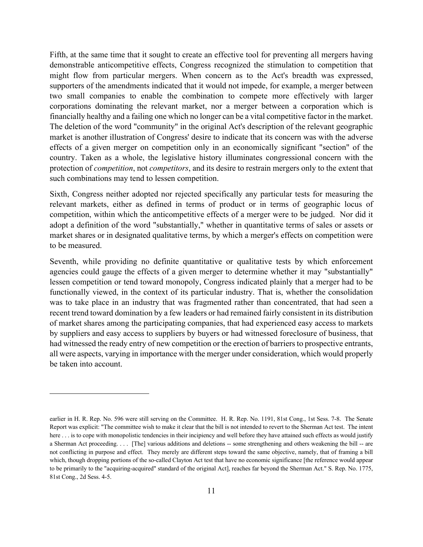Fifth, at the same time that it sought to create an effective tool for preventing all mergers having demonstrable anticompetitive effects, Congress recognized the stimulation to competition that might flow from particular mergers. When concern as to the Act's breadth was expressed, supporters of the amendments indicated that it would not impede, for example, a merger between two small companies to enable the combination to compete more effectively with larger corporations dominating the relevant market, nor a merger between a corporation which is financially healthy and a failing one which no longer can be a vital competitive factor in the market. The deletion of the word "community" in the original Act's description of the relevant geographic market is another illustration of Congress' desire to indicate that its concern was with the adverse effects of a given merger on competition only in an economically significant "section" of the country. Taken as a whole, the legislative history illuminates congressional concern with the protection of *competition*, not *competitors*, and its desire to restrain mergers only to the extent that such combinations may tend to lessen competition.

Sixth, Congress neither adopted nor rejected specifically any particular tests for measuring the relevant markets, either as defined in terms of product or in terms of geographic locus of competition, within which the anticompetitive effects of a merger were to be judged. Nor did it adopt a definition of the word "substantially," whether in quantitative terms of sales or assets or market shares or in designated qualitative terms, by which a merger's effects on competition were to be measured.

Seventh, while providing no definite quantitative or qualitative tests by which enforcement agencies could gauge the effects of a given merger to determine whether it may "substantially" lessen competition or tend toward monopoly, Congress indicated plainly that a merger had to be functionally viewed, in the context of its particular industry. That is, whether the consolidation was to take place in an industry that was fragmented rather than concentrated, that had seen a recent trend toward domination by a few leaders or had remained fairly consistent in its distribution of market shares among the participating companies, that had experienced easy access to markets by suppliers and easy access to suppliers by buyers or had witnessed foreclosure of business, that had witnessed the ready entry of new competition or the erection of barriers to prospective entrants, all were aspects, varying in importance with the merger under consideration, which would properly be taken into account.

earlier in H. R. Rep. No. 596 were still serving on the Committee. H. R. Rep. No. 1191, 81st Cong., 1st Sess. 7-8. The Senate Report was explicit: "The committee wish to make it clear that the bill is not intended to revert to the Sherman Act test. The intent here ... is to cope with monopolistic tendencies in their incipiency and well before they have attained such effects as would justify a Sherman Act proceeding. . . . [The] various additions and deletions -- some strengthening and others weakening the bill -- are not conflicting in purpose and effect. They merely are different steps toward the same objective, namely, that of framing a bill which, though dropping portions of the so-called Clayton Act test that have no economic significance [the reference would appear to be primarily to the "acquiring-acquired" standard of the original Act], reaches far beyond the Sherman Act." S. Rep. No. 1775, 81st Cong., 2d Sess. 4-5.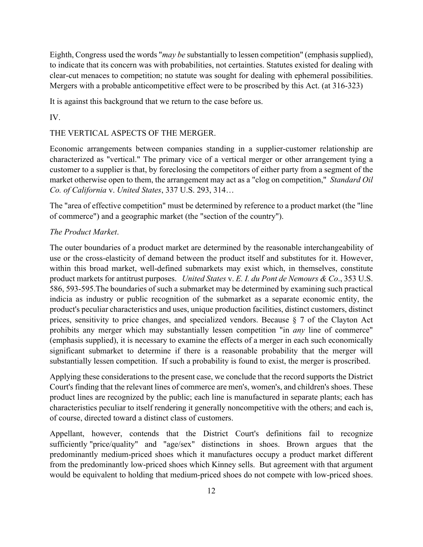Eighth, Congress used the words "*may be* substantially to lessen competition" (emphasis supplied), to indicate that its concern was with probabilities, not certainties. Statutes existed for dealing with clear-cut menaces to competition; no statute was sought for dealing with ephemeral possibilities. Mergers with a probable anticompetitive effect were to be proscribed by this Act. (at 316-323)

It is against this background that we return to the case before us.

#### IV.

#### THE VERTICAL ASPECTS OF THE MERGER.

Economic arrangements between companies standing in a supplier-customer relationship are characterized as "vertical." The primary vice of a vertical merger or other arrangement tying a customer to a supplier is that, by foreclosing the competitors of either party from a segment of the market otherwise open to them, the arrangement may act as a "clog on competition," *Standard Oil Co. of California* v. *United States*, 337 U.S. 293, 314…

The "area of effective competition" must be determined by reference to a product market (the "line of commerce") and a geographic market (the "section of the country").

#### *The Product Market*.

The outer boundaries of a product market are determined by the reasonable interchangeability of use or the cross-elasticity of demand between the product itself and substitutes for it. However, within this broad market, well-defined submarkets may exist which, in themselves, constitute product markets for antitrust purposes. *United States* v. *E. I. du Pont de Nemours & Co*., 353 U.S. 586, 593-595.The boundaries of such a submarket may be determined by examining such practical indicia as industry or public recognition of the submarket as a separate economic entity, the product's peculiar characteristics and uses, unique production facilities, distinct customers, distinct prices, sensitivity to price changes, and specialized vendors. Because § 7 of the Clayton Act prohibits any merger which may substantially lessen competition "in *any* line of commerce" (emphasis supplied), it is necessary to examine the effects of a merger in each such economically significant submarket to determine if there is a reasonable probability that the merger will substantially lessen competition. If such a probability is found to exist, the merger is proscribed.

Applying these considerations to the present case, we conclude that the record supports the District Court's finding that the relevant lines of commerce are men's, women's, and children's shoes. These product lines are recognized by the public; each line is manufactured in separate plants; each has characteristics peculiar to itself rendering it generally noncompetitive with the others; and each is, of course, directed toward a distinct class of customers.

Appellant, however, contends that the District Court's definitions fail to recognize sufficiently "price/quality" and "age/sex" distinctions in shoes. Brown argues that the predominantly medium-priced shoes which it manufactures occupy a product market different from the predominantly low-priced shoes which Kinney sells. But agreement with that argument would be equivalent to holding that medium-priced shoes do not compete with low-priced shoes.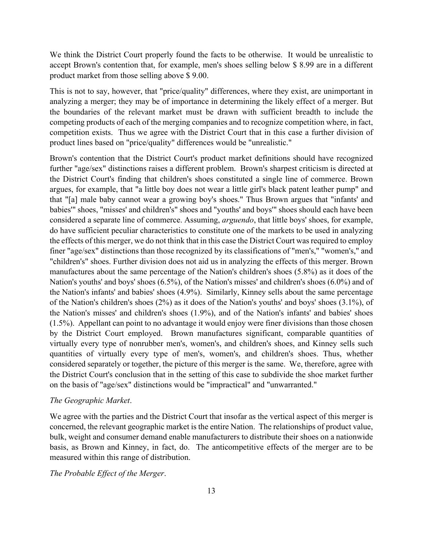We think the District Court properly found the facts to be otherwise. It would be unrealistic to accept Brown's contention that, for example, men's shoes selling below \$ 8.99 are in a different product market from those selling above \$ 9.00.

This is not to say, however, that "price/quality" differences, where they exist, are unimportant in analyzing a merger; they may be of importance in determining the likely effect of a merger. But the boundaries of the relevant market must be drawn with sufficient breadth to include the competing products of each of the merging companies and to recognize competition where, in fact, competition exists. Thus we agree with the District Court that in this case a further division of product lines based on "price/quality" differences would be "unrealistic."

Brown's contention that the District Court's product market definitions should have recognized further "age/sex" distinctions raises a different problem. Brown's sharpest criticism is directed at the District Court's finding that children's shoes constituted a single line of commerce. Brown argues, for example, that "a little boy does not wear a little girl's black patent leather pump" and that "[a] male baby cannot wear a growing boy's shoes." Thus Brown argues that "infants' and babies'" shoes, "misses' and children's" shoes and "youths' and boys'" shoes should each have been considered a separate line of commerce. Assuming, *arguendo*, that little boys' shoes, for example, do have sufficient peculiar characteristics to constitute one of the markets to be used in analyzing the effects of this merger, we do not think that in this case the District Court was required to employ finer "age/sex" distinctions than those recognized by its classifications of "men's," "women's," and "children's" shoes. Further division does not aid us in analyzing the effects of this merger. Brown manufactures about the same percentage of the Nation's children's shoes (5.8%) as it does of the Nation's youths' and boys' shoes (6.5%), of the Nation's misses' and children's shoes (6.0%) and of the Nation's infants' and babies' shoes (4.9%). Similarly, Kinney sells about the same percentage of the Nation's children's shoes (2%) as it does of the Nation's youths' and boys' shoes (3.1%), of the Nation's misses' and children's shoes (1.9%), and of the Nation's infants' and babies' shoes (1.5%). Appellant can point to no advantage it would enjoy were finer divisions than those chosen by the District Court employed. Brown manufactures significant, comparable quantities of virtually every type of nonrubber men's, women's, and children's shoes, and Kinney sells such quantities of virtually every type of men's, women's, and children's shoes. Thus, whether considered separately or together, the picture of this merger is the same. We, therefore, agree with the District Court's conclusion that in the setting of this case to subdivide the shoe market further on the basis of "age/sex" distinctions would be "impractical" and "unwarranted."

#### *The Geographic Market*.

We agree with the parties and the District Court that insofar as the vertical aspect of this merger is concerned, the relevant geographic market is the entire Nation. The relationships of product value, bulk, weight and consumer demand enable manufacturers to distribute their shoes on a nationwide basis, as Brown and Kinney, in fact, do. The anticompetitive effects of the merger are to be measured within this range of distribution.

*The Probable Effect of the Merger*.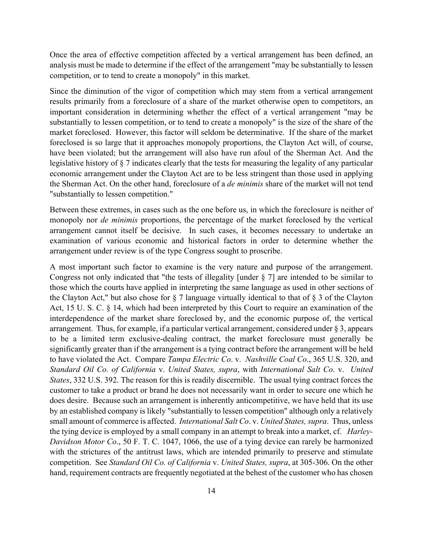Once the area of effective competition affected by a vertical arrangement has been defined, an analysis must be made to determine if the effect of the arrangement "may be substantially to lessen competition, or to tend to create a monopoly" in this market.

Since the diminution of the vigor of competition which may stem from a vertical arrangement results primarily from a foreclosure of a share of the market otherwise open to competitors, an important consideration in determining whether the effect of a vertical arrangement "may be substantially to lessen competition, or to tend to create a monopoly" is the size of the share of the market foreclosed. However, this factor will seldom be determinative. If the share of the market foreclosed is so large that it approaches monopoly proportions, the Clayton Act will, of course, have been violated; but the arrangement will also have run afoul of the Sherman Act. And the legislative history of § 7 indicates clearly that the tests for measuring the legality of any particular economic arrangement under the Clayton Act are to be less stringent than those used in applying the Sherman Act. On the other hand, foreclosure of a *de minimis* share of the market will not tend "substantially to lessen competition."

Between these extremes, in cases such as the one before us, in which the foreclosure is neither of monopoly nor *de minimis* proportions, the percentage of the market foreclosed by the vertical arrangement cannot itself be decisive. In such cases, it becomes necessary to undertake an examination of various economic and historical factors in order to determine whether the arrangement under review is of the type Congress sought to proscribe.

A most important such factor to examine is the very nature and purpose of the arrangement. Congress not only indicated that "the tests of illegality [under § 7] are intended to be similar to those which the courts have applied in interpreting the same language as used in other sections of the Clayton Act," but also chose for  $\S$  7 language virtually identical to that of  $\S$  3 of the Clayton Act, 15 U. S. C. § 14, which had been interpreted by this Court to require an examination of the interdependence of the market share foreclosed by, and the economic purpose of, the vertical arrangement. Thus, for example, if a particular vertical arrangement, considered under § 3, appears to be a limited term exclusive-dealing contract, the market foreclosure must generally be significantly greater than if the arrangement is a tying contract before the arrangement will be held to have violated the Act. Compare *Tampa Electric Co*. v. *Nashville Coal Co*., 365 U.S. 320, and *Standard Oil Co. of California* v. *United States, supra*, with *International Salt Co*. v. *United States*, 332 U.S. 392. The reason for this is readily discernible. The usual tying contract forces the customer to take a product or brand he does not necessarily want in order to secure one which he does desire. Because such an arrangement is inherently anticompetitive, we have held that its use by an established company is likely "substantially to lessen competition" although only a relatively small amount of commerce is affected. *International Salt Co*. v. *United States, supra*. Thus, unless the tying device is employed by a small company in an attempt to break into a market, cf. *Harley-Davidson Motor Co*., 50 F. T. C. 1047, 1066, the use of a tying device can rarely be harmonized with the strictures of the antitrust laws, which are intended primarily to preserve and stimulate competition. See *Standard Oil Co. of California* v. *United States, supra*, at 305-306. On the other hand, requirement contracts are frequently negotiated at the behest of the customer who has chosen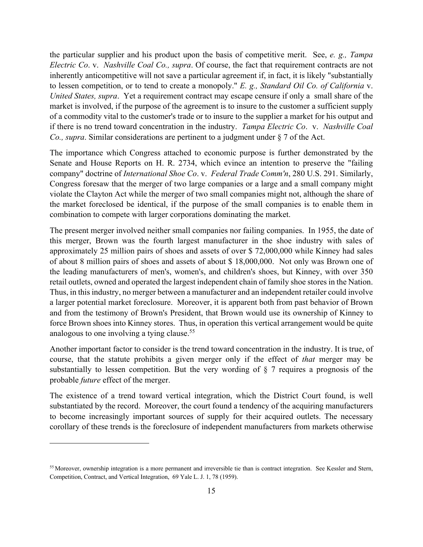the particular supplier and his product upon the basis of competitive merit. See, *e. g., Tampa Electric Co*. v. *Nashville Coal Co., supra*. Of course, the fact that requirement contracts are not inherently anticompetitive will not save a particular agreement if, in fact, it is likely "substantially to lessen competition, or to tend to create a monopoly." *E. g., Standard Oil Co. of California* v. *United States, supra*. Yet a requirement contract may escape censure if only a small share of the market is involved, if the purpose of the agreement is to insure to the customer a sufficient supply of a commodity vital to the customer's trade or to insure to the supplier a market for his output and if there is no trend toward concentration in the industry. *Tampa Electric Co*. v. *Nashville Coal Co., supra*. Similar considerations are pertinent to a judgment under § 7 of the Act.

The importance which Congress attached to economic purpose is further demonstrated by the Senate and House Reports on H. R. 2734, which evince an intention to preserve the "failing company" doctrine of *International Shoe Co*. v. *Federal Trade Comm'n*, 280 U.S. 291. Similarly, Congress foresaw that the merger of two large companies or a large and a small company might violate the Clayton Act while the merger of two small companies might not, although the share of the market foreclosed be identical, if the purpose of the small companies is to enable them in combination to compete with larger corporations dominating the market.

The present merger involved neither small companies nor failing companies. In 1955, the date of this merger, Brown was the fourth largest manufacturer in the shoe industry with sales of approximately 25 million pairs of shoes and assets of over \$ 72,000,000 while Kinney had sales of about 8 million pairs of shoes and assets of about \$ 18,000,000. Not only was Brown one of the leading manufacturers of men's, women's, and children's shoes, but Kinney, with over 350 retail outlets, owned and operated the largest independent chain of family shoe stores in the Nation. Thus, in this industry, no merger between a manufacturer and an independent retailer could involve a larger potential market foreclosure. Moreover, it is apparent both from past behavior of Brown and from the testimony of Brown's President, that Brown would use its ownership of Kinney to force Brown shoes into Kinney stores. Thus, in operation this vertical arrangement would be quite analogous to one involving a tying clause.55

Another important factor to consider is the trend toward concentration in the industry. It is true, of course, that the statute prohibits a given merger only if the effect of *that* merger may be substantially to lessen competition. But the very wording of § 7 requires a prognosis of the probable *future* effect of the merger.

The existence of a trend toward vertical integration, which the District Court found, is well substantiated by the record. Moreover, the court found a tendency of the acquiring manufacturers to become increasingly important sources of supply for their acquired outlets. The necessary corollary of these trends is the foreclosure of independent manufacturers from markets otherwise

<sup>55</sup> Moreover, ownership integration is a more permanent and irreversible tie than is contract integration. See Kessler and Stern, Competition, Contract, and Vertical Integration, 69 Yale L. J. 1, 78 (1959).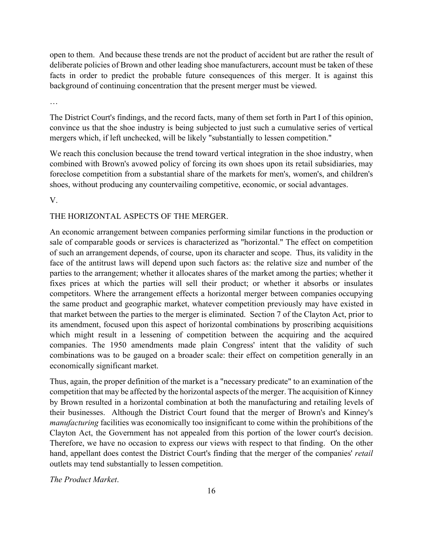open to them. And because these trends are not the product of accident but are rather the result of deliberate policies of Brown and other leading shoe manufacturers, account must be taken of these facts in order to predict the probable future consequences of this merger. It is against this background of continuing concentration that the present merger must be viewed.

…

The District Court's findings, and the record facts, many of them set forth in Part I of this opinion, convince us that the shoe industry is being subjected to just such a cumulative series of vertical mergers which, if left unchecked, will be likely "substantially to lessen competition."

We reach this conclusion because the trend toward vertical integration in the shoe industry, when combined with Brown's avowed policy of forcing its own shoes upon its retail subsidiaries, may foreclose competition from a substantial share of the markets for men's, women's, and children's shoes, without producing any countervailing competitive, economic, or social advantages.

V.

## THE HORIZONTAL ASPECTS OF THE MERGER.

An economic arrangement between companies performing similar functions in the production or sale of comparable goods or services is characterized as "horizontal." The effect on competition of such an arrangement depends, of course, upon its character and scope. Thus, its validity in the face of the antitrust laws will depend upon such factors as: the relative size and number of the parties to the arrangement; whether it allocates shares of the market among the parties; whether it fixes prices at which the parties will sell their product; or whether it absorbs or insulates competitors. Where the arrangement effects a horizontal merger between companies occupying the same product and geographic market, whatever competition previously may have existed in that market between the parties to the merger is eliminated. Section 7 of the Clayton Act, prior to its amendment, focused upon this aspect of horizontal combinations by proscribing acquisitions which might result in a lessening of competition between the acquiring and the acquired companies. The 1950 amendments made plain Congress' intent that the validity of such combinations was to be gauged on a broader scale: their effect on competition generally in an economically significant market.

Thus, again, the proper definition of the market is a "necessary predicate" to an examination of the competition that may be affected by the horizontal aspects of the merger. The acquisition of Kinney by Brown resulted in a horizontal combination at both the manufacturing and retailing levels of their businesses. Although the District Court found that the merger of Brown's and Kinney's *manufacturing* facilities was economically too insignificant to come within the prohibitions of the Clayton Act, the Government has not appealed from this portion of the lower court's decision. Therefore, we have no occasion to express our views with respect to that finding. On the other hand, appellant does contest the District Court's finding that the merger of the companies' *retail* outlets may tend substantially to lessen competition.

*The Product Market*.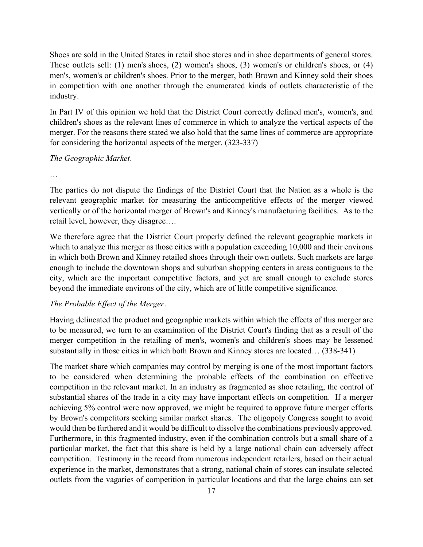Shoes are sold in the United States in retail shoe stores and in shoe departments of general stores. These outlets sell: (1) men's shoes, (2) women's shoes, (3) women's or children's shoes, or (4) men's, women's or children's shoes. Prior to the merger, both Brown and Kinney sold their shoes in competition with one another through the enumerated kinds of outlets characteristic of the industry.

In Part IV of this opinion we hold that the District Court correctly defined men's, women's, and children's shoes as the relevant lines of commerce in which to analyze the vertical aspects of the merger. For the reasons there stated we also hold that the same lines of commerce are appropriate for considering the horizontal aspects of the merger. (323-337)

#### *The Geographic Market*.

…

The parties do not dispute the findings of the District Court that the Nation as a whole is the relevant geographic market for measuring the anticompetitive effects of the merger viewed vertically or of the horizontal merger of Brown's and Kinney's manufacturing facilities. As to the retail level, however, they disagree….

We therefore agree that the District Court properly defined the relevant geographic markets in which to analyze this merger as those cities with a population exceeding 10,000 and their environs in which both Brown and Kinney retailed shoes through their own outlets. Such markets are large enough to include the downtown shops and suburban shopping centers in areas contiguous to the city, which are the important competitive factors, and yet are small enough to exclude stores beyond the immediate environs of the city, which are of little competitive significance.

#### *The Probable Effect of the Merger*.

Having delineated the product and geographic markets within which the effects of this merger are to be measured, we turn to an examination of the District Court's finding that as a result of the merger competition in the retailing of men's, women's and children's shoes may be lessened substantially in those cities in which both Brown and Kinney stores are located… (338-341)

The market share which companies may control by merging is one of the most important factors to be considered when determining the probable effects of the combination on effective competition in the relevant market. In an industry as fragmented as shoe retailing, the control of substantial shares of the trade in a city may have important effects on competition. If a merger achieving 5% control were now approved, we might be required to approve future merger efforts by Brown's competitors seeking similar market shares. The oligopoly Congress sought to avoid would then be furthered and it would be difficult to dissolve the combinations previously approved. Furthermore, in this fragmented industry, even if the combination controls but a small share of a particular market, the fact that this share is held by a large national chain can adversely affect competition. Testimony in the record from numerous independent retailers, based on their actual experience in the market, demonstrates that a strong, national chain of stores can insulate selected outlets from the vagaries of competition in particular locations and that the large chains can set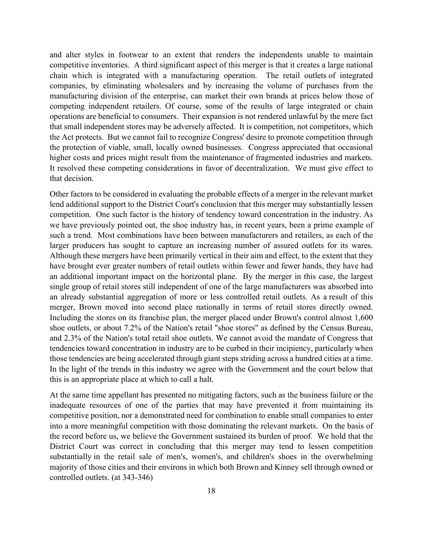and alter styles in footwear to an extent that renders the independents unable to maintain competitive inventories. A third significant aspect of this merger is that it creates a large national chain which is integrated with a manufacturing operation. The retail outlets of integrated companies, by eliminating wholesalers and by increasing the volume of purchases from the manufacturing division of the enterprise, can market their own brands at prices below those of competing independent retailers. Of course, some of the results of large integrated or chain operations are beneficial to consumers. Their expansion is not rendered unlawful by the mere fact that small independent stores may be adversely affected. It is competition, not competitors, which the Act protects. But we cannot fail to recognize Congress' desire to promote competition through the protection of viable, small, locally owned businesses. Congress appreciated that occasional higher costs and prices might result from the maintenance of fragmented industries and markets. It resolved these competing considerations in favor of decentralization. We must give effect to that decision.

Other factors to be considered in evaluating the probable effects of a merger in the relevant market lend additional support to the District Court's conclusion that this merger may substantially lessen competition. One such factor is the history of tendency toward concentration in the industry. As we have previously pointed out, the shoe industry has, in recent years, been a prime example of such a trend. Most combinations have been between manufacturers and retailers, as each of the larger producers has sought to capture an increasing number of assured outlets for its wares. Although these mergers have been primarily vertical in their aim and effect, to the extent that they have brought ever greater numbers of retail outlets within fewer and fewer hands, they have had an additional important impact on the horizontal plane. By the merger in this case, the largest single group of retail stores still independent of one of the large manufacturers was absorbed into an already substantial aggregation of more or less controlled retail outlets. As a result of this merger, Brown moved into second place nationally in terms of retail stores directly owned. Including the stores on its franchise plan, the merger placed under Brown's control almost 1,600 shoe outlets, or about 7.2% of the Nation's retail "shoe stores" as defined by the Census Bureau, and 2.3% of the Nation's total retail shoe outlets. We cannot avoid the mandate of Congress that tendencies toward concentration in industry are to be curbed in their incipiency, particularly when those tendencies are being accelerated through giant steps striding across a hundred cities at a time. In the light of the trends in this industry we agree with the Government and the court below that this is an appropriate place at which to call a halt.

At the same time appellant has presented no mitigating factors, such as the business failure or the inadequate resources of one of the parties that may have prevented it from maintaining its competitive position, nor a demonstrated need for combination to enable small companies to enter into a more meaningful competition with those dominating the relevant markets. On the basis of the record before us, we believe the Government sustained its burden of proof. We hold that the District Court was correct in concluding that this merger may tend to lessen competition substantially in the retail sale of men's, women's, and children's shoes in the overwhelming majority of those cities and their environs in which both Brown and Kinney sell through owned or controlled outlets. (at 343-346)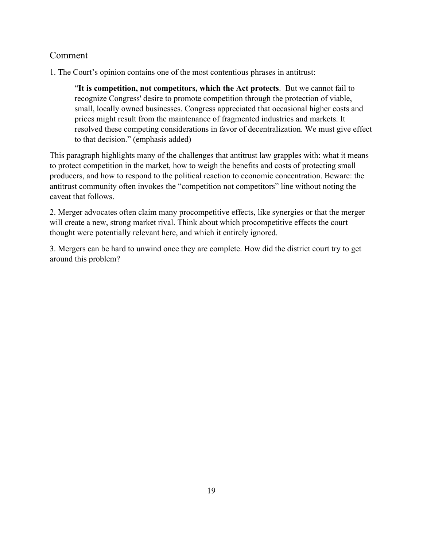## Comment

1. The Court's opinion contains one of the most contentious phrases in antitrust:

"**It is competition, not competitors, which the Act protects**. But we cannot fail to recognize Congress' desire to promote competition through the protection of viable, small, locally owned businesses. Congress appreciated that occasional higher costs and prices might result from the maintenance of fragmented industries and markets. It resolved these competing considerations in favor of decentralization. We must give effect to that decision." (emphasis added)

This paragraph highlights many of the challenges that antitrust law grapples with: what it means to protect competition in the market, how to weigh the benefits and costs of protecting small producers, and how to respond to the political reaction to economic concentration. Beware: the antitrust community often invokes the "competition not competitors" line without noting the caveat that follows.

2. Merger advocates often claim many procompetitive effects, like synergies or that the merger will create a new, strong market rival. Think about which procompetitive effects the court thought were potentially relevant here, and which it entirely ignored.

3. Mergers can be hard to unwind once they are complete. How did the district court try to get around this problem?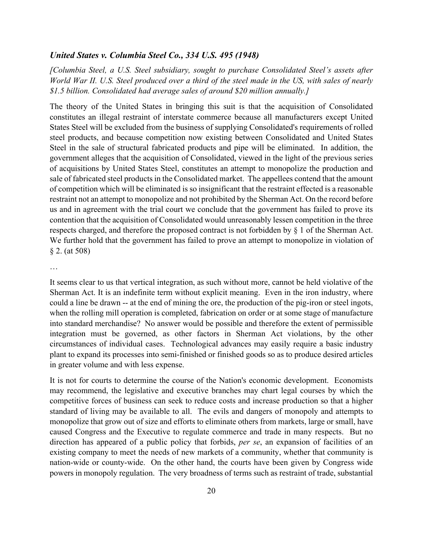#### *United States v. Columbia Steel Co., 334 U.S. 495 (1948)*

*[Columbia Steel, a U.S. Steel subsidiary, sought to purchase Consolidated Steel's assets after World War II. U.S. Steel produced over a third of the steel made in the US, with sales of nearly \$1.5 billion. Consolidated had average sales of around \$20 million annually.]*

The theory of the United States in bringing this suit is that the acquisition of Consolidated constitutes an illegal restraint of interstate commerce because all manufacturers except United States Steel will be excluded from the business of supplying Consolidated's requirements of rolled steel products, and because competition now existing between Consolidated and United States Steel in the sale of structural fabricated products and pipe will be eliminated. In addition, the government alleges that the acquisition of Consolidated, viewed in the light of the previous series of acquisitions by United States Steel, constitutes an attempt to monopolize the production and sale of fabricated steel products in the Consolidated market. The appellees contend that the amount of competition which will be eliminated is so insignificant that the restraint effected is a reasonable restraint not an attempt to monopolize and not prohibited by the Sherman Act. On the record before us and in agreement with the trial court we conclude that the government has failed to prove its contention that the acquisition of Consolidated would unreasonably lessen competition in the three respects charged, and therefore the proposed contract is not forbidden by § 1 of the Sherman Act. We further hold that the government has failed to prove an attempt to monopolize in violation of § 2. (at 508)

…

It seems clear to us that vertical integration, as such without more, cannot be held violative of the Sherman Act. It is an indefinite term without explicit meaning. Even in the iron industry, where could a line be drawn -- at the end of mining the ore, the production of the pig-iron or steel ingots, when the rolling mill operation is completed, fabrication on order or at some stage of manufacture into standard merchandise? No answer would be possible and therefore the extent of permissible integration must be governed, as other factors in Sherman Act violations, by the other circumstances of individual cases. Technological advances may easily require a basic industry plant to expand its processes into semi-finished or finished goods so as to produce desired articles in greater volume and with less expense.

It is not for courts to determine the course of the Nation's economic development. Economists may recommend, the legislative and executive branches may chart legal courses by which the competitive forces of business can seek to reduce costs and increase production so that a higher standard of living may be available to all. The evils and dangers of monopoly and attempts to monopolize that grow out of size and efforts to eliminate others from markets, large or small, have caused Congress and the Executive to regulate commerce and trade in many respects. But no direction has appeared of a public policy that forbids, *per se*, an expansion of facilities of an existing company to meet the needs of new markets of a community, whether that community is nation-wide or county-wide. On the other hand, the courts have been given by Congress wide powers in monopoly regulation. The very broadness of terms such as restraint of trade, substantial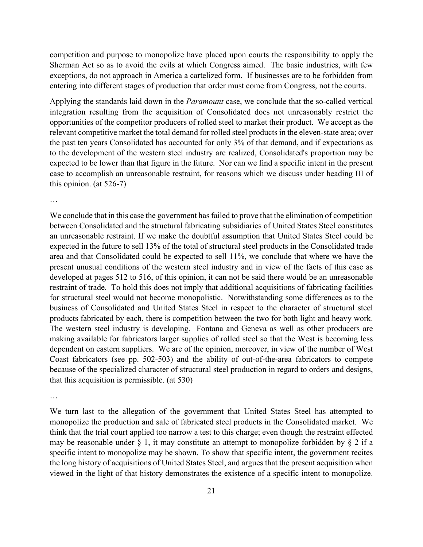competition and purpose to monopolize have placed upon courts the responsibility to apply the Sherman Act so as to avoid the evils at which Congress aimed. The basic industries, with few exceptions, do not approach in America a cartelized form. If businesses are to be forbidden from entering into different stages of production that order must come from Congress, not the courts.

Applying the standards laid down in the *Paramount* case, we conclude that the so-called vertical integration resulting from the acquisition of Consolidated does not unreasonably restrict the opportunities of the competitor producers of rolled steel to market their product. We accept as the relevant competitive market the total demand for rolled steel products in the eleven-state area; over the past ten years Consolidated has accounted for only 3% of that demand, and if expectations as to the development of the western steel industry are realized, Consolidated's proportion may be expected to be lower than that figure in the future. Nor can we find a specific intent in the present case to accomplish an unreasonable restraint, for reasons which we discuss under heading III of this opinion. (at 526-7)

…

We conclude that in this case the government has failed to prove that the elimination of competition between Consolidated and the structural fabricating subsidiaries of United States Steel constitutes an unreasonable restraint. If we make the doubtful assumption that United States Steel could be expected in the future to sell 13% of the total of structural steel products in the Consolidated trade area and that Consolidated could be expected to sell 11%, we conclude that where we have the present unusual conditions of the western steel industry and in view of the facts of this case as developed at pages 512 to 516, of this opinion, it can not be said there would be an unreasonable restraint of trade. To hold this does not imply that additional acquisitions of fabricating facilities for structural steel would not become monopolistic. Notwithstanding some differences as to the business of Consolidated and United States Steel in respect to the character of structural steel products fabricated by each, there is competition between the two for both light and heavy work. The western steel industry is developing. Fontana and Geneva as well as other producers are making available for fabricators larger supplies of rolled steel so that the West is becoming less dependent on eastern suppliers. We are of the opinion, moreover, in view of the number of West Coast fabricators (see pp. 502-503) and the ability of out-of-the-area fabricators to compete because of the specialized character of structural steel production in regard to orders and designs, that this acquisition is permissible. (at 530)

…

We turn last to the allegation of the government that United States Steel has attempted to monopolize the production and sale of fabricated steel products in the Consolidated market. We think that the trial court applied too narrow a test to this charge; even though the restraint effected may be reasonable under  $\S$  1, it may constitute an attempt to monopolize forbidden by  $\S$  2 if a specific intent to monopolize may be shown. To show that specific intent, the government recites the long history of acquisitions of United States Steel, and argues that the present acquisition when viewed in the light of that history demonstrates the existence of a specific intent to monopolize.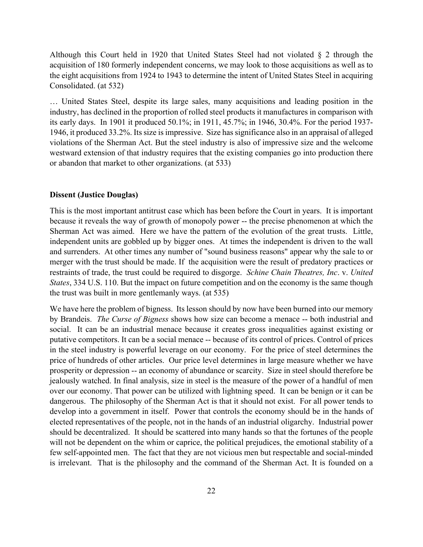Although this Court held in 1920 that United States Steel had not violated § 2 through the acquisition of 180 formerly independent concerns, we may look to those acquisitions as well as to the eight acquisitions from 1924 to 1943 to determine the intent of United States Steel in acquiring Consolidated. (at 532)

… United States Steel, despite its large sales, many acquisitions and leading position in the industry, has declined in the proportion of rolled steel products it manufactures in comparison with its early days. In 1901 it produced 50.1%; in 1911, 45.7%; in 1946, 30.4%. For the period 1937- 1946, it produced 33.2%. Its size is impressive. Size has significance also in an appraisal of alleged violations of the Sherman Act. But the steel industry is also of impressive size and the welcome westward extension of that industry requires that the existing companies go into production there or abandon that market to other organizations. (at 533)

#### **Dissent (Justice Douglas)**

This is the most important antitrust case which has been before the Court in years. It is important because it reveals the way of growth of monopoly power -- the precise phenomenon at which the Sherman Act was aimed. Here we have the pattern of the evolution of the great trusts. Little, independent units are gobbled up by bigger ones. At times the independent is driven to the wall and surrenders. At other times any number of "sound business reasons" appear why the sale to or merger with the trust should be made. If the acquisition were the result of predatory practices or restraints of trade, the trust could be required to disgorge. *Schine Chain Theatres, Inc*. v. *United States*, 334 U.S. 110. But the impact on future competition and on the economy is the same though the trust was built in more gentlemanly ways. (at 535)

We have here the problem of bigness. Its lesson should by now have been burned into our memory by Brandeis. *The Curse of Bigness* shows how size can become a menace -- both industrial and social. It can be an industrial menace because it creates gross inequalities against existing or putative competitors. It can be a social menace -- because of its control of prices. Control of prices in the steel industry is powerful leverage on our economy. For the price of steel determines the price of hundreds of other articles. Our price level determines in large measure whether we have prosperity or depression -- an economy of abundance or scarcity. Size in steel should therefore be jealously watched. In final analysis, size in steel is the measure of the power of a handful of men over our economy. That power can be utilized with lightning speed. It can be benign or it can be dangerous. The philosophy of the Sherman Act is that it should not exist. For all power tends to develop into a government in itself. Power that controls the economy should be in the hands of elected representatives of the people, not in the hands of an industrial oligarchy. Industrial power should be decentralized. It should be scattered into many hands so that the fortunes of the people will not be dependent on the whim or caprice, the political prejudices, the emotional stability of a few self-appointed men. The fact that they are not vicious men but respectable and social-minded is irrelevant. That is the philosophy and the command of the Sherman Act. It is founded on a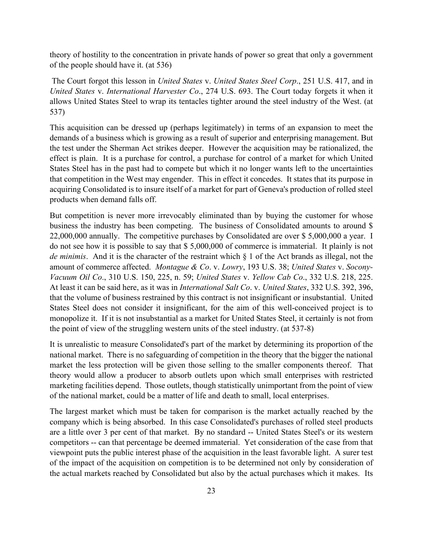theory of hostility to the concentration in private hands of power so great that only a government of the people should have it. (at 536)

The Court forgot this lesson in *United States* v. *United States Steel Corp*., 251 U.S. 417, and in *United States* v. *International Harvester Co*., 274 U.S. 693. The Court today forgets it when it allows United States Steel to wrap its tentacles tighter around the steel industry of the West. (at 537)

This acquisition can be dressed up (perhaps legitimately) in terms of an expansion to meet the demands of a business which is growing as a result of superior and enterprising management. But the test under the Sherman Act strikes deeper. However the acquisition may be rationalized, the effect is plain. It is a purchase for control, a purchase for control of a market for which United States Steel has in the past had to compete but which it no longer wants left to the uncertainties that competition in the West may engender. This in effect it concedes. It states that its purpose in acquiring Consolidated is to insure itself of a market for part of Geneva's production of rolled steel products when demand falls off.

But competition is never more irrevocably eliminated than by buying the customer for whose business the industry has been competing. The business of Consolidated amounts to around \$ 22,000,000 annually. The competitive purchases by Consolidated are over \$ 5,000,000 a year. I do not see how it is possible to say that \$ 5,000,000 of commerce is immaterial. It plainly is not *de minimis*. And it is the character of the restraint which § 1 of the Act brands as illegal, not the amount of commerce affected. *Montague & Co*. v. *Lowry*, 193 U.S. 38; *United States* v. *Socony-Vacuum Oil Co*., 310 U.S. 150, 225, n. 59; *United States* v. *Yellow Cab Co*., 332 U.S. 218, 225. At least it can be said here, as it was in *International Salt Co*. v. *United States*, 332 U.S. 392, 396, that the volume of business restrained by this contract is not insignificant or insubstantial. United States Steel does not consider it insignificant, for the aim of this well-conceived project is to monopolize it. If it is not insubstantial as a market for United States Steel, it certainly is not from the point of view of the struggling western units of the steel industry. (at 537-8)

It is unrealistic to measure Consolidated's part of the market by determining its proportion of the national market. There is no safeguarding of competition in the theory that the bigger the national market the less protection will be given those selling to the smaller components thereof. That theory would allow a producer to absorb outlets upon which small enterprises with restricted marketing facilities depend. Those outlets, though statistically unimportant from the point of view of the national market, could be a matter of life and death to small, local enterprises.

The largest market which must be taken for comparison is the market actually reached by the company which is being absorbed. In this case Consolidated's purchases of rolled steel products are a little over 3 per cent of that market. By no standard -- United States Steel's or its western competitors -- can that percentage be deemed immaterial. Yet consideration of the case from that viewpoint puts the public interest phase of the acquisition in the least favorable light. A surer test of the impact of the acquisition on competition is to be determined not only by consideration of the actual markets reached by Consolidated but also by the actual purchases which it makes. Its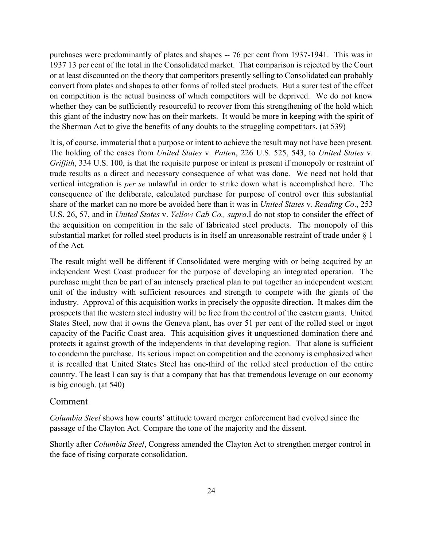purchases were predominantly of plates and shapes -- 76 per cent from 1937-1941. This was in 1937 13 per cent of the total in the Consolidated market. That comparison is rejected by the Court or at least discounted on the theory that competitors presently selling to Consolidated can probably convert from plates and shapes to other forms of rolled steel products. But a surer test of the effect on competition is the actual business of which competitors will be deprived. We do not know whether they can be sufficiently resourceful to recover from this strengthening of the hold which this giant of the industry now has on their markets. It would be more in keeping with the spirit of the Sherman Act to give the benefits of any doubts to the struggling competitors. (at 539)

It is, of course, immaterial that a purpose or intent to achieve the result may not have been present. The holding of the cases from *United States* v. *Patten*, 226 U.S. 525, 543, to *United States* v. *Griffith*, 334 U.S. 100, is that the requisite purpose or intent is present if monopoly or restraint of trade results as a direct and necessary consequence of what was done. We need not hold that vertical integration is *per se* unlawful in order to strike down what is accomplished here. The consequence of the deliberate, calculated purchase for purpose of control over this substantial share of the market can no more be avoided here than it was in *United States* v. *Reading Co*., 253 U.S. 26, 57, and in *United States* v. *Yellow Cab Co., supra*.I do not stop to consider the effect of the acquisition on competition in the sale of fabricated steel products. The monopoly of this substantial market for rolled steel products is in itself an unreasonable restraint of trade under § 1 of the Act.

The result might well be different if Consolidated were merging with or being acquired by an independent West Coast producer for the purpose of developing an integrated operation. The purchase might then be part of an intensely practical plan to put together an independent western unit of the industry with sufficient resources and strength to compete with the giants of the industry. Approval of this acquisition works in precisely the opposite direction. It makes dim the prospects that the western steel industry will be free from the control of the eastern giants. United States Steel, now that it owns the Geneva plant, has over 51 per cent of the rolled steel or ingot capacity of the Pacific Coast area. This acquisition gives it unquestioned domination there and protects it against growth of the independents in that developing region. That alone is sufficient to condemn the purchase. Its serious impact on competition and the economy is emphasized when it is recalled that United States Steel has one-third of the rolled steel production of the entire country. The least I can say is that a company that has that tremendous leverage on our economy is big enough. (at 540)

## Comment

*Columbia Steel* shows how courts' attitude toward merger enforcement had evolved since the passage of the Clayton Act. Compare the tone of the majority and the dissent.

Shortly after *Columbia Steel*, Congress amended the Clayton Act to strengthen merger control in the face of rising corporate consolidation.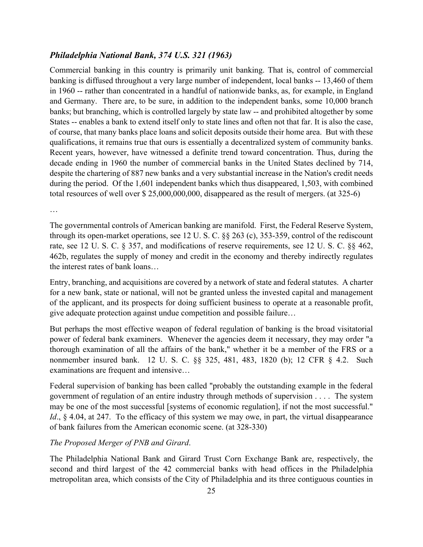#### *Philadelphia National Bank, 374 U.S. 321 (1963)*

Commercial banking in this country is primarily unit banking. That is, control of commercial banking is diffused throughout a very large number of independent, local banks -- 13,460 of them in 1960 -- rather than concentrated in a handful of nationwide banks, as, for example, in England and Germany. There are, to be sure, in addition to the independent banks, some 10,000 branch banks; but branching, which is controlled largely by state law -- and prohibited altogether by some States -- enables a bank to extend itself only to state lines and often not that far. It is also the case, of course, that many banks place loans and solicit deposits outside their home area. But with these qualifications, it remains true that ours is essentially a decentralized system of community banks. Recent years, however, have witnessed a definite trend toward concentration. Thus, during the decade ending in 1960 the number of commercial banks in the United States declined by 714, despite the chartering of 887 new banks and a very substantial increase in the Nation's credit needs during the period. Of the 1,601 independent banks which thus disappeared, 1,503, with combined total resources of well over \$ 25,000,000,000, disappeared as the result of mergers. (at 325-6)

…

The governmental controls of American banking are manifold. First, the Federal Reserve System, through its open-market operations, see 12 U. S. C. §§ 263 (c), 353-359, control of the rediscount rate, see 12 U. S. C. § 357, and modifications of reserve requirements, see 12 U. S. C. §§ 462, 462b, regulates the supply of money and credit in the economy and thereby indirectly regulates the interest rates of bank loans…

Entry, branching, and acquisitions are covered by a network of state and federal statutes. A charter for a new bank, state or national, will not be granted unless the invested capital and management of the applicant, and its prospects for doing sufficient business to operate at a reasonable profit, give adequate protection against undue competition and possible failure…

But perhaps the most effective weapon of federal regulation of banking is the broad visitatorial power of federal bank examiners. Whenever the agencies deem it necessary, they may order "a thorough examination of all the affairs of the bank," whether it be a member of the FRS or a nonmember insured bank. 12 U. S. C. §§ 325, 481, 483, 1820 (b); 12 CFR § 4.2. Such examinations are frequent and intensive…

Federal supervision of banking has been called "probably the outstanding example in the federal government of regulation of an entire industry through methods of supervision . . . . The system may be one of the most successful [systems of economic regulation], if not the most successful." *Id.*, § 4.04, at 247. To the efficacy of this system we may owe, in part, the virtual disappearance of bank failures from the American economic scene. (at 328-330)

## *The Proposed Merger of PNB and Girard*.

The Philadelphia National Bank and Girard Trust Corn Exchange Bank are, respectively, the second and third largest of the 42 commercial banks with head offices in the Philadelphia metropolitan area, which consists of the City of Philadelphia and its three contiguous counties in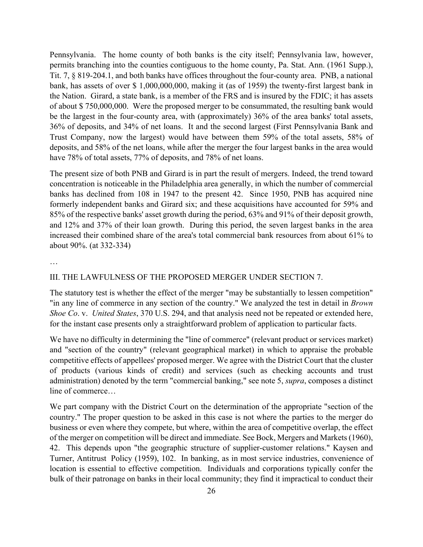Pennsylvania. The home county of both banks is the city itself; Pennsylvania law, however, permits branching into the counties contiguous to the home county, Pa. Stat. Ann. (1961 Supp.), Tit. 7, § 819-204.1, and both banks have offices throughout the four-county area. PNB, a national bank, has assets of over \$ 1,000,000,000, making it (as of 1959) the twenty-first largest bank in the Nation. Girard, a state bank, is a member of the FRS and is insured by the FDIC; it has assets of about \$ 750,000,000. Were the proposed merger to be consummated, the resulting bank would be the largest in the four-county area, with (approximately) 36% of the area banks' total assets, 36% of deposits, and 34% of net loans. It and the second largest (First Pennsylvania Bank and Trust Company, now the largest) would have between them 59% of the total assets, 58% of deposits, and 58% of the net loans, while after the merger the four largest banks in the area would have 78% of total assets, 77% of deposits, and 78% of net loans.

The present size of both PNB and Girard is in part the result of mergers. Indeed, the trend toward concentration is noticeable in the Philadelphia area generally, in which the number of commercial banks has declined from 108 in 1947 to the present 42. Since 1950, PNB has acquired nine formerly independent banks and Girard six; and these acquisitions have accounted for 59% and 85% of the respective banks' asset growth during the period, 63% and 91% of their deposit growth, and 12% and 37% of their loan growth. During this period, the seven largest banks in the area increased their combined share of the area's total commercial bank resources from about 61% to about 90%. (at 332-334)

…

#### III. THE LAWFULNESS OF THE PROPOSED MERGER UNDER SECTION 7.

The statutory test is whether the effect of the merger "may be substantially to lessen competition" "in any line of commerce in any section of the country." We analyzed the test in detail in *Brown Shoe Co*. v. *United States*, 370 U.S. 294, and that analysis need not be repeated or extended here, for the instant case presents only a straightforward problem of application to particular facts.

We have no difficulty in determining the "line of commerce" (relevant product or services market) and "section of the country" (relevant geographical market) in which to appraise the probable competitive effects of appellees' proposed merger. We agree with the District Court that the cluster of products (various kinds of credit) and services (such as checking accounts and trust administration) denoted by the term "commercial banking," see note 5, *supra*, composes a distinct line of commerce…

We part company with the District Court on the determination of the appropriate "section of the country." The proper question to be asked in this case is not where the parties to the merger do business or even where they compete, but where, within the area of competitive overlap, the effect of the merger on competition will be direct and immediate. See Bock, Mergers and Markets (1960), 42. This depends upon "the geographic structure of supplier-customer relations." Kaysen and Turner, Antitrust Policy (1959), 102. In banking, as in most service industries, convenience of location is essential to effective competition. Individuals and corporations typically confer the bulk of their patronage on banks in their local community; they find it impractical to conduct their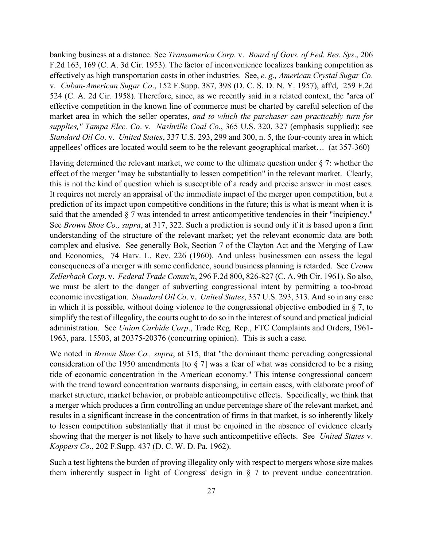banking business at a distance. See *Transamerica Corp*. v. *Board of Govs. of Fed. Res. Sys*., 206 F.2d 163, 169 (C. A. 3d Cir. 1953). The factor of inconvenience localizes banking competition as effectively as high transportation costs in other industries. See, *e. g., American Crystal Sugar Co*. v. *Cuban-American Sugar Co*., 152 F.Supp. 387, 398 (D. C. S. D. N. Y. 1957), aff'd, 259 F.2d 524 (C. A. 2d Cir. 1958). Therefore, since, as we recently said in a related context, the "area of effective competition in the known line of commerce must be charted by careful selection of the market area in which the seller operates, *and to which the purchaser can practicably turn for supplies," Tampa Elec. Co*. v. *Nashville Coal Co*., 365 U.S. 320, 327 (emphasis supplied); see *Standard Oil Co*. v. *United States*, 337 U.S. 293, 299 and 300, n. 5, the four-county area in which appellees' offices are located would seem to be the relevant geographical market… (at 357-360)

Having determined the relevant market, we come to the ultimate question under § 7: whether the effect of the merger "may be substantially to lessen competition" in the relevant market. Clearly, this is not the kind of question which is susceptible of a ready and precise answer in most cases. It requires not merely an appraisal of the immediate impact of the merger upon competition, but a prediction of its impact upon competitive conditions in the future; this is what is meant when it is said that the amended § 7 was intended to arrest anticompetitive tendencies in their "incipiency." See *Brown Shoe Co., supra*, at 317, 322. Such a prediction is sound only if it is based upon a firm understanding of the structure of the relevant market; yet the relevant economic data are both complex and elusive. See generally Bok, Section 7 of the Clayton Act and the Merging of Law and Economics, 74 Harv. L. Rev. 226 (1960). And unless businessmen can assess the legal consequences of a merger with some confidence, sound business planning is retarded. See *Crown Zellerbach Corp*. v. *Federal Trade Comm'n*, 296 F.2d 800, 826-827 (C. A. 9th Cir. 1961). So also, we must be alert to the danger of subverting congressional intent by permitting a too-broad economic investigation. *Standard Oil Co*. v. *United States*, 337 U.S. 293, 313. And so in any case in which it is possible, without doing violence to the congressional objective embodied in § 7, to simplify the test of illegality, the courts ought to do so in the interest of sound and practical judicial administration. See *Union Carbide Corp*., Trade Reg. Rep., FTC Complaints and Orders, 1961- 1963, para. 15503, at 20375-20376 (concurring opinion). This is such a case.

We noted in *Brown Shoe Co., supra*, at 315, that "the dominant theme pervading congressional consideration of the 1950 amendments [to § 7] was a fear of what was considered to be a rising tide of economic concentration in the American economy." This intense congressional concern with the trend toward concentration warrants dispensing, in certain cases, with elaborate proof of market structure, market behavior, or probable anticompetitive effects. Specifically, we think that a merger which produces a firm controlling an undue percentage share of the relevant market, and results in a significant increase in the concentration of firms in that market, is so inherently likely to lessen competition substantially that it must be enjoined in the absence of evidence clearly showing that the merger is not likely to have such anticompetitive effects. See *United States* v. *Koppers Co*., 202 F.Supp. 437 (D. C. W. D. Pa. 1962).

Such a test lightens the burden of proving illegality only with respect to mergers whose size makes them inherently suspect in light of Congress' design in § 7 to prevent undue concentration.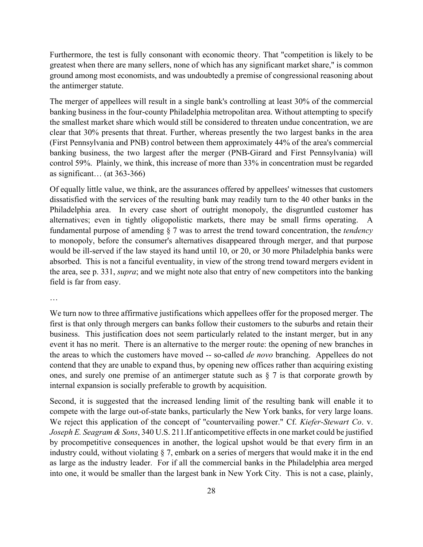Furthermore, the test is fully consonant with economic theory. That "competition is likely to be greatest when there are many sellers, none of which has any significant market share," is common ground among most economists, and was undoubtedly a premise of congressional reasoning about the antimerger statute.

The merger of appellees will result in a single bank's controlling at least 30% of the commercial banking business in the four-county Philadelphia metropolitan area. Without attempting to specify the smallest market share which would still be considered to threaten undue concentration, we are clear that 30% presents that threat. Further, whereas presently the two largest banks in the area (First Pennsylvania and PNB) control between them approximately 44% of the area's commercial banking business, the two largest after the merger (PNB-Girard and First Pennsylvania) will control 59%. Plainly, we think, this increase of more than 33% in concentration must be regarded as significant… (at 363-366)

Of equally little value, we think, are the assurances offered by appellees' witnesses that customers dissatisfied with the services of the resulting bank may readily turn to the 40 other banks in the Philadelphia area. In every case short of outright monopoly, the disgruntled customer has alternatives; even in tightly oligopolistic markets, there may be small firms operating. A fundamental purpose of amending § 7 was to arrest the trend toward concentration, the *tendency* to monopoly, before the consumer's alternatives disappeared through merger, and that purpose would be ill-served if the law stayed its hand until 10, or 20, or 30 more Philadelphia banks were absorbed. This is not a fanciful eventuality, in view of the strong trend toward mergers evident in the area, see p. 331, *supra*; and we might note also that entry of new competitors into the banking field is far from easy.

…

We turn now to three affirmative justifications which appellees offer for the proposed merger. The first is that only through mergers can banks follow their customers to the suburbs and retain their business. This justification does not seem particularly related to the instant merger, but in any event it has no merit. There is an alternative to the merger route: the opening of new branches in the areas to which the customers have moved -- so-called *de novo* branching. Appellees do not contend that they are unable to expand thus, by opening new offices rather than acquiring existing ones, and surely one premise of an antimerger statute such as § 7 is that corporate growth by internal expansion is socially preferable to growth by acquisition.

Second, it is suggested that the increased lending limit of the resulting bank will enable it to compete with the large out-of-state banks, particularly the New York banks, for very large loans. We reject this application of the concept of "countervailing power." Cf. *Kiefer-Stewart Co*. v. *Joseph E. Seagram & Sons*, 340 U.S. 211.If anticompetitive effects in one market could be justified by procompetitive consequences in another, the logical upshot would be that every firm in an industry could, without violating § 7, embark on a series of mergers that would make it in the end as large as the industry leader. For if all the commercial banks in the Philadelphia area merged into one, it would be smaller than the largest bank in New York City. This is not a case, plainly,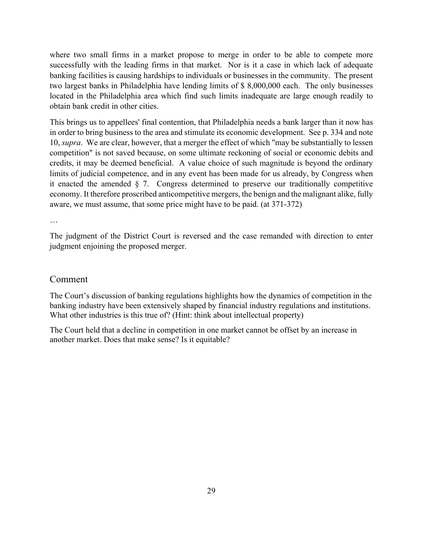where two small firms in a market propose to merge in order to be able to compete more successfully with the leading firms in that market. Nor is it a case in which lack of adequate banking facilities is causing hardships to individuals or businesses in the community. The present two largest banks in Philadelphia have lending limits of \$ 8,000,000 each. The only businesses located in the Philadelphia area which find such limits inadequate are large enough readily to obtain bank credit in other cities.

This brings us to appellees' final contention, that Philadelphia needs a bank larger than it now has in order to bring business to the area and stimulate its economic development. See p. 334 and note 10, *supra*. We are clear, however, that a merger the effect of which "may be substantially to lessen competition" is not saved because, on some ultimate reckoning of social or economic debits and credits, it may be deemed beneficial. A value choice of such magnitude is beyond the ordinary limits of judicial competence, and in any event has been made for us already, by Congress when it enacted the amended  $\S$  7. Congress determined to preserve our traditionally competitive economy. It therefore proscribed anticompetitive mergers, the benign and the malignant alike, fully aware, we must assume, that some price might have to be paid. (at 371-372)

…

The judgment of the District Court is reversed and the case remanded with direction to enter judgment enjoining the proposed merger.

## Comment

The Court's discussion of banking regulations highlights how the dynamics of competition in the banking industry have been extensively shaped by financial industry regulations and institutions. What other industries is this true of? (Hint: think about intellectual property)

The Court held that a decline in competition in one market cannot be offset by an increase in another market. Does that make sense? Is it equitable?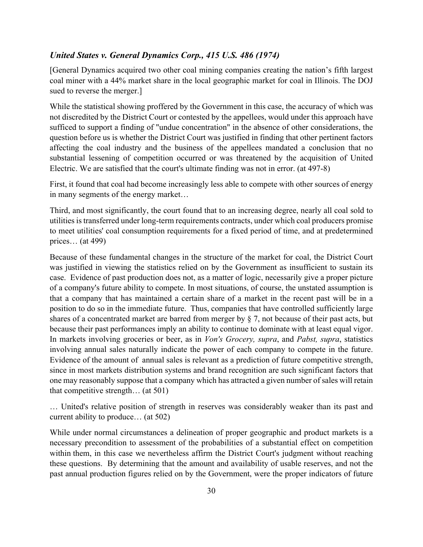## *United States v. General Dynamics Corp., 415 U.S. 486 (1974)*

[General Dynamics acquired two other coal mining companies creating the nation's fifth largest coal miner with a 44% market share in the local geographic market for coal in Illinois. The DOJ sued to reverse the merger.]

While the statistical showing proffered by the Government in this case, the accuracy of which was not discredited by the District Court or contested by the appellees, would under this approach have sufficed to support a finding of "undue concentration" in the absence of other considerations, the question before us is whether the District Court was justified in finding that other pertinent factors affecting the coal industry and the business of the appellees mandated a conclusion that no substantial lessening of competition occurred or was threatened by the acquisition of United Electric. We are satisfied that the court's ultimate finding was not in error. (at 497-8)

First, it found that coal had become increasingly less able to compete with other sources of energy in many segments of the energy market…

Third, and most significantly, the court found that to an increasing degree, nearly all coal sold to utilities is transferred under long-term requirements contracts, under which coal producers promise to meet utilities' coal consumption requirements for a fixed period of time, and at predetermined prices… (at 499)

Because of these fundamental changes in the structure of the market for coal, the District Court was justified in viewing the statistics relied on by the Government as insufficient to sustain its case. Evidence of past production does not, as a matter of logic, necessarily give a proper picture of a company's future ability to compete. In most situations, of course, the unstated assumption is that a company that has maintained a certain share of a market in the recent past will be in a position to do so in the immediate future. Thus, companies that have controlled sufficiently large shares of a concentrated market are barred from merger by § 7, not because of their past acts, but because their past performances imply an ability to continue to dominate with at least equal vigor. In markets involving groceries or beer, as in *Von's Grocery, supra*, and *Pabst, supra*, statistics involving annual sales naturally indicate the power of each company to compete in the future. Evidence of the amount of annual sales is relevant as a prediction of future competitive strength, since in most markets distribution systems and brand recognition are such significant factors that one may reasonably suppose that a company which has attracted a given number of sales will retain that competitive strength… (at 501)

… United's relative position of strength in reserves was considerably weaker than its past and current ability to produce… (at 502)

While under normal circumstances a delineation of proper geographic and product markets is a necessary precondition to assessment of the probabilities of a substantial effect on competition within them, in this case we nevertheless affirm the District Court's judgment without reaching these questions. By determining that the amount and availability of usable reserves, and not the past annual production figures relied on by the Government, were the proper indicators of future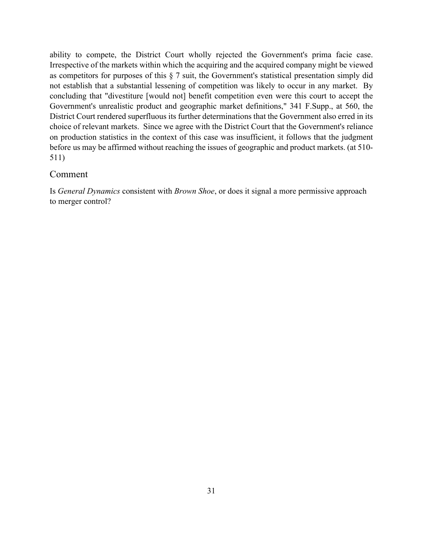ability to compete, the District Court wholly rejected the Government's prima facie case. Irrespective of the markets within which the acquiring and the acquired company might be viewed as competitors for purposes of this § 7 suit, the Government's statistical presentation simply did not establish that a substantial lessening of competition was likely to occur in any market. By concluding that "divestiture [would not] benefit competition even were this court to accept the Government's unrealistic product and geographic market definitions," 341 F.Supp., at 560, the District Court rendered superfluous its further determinations that the Government also erred in its choice of relevant markets. Since we agree with the District Court that the Government's reliance on production statistics in the context of this case was insufficient, it follows that the judgment before us may be affirmed without reaching the issues of geographic and product markets. (at 510- 511)

## Comment

Is *General Dynamics* consistent with *Brown Shoe*, or does it signal a more permissive approach to merger control?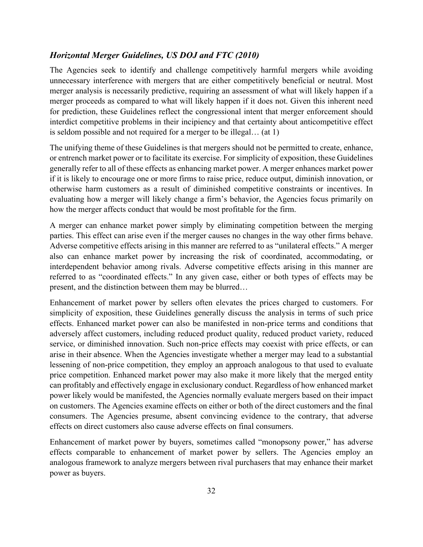## *Horizontal Merger Guidelines, US DOJ and FTC (2010)*

The Agencies seek to identify and challenge competitively harmful mergers while avoiding unnecessary interference with mergers that are either competitively beneficial or neutral. Most merger analysis is necessarily predictive, requiring an assessment of what will likely happen if a merger proceeds as compared to what will likely happen if it does not. Given this inherent need for prediction, these Guidelines reflect the congressional intent that merger enforcement should interdict competitive problems in their incipiency and that certainty about anticompetitive effect is seldom possible and not required for a merger to be illegal… (at 1)

The unifying theme of these Guidelines is that mergers should not be permitted to create, enhance, or entrench market power or to facilitate its exercise. For simplicity of exposition, these Guidelines generally refer to all of these effects as enhancing market power. A merger enhances market power if it is likely to encourage one or more firms to raise price, reduce output, diminish innovation, or otherwise harm customers as a result of diminished competitive constraints or incentives. In evaluating how a merger will likely change a firm's behavior, the Agencies focus primarily on how the merger affects conduct that would be most profitable for the firm.

A merger can enhance market power simply by eliminating competition between the merging parties. This effect can arise even if the merger causes no changes in the way other firms behave. Adverse competitive effects arising in this manner are referred to as "unilateral effects." A merger also can enhance market power by increasing the risk of coordinated, accommodating, or interdependent behavior among rivals. Adverse competitive effects arising in this manner are referred to as "coordinated effects." In any given case, either or both types of effects may be present, and the distinction between them may be blurred…

Enhancement of market power by sellers often elevates the prices charged to customers. For simplicity of exposition, these Guidelines generally discuss the analysis in terms of such price effects. Enhanced market power can also be manifested in non-price terms and conditions that adversely affect customers, including reduced product quality, reduced product variety, reduced service, or diminished innovation. Such non-price effects may coexist with price effects, or can arise in their absence. When the Agencies investigate whether a merger may lead to a substantial lessening of non-price competition, they employ an approach analogous to that used to evaluate price competition. Enhanced market power may also make it more likely that the merged entity can profitably and effectively engage in exclusionary conduct. Regardless of how enhanced market power likely would be manifested, the Agencies normally evaluate mergers based on their impact on customers. The Agencies examine effects on either or both of the direct customers and the final consumers. The Agencies presume, absent convincing evidence to the contrary, that adverse effects on direct customers also cause adverse effects on final consumers.

Enhancement of market power by buyers, sometimes called "monopsony power," has adverse effects comparable to enhancement of market power by sellers. The Agencies employ an analogous framework to analyze mergers between rival purchasers that may enhance their market power as buyers.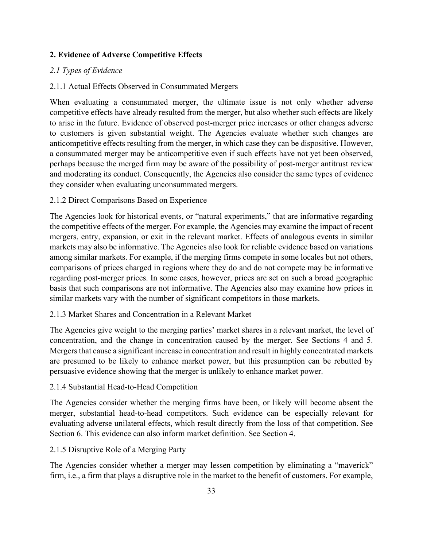## **2. Evidence of Adverse Competitive Effects**

## *2.1 Types of Evidence*

## 2.1.1 Actual Effects Observed in Consummated Mergers

When evaluating a consummated merger, the ultimate issue is not only whether adverse competitive effects have already resulted from the merger, but also whether such effects are likely to arise in the future. Evidence of observed post-merger price increases or other changes adverse to customers is given substantial weight. The Agencies evaluate whether such changes are anticompetitive effects resulting from the merger, in which case they can be dispositive. However, a consummated merger may be anticompetitive even if such effects have not yet been observed, perhaps because the merged firm may be aware of the possibility of post-merger antitrust review and moderating its conduct. Consequently, the Agencies also consider the same types of evidence they consider when evaluating unconsummated mergers.

## 2.1.2 Direct Comparisons Based on Experience

The Agencies look for historical events, or "natural experiments," that are informative regarding the competitive effects of the merger. For example, the Agencies may examine the impact of recent mergers, entry, expansion, or exit in the relevant market. Effects of analogous events in similar markets may also be informative. The Agencies also look for reliable evidence based on variations among similar markets. For example, if the merging firms compete in some locales but not others, comparisons of prices charged in regions where they do and do not compete may be informative regarding post-merger prices. In some cases, however, prices are set on such a broad geographic basis that such comparisons are not informative. The Agencies also may examine how prices in similar markets vary with the number of significant competitors in those markets.

#### 2.1.3 Market Shares and Concentration in a Relevant Market

The Agencies give weight to the merging parties' market shares in a relevant market, the level of concentration, and the change in concentration caused by the merger. See Sections 4 and 5. Mergers that cause a significant increase in concentration and result in highly concentrated markets are presumed to be likely to enhance market power, but this presumption can be rebutted by persuasive evidence showing that the merger is unlikely to enhance market power.

#### 2.1.4 Substantial Head-to-Head Competition

The Agencies consider whether the merging firms have been, or likely will become absent the merger, substantial head-to-head competitors. Such evidence can be especially relevant for evaluating adverse unilateral effects, which result directly from the loss of that competition. See Section 6. This evidence can also inform market definition. See Section 4.

## 2.1.5 Disruptive Role of a Merging Party

The Agencies consider whether a merger may lessen competition by eliminating a "maverick" firm, i.e., a firm that plays a disruptive role in the market to the benefit of customers. For example,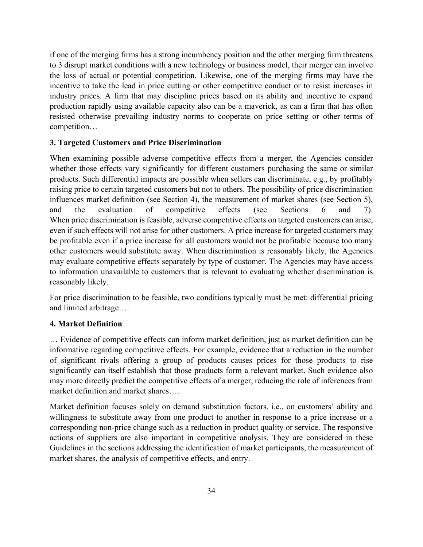if one of the merging firms has a strong incumbency position and the other merging firm threatens to 3 disrupt market conditions with a new technology or business model, their merger can involve the loss of actual or potential competition. Likewise, one of the merging firms may have the incentive to take the lead in price cutting or other competitive conduct or to resist increases in industry prices. A firm that may discipline prices based on its ability and incentive to expand production rapidly using available capacity also can be a maverick, as can a firm that has often resisted otherwise prevailing industry norms to cooperate on price setting or other terms of competition…

## **3. Targeted Customers and Price Discrimination**

When examining possible adverse competitive effects from a merger, the Agencies consider whether those effects vary significantly for different customers purchasing the same or similar products. Such differential impacts are possible when sellers can discriminate, e.g., by profitably raising price to certain targeted customers but not to others. The possibility of price discrimination influences market definition (see Section 4), the measurement of market shares (see Section 5), and the evaluation of competitive effects (see Sections 6 and 7). When price discrimination is feasible, adverse competitive effects on targeted customers can arise, even if such effects will not arise for other customers. A price increase for targeted customers may be profitable even if a price increase for all customers would not be profitable because too many other customers would substitute away. When discrimination is reasonably likely, the Agencies may evaluate competitive effects separately by type of customer. The Agencies may have access to information unavailable to customers that is relevant to evaluating whether discrimination is reasonably likely.

For price discrimination to be feasible, two conditions typically must be met: differential pricing and limited arbitrage….

## **4. Market Definition**

… Evidence of competitive effects can inform market definition, just as market definition can be informative regarding competitive effects. For example, evidence that a reduction in the number of significant rivals offering a group of products causes prices for those products to rise significantly can itself establish that those products form a relevant market. Such evidence also may more directly predict the competitive effects of a merger, reducing the role of inferences from market definition and market shares….

Market definition focuses solely on demand substitution factors, i.e., on customers' ability and willingness to substitute away from one product to another in response to a price increase or a corresponding non-price change such as a reduction in product quality or service. The responsive actions of suppliers are also important in competitive analysis. They are considered in these Guidelines in the sections addressing the identification of market participants, the measurement of market shares, the analysis of competitive effects, and entry.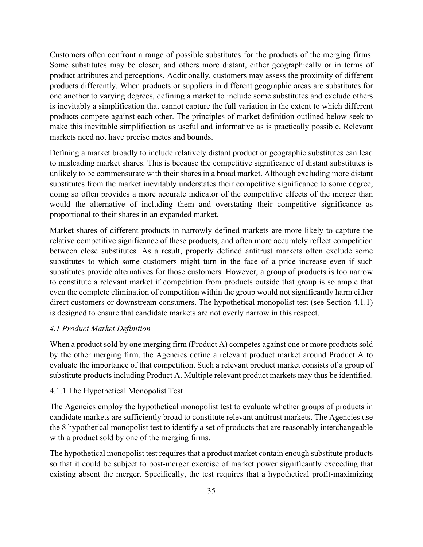Customers often confront a range of possible substitutes for the products of the merging firms. Some substitutes may be closer, and others more distant, either geographically or in terms of product attributes and perceptions. Additionally, customers may assess the proximity of different products differently. When products or suppliers in different geographic areas are substitutes for one another to varying degrees, defining a market to include some substitutes and exclude others is inevitably a simplification that cannot capture the full variation in the extent to which different products compete against each other. The principles of market definition outlined below seek to make this inevitable simplification as useful and informative as is practically possible. Relevant markets need not have precise metes and bounds.

Defining a market broadly to include relatively distant product or geographic substitutes can lead to misleading market shares. This is because the competitive significance of distant substitutes is unlikely to be commensurate with their shares in a broad market. Although excluding more distant substitutes from the market inevitably understates their competitive significance to some degree, doing so often provides a more accurate indicator of the competitive effects of the merger than would the alternative of including them and overstating their competitive significance as proportional to their shares in an expanded market.

Market shares of different products in narrowly defined markets are more likely to capture the relative competitive significance of these products, and often more accurately reflect competition between close substitutes. As a result, properly defined antitrust markets often exclude some substitutes to which some customers might turn in the face of a price increase even if such substitutes provide alternatives for those customers. However, a group of products is too narrow to constitute a relevant market if competition from products outside that group is so ample that even the complete elimination of competition within the group would not significantly harm either direct customers or downstream consumers. The hypothetical monopolist test (see Section 4.1.1) is designed to ensure that candidate markets are not overly narrow in this respect.

#### *4.1 Product Market Definition*

When a product sold by one merging firm (Product A) competes against one or more products sold by the other merging firm, the Agencies define a relevant product market around Product A to evaluate the importance of that competition. Such a relevant product market consists of a group of substitute products including Product A. Multiple relevant product markets may thus be identified.

#### 4.1.1 The Hypothetical Monopolist Test

The Agencies employ the hypothetical monopolist test to evaluate whether groups of products in candidate markets are sufficiently broad to constitute relevant antitrust markets. The Agencies use the 8 hypothetical monopolist test to identify a set of products that are reasonably interchangeable with a product sold by one of the merging firms.

The hypothetical monopolist test requires that a product market contain enough substitute products so that it could be subject to post-merger exercise of market power significantly exceeding that existing absent the merger. Specifically, the test requires that a hypothetical profit-maximizing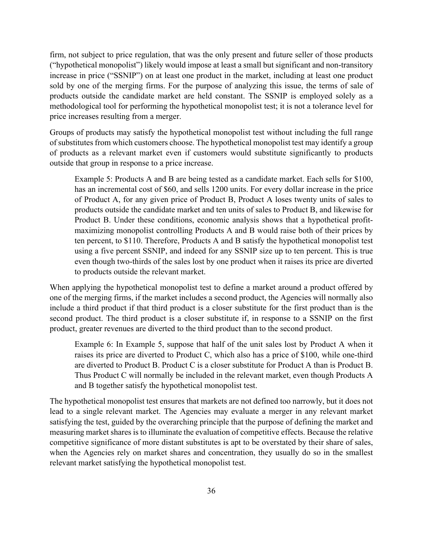firm, not subject to price regulation, that was the only present and future seller of those products ("hypothetical monopolist") likely would impose at least a small but significant and non-transitory increase in price ("SSNIP") on at least one product in the market, including at least one product sold by one of the merging firms. For the purpose of analyzing this issue, the terms of sale of products outside the candidate market are held constant. The SSNIP is employed solely as a methodological tool for performing the hypothetical monopolist test; it is not a tolerance level for price increases resulting from a merger.

Groups of products may satisfy the hypothetical monopolist test without including the full range of substitutes from which customers choose. The hypothetical monopolist test may identify a group of products as a relevant market even if customers would substitute significantly to products outside that group in response to a price increase.

Example 5: Products A and B are being tested as a candidate market. Each sells for \$100, has an incremental cost of \$60, and sells 1200 units. For every dollar increase in the price of Product A, for any given price of Product B, Product A loses twenty units of sales to products outside the candidate market and ten units of sales to Product B, and likewise for Product B. Under these conditions, economic analysis shows that a hypothetical profitmaximizing monopolist controlling Products A and B would raise both of their prices by ten percent, to \$110. Therefore, Products A and B satisfy the hypothetical monopolist test using a five percent SSNIP, and indeed for any SSNIP size up to ten percent. This is true even though two-thirds of the sales lost by one product when it raises its price are diverted to products outside the relevant market.

When applying the hypothetical monopolist test to define a market around a product offered by one of the merging firms, if the market includes a second product, the Agencies will normally also include a third product if that third product is a closer substitute for the first product than is the second product. The third product is a closer substitute if, in response to a SSNIP on the first product, greater revenues are diverted to the third product than to the second product.

Example 6: In Example 5, suppose that half of the unit sales lost by Product A when it raises its price are diverted to Product C, which also has a price of \$100, while one-third are diverted to Product B. Product C is a closer substitute for Product A than is Product B. Thus Product C will normally be included in the relevant market, even though Products A and B together satisfy the hypothetical monopolist test.

The hypothetical monopolist test ensures that markets are not defined too narrowly, but it does not lead to a single relevant market. The Agencies may evaluate a merger in any relevant market satisfying the test, guided by the overarching principle that the purpose of defining the market and measuring market shares is to illuminate the evaluation of competitive effects. Because the relative competitive significance of more distant substitutes is apt to be overstated by their share of sales, when the Agencies rely on market shares and concentration, they usually do so in the smallest relevant market satisfying the hypothetical monopolist test.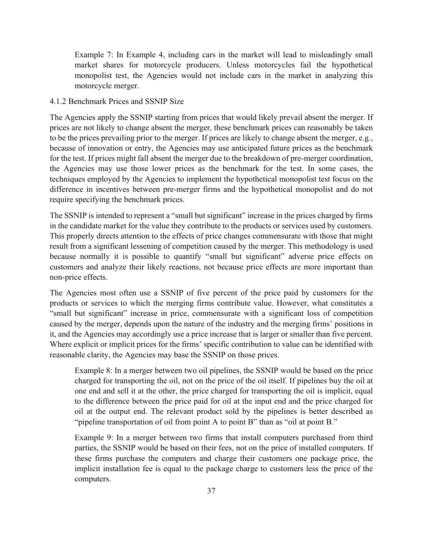Example 7: In Example 4, including cars in the market will lead to misleadingly small market shares for motorcycle producers. Unless motorcycles fail the hypothetical monopolist test, the Agencies would not include cars in the market in analyzing this motorcycle merger.

### 4.1.2 Benchmark Prices and SSNIP Size

The Agencies apply the SSNIP starting from prices that would likely prevail absent the merger. If prices are not likely to change absent the merger, these benchmark prices can reasonably be taken to be the prices prevailing prior to the merger. If prices are likely to change absent the merger, e.g., because of innovation or entry, the Agencies may use anticipated future prices as the benchmark for the test. If prices might fall absent the merger due to the breakdown of pre-merger coordination, the Agencies may use those lower prices as the benchmark for the test. In some cases, the techniques employed by the Agencies to implement the hypothetical monopolist test focus on the difference in incentives between pre-merger firms and the hypothetical monopolist and do not require specifying the benchmark prices.

The SSNIP is intended to represent a "small but significant" increase in the prices charged by firms in the candidate market for the value they contribute to the products or services used by customers. This properly directs attention to the effects of price changes commensurate with those that might result from a significant lessening of competition caused by the merger. This methodology is used because normally it is possible to quantify "small but significant" adverse price effects on customers and analyze their likely reactions, not because price effects are more important than non-price effects.

The Agencies most often use a SSNIP of five percent of the price paid by customers for the products or services to which the merging firms contribute value. However, what constitutes a "small but significant" increase in price, commensurate with a significant loss of competition caused by the merger, depends upon the nature of the industry and the merging firms' positions in it, and the Agencies may accordingly use a price increase that is larger or smaller than five percent. Where explicit or implicit prices for the firms' specific contribution to value can be identified with reasonable clarity, the Agencies may base the SSNIP on those prices.

Example 8: In a merger between two oil pipelines, the SSNIP would be based on the price charged for transporting the oil, not on the price of the oil itself. If pipelines buy the oil at one end and sell it at the other, the price charged for transporting the oil is implicit, equal to the difference between the price paid for oil at the input end and the price charged for oil at the output end. The relevant product sold by the pipelines is better described as "pipeline transportation of oil from point A to point B" than as "oil at point B."

Example 9: In a merger between two firms that install computers purchased from third parties, the SSNIP would be based on their fees, not on the price of installed computers. If these firms purchase the computers and charge their customers one package price, the implicit installation fee is equal to the package charge to customers less the price of the computers.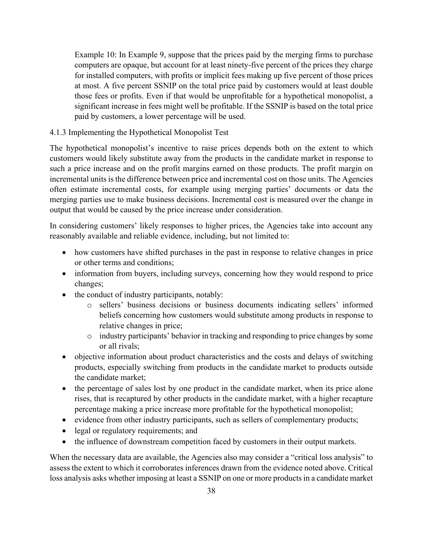Example 10: In Example 9, suppose that the prices paid by the merging firms to purchase computers are opaque, but account for at least ninety-five percent of the prices they charge for installed computers, with profits or implicit fees making up five percent of those prices at most. A five percent SSNIP on the total price paid by customers would at least double those fees or profits. Even if that would be unprofitable for a hypothetical monopolist, a significant increase in fees might well be profitable. If the SSNIP is based on the total price paid by customers, a lower percentage will be used.

### 4.1.3 Implementing the Hypothetical Monopolist Test

The hypothetical monopolist's incentive to raise prices depends both on the extent to which customers would likely substitute away from the products in the candidate market in response to such a price increase and on the profit margins earned on those products. The profit margin on incremental units is the difference between price and incremental cost on those units. The Agencies often estimate incremental costs, for example using merging parties' documents or data the merging parties use to make business decisions. Incremental cost is measured over the change in output that would be caused by the price increase under consideration.

In considering customers' likely responses to higher prices, the Agencies take into account any reasonably available and reliable evidence, including, but not limited to:

- how customers have shifted purchases in the past in response to relative changes in price or other terms and conditions;
- information from buyers, including surveys, concerning how they would respond to price changes;
- the conduct of industry participants, notably:
	- o sellers' business decisions or business documents indicating sellers' informed beliefs concerning how customers would substitute among products in response to relative changes in price;
	- o industry participants' behavior in tracking and responding to price changes by some or all rivals;
- objective information about product characteristics and the costs and delays of switching products, especially switching from products in the candidate market to products outside the candidate market;
- the percentage of sales lost by one product in the candidate market, when its price alone rises, that is recaptured by other products in the candidate market, with a higher recapture percentage making a price increase more profitable for the hypothetical monopolist;
- evidence from other industry participants, such as sellers of complementary products;
- legal or regulatory requirements; and
- the influence of downstream competition faced by customers in their output markets.

When the necessary data are available, the Agencies also may consider a "critical loss analysis" to assess the extent to which it corroborates inferences drawn from the evidence noted above. Critical loss analysis asks whether imposing at least a SSNIP on one or more products in a candidate market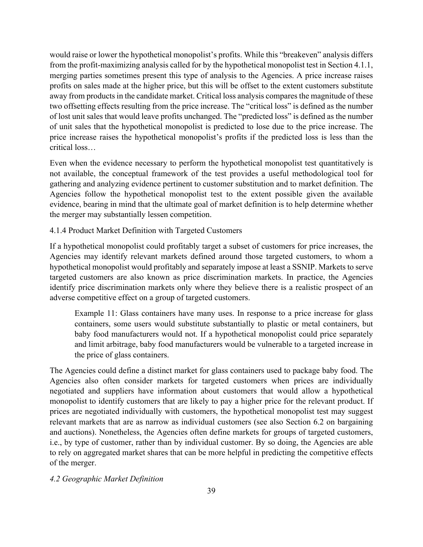would raise or lower the hypothetical monopolist's profits. While this "breakeven" analysis differs from the profit-maximizing analysis called for by the hypothetical monopolist test in Section 4.1.1, merging parties sometimes present this type of analysis to the Agencies. A price increase raises profits on sales made at the higher price, but this will be offset to the extent customers substitute away from products in the candidate market. Critical loss analysis compares the magnitude of these two offsetting effects resulting from the price increase. The "critical loss" is defined as the number of lost unit sales that would leave profits unchanged. The "predicted loss" is defined as the number of unit sales that the hypothetical monopolist is predicted to lose due to the price increase. The price increase raises the hypothetical monopolist's profits if the predicted loss is less than the critical loss…

Even when the evidence necessary to perform the hypothetical monopolist test quantitatively is not available, the conceptual framework of the test provides a useful methodological tool for gathering and analyzing evidence pertinent to customer substitution and to market definition. The Agencies follow the hypothetical monopolist test to the extent possible given the available evidence, bearing in mind that the ultimate goal of market definition is to help determine whether the merger may substantially lessen competition.

### 4.1.4 Product Market Definition with Targeted Customers

If a hypothetical monopolist could profitably target a subset of customers for price increases, the Agencies may identify relevant markets defined around those targeted customers, to whom a hypothetical monopolist would profitably and separately impose at least a SSNIP. Markets to serve targeted customers are also known as price discrimination markets. In practice, the Agencies identify price discrimination markets only where they believe there is a realistic prospect of an adverse competitive effect on a group of targeted customers.

Example 11: Glass containers have many uses. In response to a price increase for glass containers, some users would substitute substantially to plastic or metal containers, but baby food manufacturers would not. If a hypothetical monopolist could price separately and limit arbitrage, baby food manufacturers would be vulnerable to a targeted increase in the price of glass containers.

The Agencies could define a distinct market for glass containers used to package baby food. The Agencies also often consider markets for targeted customers when prices are individually negotiated and suppliers have information about customers that would allow a hypothetical monopolist to identify customers that are likely to pay a higher price for the relevant product. If prices are negotiated individually with customers, the hypothetical monopolist test may suggest relevant markets that are as narrow as individual customers (see also Section 6.2 on bargaining and auctions). Nonetheless, the Agencies often define markets for groups of targeted customers, i.e., by type of customer, rather than by individual customer. By so doing, the Agencies are able to rely on aggregated market shares that can be more helpful in predicting the competitive effects of the merger.

### *4.2 Geographic Market Definition*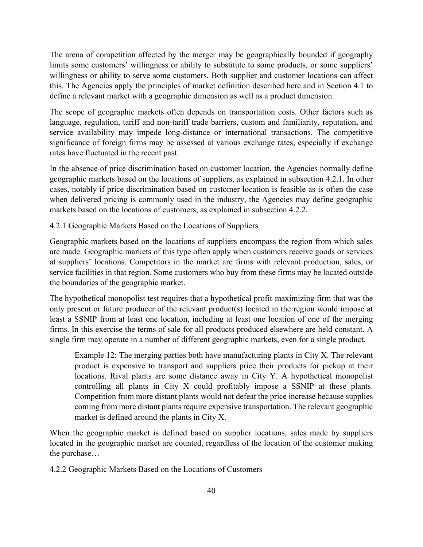The arena of competition affected by the merger may be geographically bounded if geography limits some customers' willingness or ability to substitute to some products, or some suppliers' willingness or ability to serve some customers. Both supplier and customer locations can affect this. The Agencies apply the principles of market definition described here and in Section 4.1 to define a relevant market with a geographic dimension as well as a product dimension.

The scope of geographic markets often depends on transportation costs. Other factors such as language, regulation, tariff and non-tariff trade barriers, custom and familiarity, reputation, and service availability may impede long-distance or international transactions. The competitive significance of foreign firms may be assessed at various exchange rates, especially if exchange rates have fluctuated in the recent past.

In the absence of price discrimination based on customer location, the Agencies normally define geographic markets based on the locations of suppliers, as explained in subsection 4.2.1. In other cases, notably if price discrimination based on customer location is feasible as is often the case when delivered pricing is commonly used in the industry, the Agencies may define geographic markets based on the locations of customers, as explained in subsection 4.2.2.

4.2.1 Geographic Markets Based on the Locations of Suppliers

Geographic markets based on the locations of suppliers encompass the region from which sales are made. Geographic markets of this type often apply when customers receive goods or services at suppliers' locations. Competitors in the market are firms with relevant production, sales, or service facilities in that region. Some customers who buy from these firms may be located outside the boundaries of the geographic market.

The hypothetical monopolist test requires that a hypothetical profit-maximizing firm that was the only present or future producer of the relevant product(s) located in the region would impose at least a SSNIP from at least one location, including at least one location of one of the merging firms. In this exercise the terms of sale for all products produced elsewhere are held constant. A single firm may operate in a number of different geographic markets, even for a single product.

Example 12: The merging parties both have manufacturing plants in City X. The relevant product is expensive to transport and suppliers price their products for pickup at their locations. Rival plants are some distance away in City Y. A hypothetical monopolist controlling all plants in City X could profitably impose a SSNIP at these plants. Competition from more distant plants would not defeat the price increase because supplies coming from more distant plants require expensive transportation. The relevant geographic market is defined around the plants in City X.

When the geographic market is defined based on supplier locations, sales made by suppliers located in the geographic market are counted, regardless of the location of the customer making the purchase…

4.2.2 Geographic Markets Based on the Locations of Customers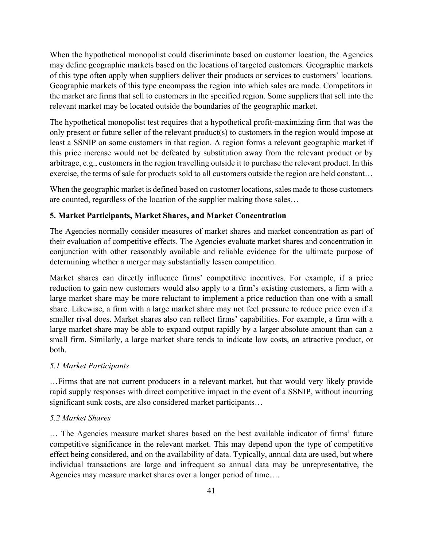When the hypothetical monopolist could discriminate based on customer location, the Agencies may define geographic markets based on the locations of targeted customers. Geographic markets of this type often apply when suppliers deliver their products or services to customers' locations. Geographic markets of this type encompass the region into which sales are made. Competitors in the market are firms that sell to customers in the specified region. Some suppliers that sell into the relevant market may be located outside the boundaries of the geographic market.

The hypothetical monopolist test requires that a hypothetical profit-maximizing firm that was the only present or future seller of the relevant product(s) to customers in the region would impose at least a SSNIP on some customers in that region. A region forms a relevant geographic market if this price increase would not be defeated by substitution away from the relevant product or by arbitrage, e.g., customers in the region travelling outside it to purchase the relevant product. In this exercise, the terms of sale for products sold to all customers outside the region are held constant…

When the geographic market is defined based on customer locations, sales made to those customers are counted, regardless of the location of the supplier making those sales…

### **5. Market Participants, Market Shares, and Market Concentration**

The Agencies normally consider measures of market shares and market concentration as part of their evaluation of competitive effects. The Agencies evaluate market shares and concentration in conjunction with other reasonably available and reliable evidence for the ultimate purpose of determining whether a merger may substantially lessen competition.

Market shares can directly influence firms' competitive incentives. For example, if a price reduction to gain new customers would also apply to a firm's existing customers, a firm with a large market share may be more reluctant to implement a price reduction than one with a small share. Likewise, a firm with a large market share may not feel pressure to reduce price even if a smaller rival does. Market shares also can reflect firms' capabilities. For example, a firm with a large market share may be able to expand output rapidly by a larger absolute amount than can a small firm. Similarly, a large market share tends to indicate low costs, an attractive product, or both.

#### *5.1 Market Participants*

…Firms that are not current producers in a relevant market, but that would very likely provide rapid supply responses with direct competitive impact in the event of a SSNIP, without incurring significant sunk costs, are also considered market participants…

#### *5.2 Market Shares*

… The Agencies measure market shares based on the best available indicator of firms' future competitive significance in the relevant market. This may depend upon the type of competitive effect being considered, and on the availability of data. Typically, annual data are used, but where individual transactions are large and infrequent so annual data may be unrepresentative, the Agencies may measure market shares over a longer period of time….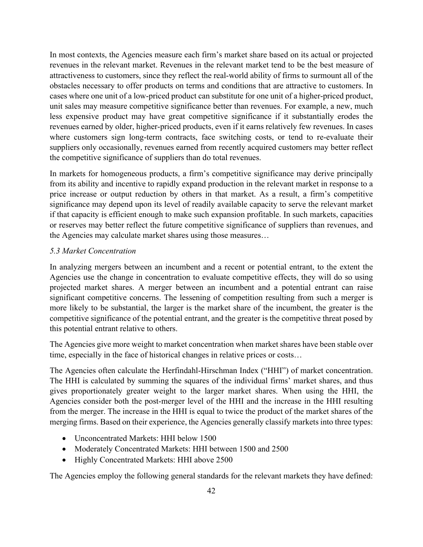In most contexts, the Agencies measure each firm's market share based on its actual or projected revenues in the relevant market. Revenues in the relevant market tend to be the best measure of attractiveness to customers, since they reflect the real-world ability of firms to surmount all of the obstacles necessary to offer products on terms and conditions that are attractive to customers. In cases where one unit of a low-priced product can substitute for one unit of a higher-priced product, unit sales may measure competitive significance better than revenues. For example, a new, much less expensive product may have great competitive significance if it substantially erodes the revenues earned by older, higher-priced products, even if it earns relatively few revenues. In cases where customers sign long-term contracts, face switching costs, or tend to re-evaluate their suppliers only occasionally, revenues earned from recently acquired customers may better reflect the competitive significance of suppliers than do total revenues.

In markets for homogeneous products, a firm's competitive significance may derive principally from its ability and incentive to rapidly expand production in the relevant market in response to a price increase or output reduction by others in that market. As a result, a firm's competitive significance may depend upon its level of readily available capacity to serve the relevant market if that capacity is efficient enough to make such expansion profitable. In such markets, capacities or reserves may better reflect the future competitive significance of suppliers than revenues, and the Agencies may calculate market shares using those measures…

### *5.3 Market Concentration*

In analyzing mergers between an incumbent and a recent or potential entrant, to the extent the Agencies use the change in concentration to evaluate competitive effects, they will do so using projected market shares. A merger between an incumbent and a potential entrant can raise significant competitive concerns. The lessening of competition resulting from such a merger is more likely to be substantial, the larger is the market share of the incumbent, the greater is the competitive significance of the potential entrant, and the greater is the competitive threat posed by this potential entrant relative to others.

The Agencies give more weight to market concentration when market shares have been stable over time, especially in the face of historical changes in relative prices or costs…

The Agencies often calculate the Herfindahl-Hirschman Index ("HHI") of market concentration. The HHI is calculated by summing the squares of the individual firms' market shares, and thus gives proportionately greater weight to the larger market shares. When using the HHI, the Agencies consider both the post-merger level of the HHI and the increase in the HHI resulting from the merger. The increase in the HHI is equal to twice the product of the market shares of the merging firms. Based on their experience, the Agencies generally classify markets into three types:

- Unconcentrated Markets: HHI below 1500
- Moderately Concentrated Markets: HHI between 1500 and 2500
- Highly Concentrated Markets: HHI above 2500

The Agencies employ the following general standards for the relevant markets they have defined: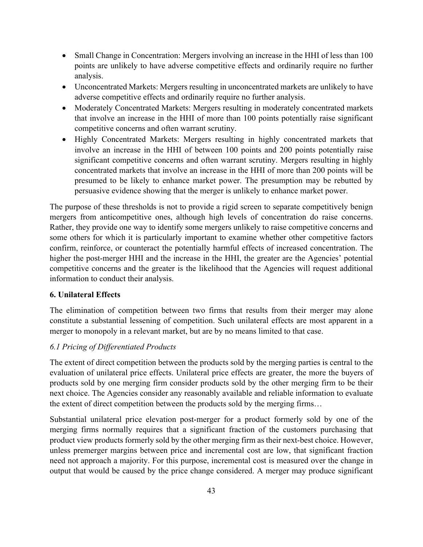- Small Change in Concentration: Mergers involving an increase in the HHI of less than 100 points are unlikely to have adverse competitive effects and ordinarily require no further analysis.
- Unconcentrated Markets: Mergers resulting in unconcentrated markets are unlikely to have adverse competitive effects and ordinarily require no further analysis.
- Moderately Concentrated Markets: Mergers resulting in moderately concentrated markets that involve an increase in the HHI of more than 100 points potentially raise significant competitive concerns and often warrant scrutiny.
- Highly Concentrated Markets: Mergers resulting in highly concentrated markets that involve an increase in the HHI of between 100 points and 200 points potentially raise significant competitive concerns and often warrant scrutiny. Mergers resulting in highly concentrated markets that involve an increase in the HHI of more than 200 points will be presumed to be likely to enhance market power. The presumption may be rebutted by persuasive evidence showing that the merger is unlikely to enhance market power.

The purpose of these thresholds is not to provide a rigid screen to separate competitively benign mergers from anticompetitive ones, although high levels of concentration do raise concerns. Rather, they provide one way to identify some mergers unlikely to raise competitive concerns and some others for which it is particularly important to examine whether other competitive factors confirm, reinforce, or counteract the potentially harmful effects of increased concentration. The higher the post-merger HHI and the increase in the HHI, the greater are the Agencies' potential competitive concerns and the greater is the likelihood that the Agencies will request additional information to conduct their analysis.

### **6. Unilateral Effects**

The elimination of competition between two firms that results from their merger may alone constitute a substantial lessening of competition. Such unilateral effects are most apparent in a merger to monopoly in a relevant market, but are by no means limited to that case.

# *6.1 Pricing of Differentiated Products*

The extent of direct competition between the products sold by the merging parties is central to the evaluation of unilateral price effects. Unilateral price effects are greater, the more the buyers of products sold by one merging firm consider products sold by the other merging firm to be their next choice. The Agencies consider any reasonably available and reliable information to evaluate the extent of direct competition between the products sold by the merging firms…

Substantial unilateral price elevation post-merger for a product formerly sold by one of the merging firms normally requires that a significant fraction of the customers purchasing that product view products formerly sold by the other merging firm as their next-best choice. However, unless premerger margins between price and incremental cost are low, that significant fraction need not approach a majority. For this purpose, incremental cost is measured over the change in output that would be caused by the price change considered. A merger may produce significant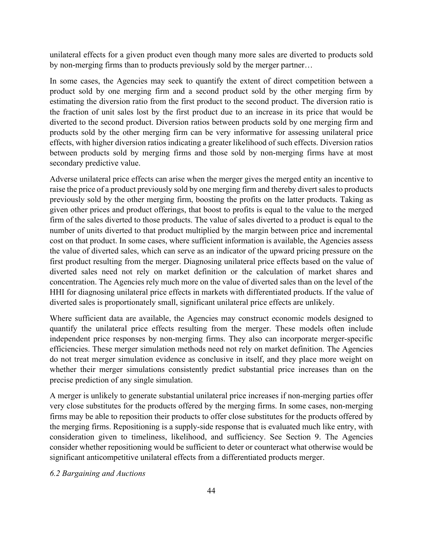unilateral effects for a given product even though many more sales are diverted to products sold by non-merging firms than to products previously sold by the merger partner…

In some cases, the Agencies may seek to quantify the extent of direct competition between a product sold by one merging firm and a second product sold by the other merging firm by estimating the diversion ratio from the first product to the second product. The diversion ratio is the fraction of unit sales lost by the first product due to an increase in its price that would be diverted to the second product. Diversion ratios between products sold by one merging firm and products sold by the other merging firm can be very informative for assessing unilateral price effects, with higher diversion ratios indicating a greater likelihood of such effects. Diversion ratios between products sold by merging firms and those sold by non-merging firms have at most secondary predictive value.

Adverse unilateral price effects can arise when the merger gives the merged entity an incentive to raise the price of a product previously sold by one merging firm and thereby divert sales to products previously sold by the other merging firm, boosting the profits on the latter products. Taking as given other prices and product offerings, that boost to profits is equal to the value to the merged firm of the sales diverted to those products. The value of sales diverted to a product is equal to the number of units diverted to that product multiplied by the margin between price and incremental cost on that product. In some cases, where sufficient information is available, the Agencies assess the value of diverted sales, which can serve as an indicator of the upward pricing pressure on the first product resulting from the merger. Diagnosing unilateral price effects based on the value of diverted sales need not rely on market definition or the calculation of market shares and concentration. The Agencies rely much more on the value of diverted sales than on the level of the HHI for diagnosing unilateral price effects in markets with differentiated products. If the value of diverted sales is proportionately small, significant unilateral price effects are unlikely.

Where sufficient data are available, the Agencies may construct economic models designed to quantify the unilateral price effects resulting from the merger. These models often include independent price responses by non-merging firms. They also can incorporate merger-specific efficiencies. These merger simulation methods need not rely on market definition. The Agencies do not treat merger simulation evidence as conclusive in itself, and they place more weight on whether their merger simulations consistently predict substantial price increases than on the precise prediction of any single simulation.

A merger is unlikely to generate substantial unilateral price increases if non-merging parties offer very close substitutes for the products offered by the merging firms. In some cases, non-merging firms may be able to reposition their products to offer close substitutes for the products offered by the merging firms. Repositioning is a supply-side response that is evaluated much like entry, with consideration given to timeliness, likelihood, and sufficiency. See Section 9. The Agencies consider whether repositioning would be sufficient to deter or counteract what otherwise would be significant anticompetitive unilateral effects from a differentiated products merger.

*6.2 Bargaining and Auctions*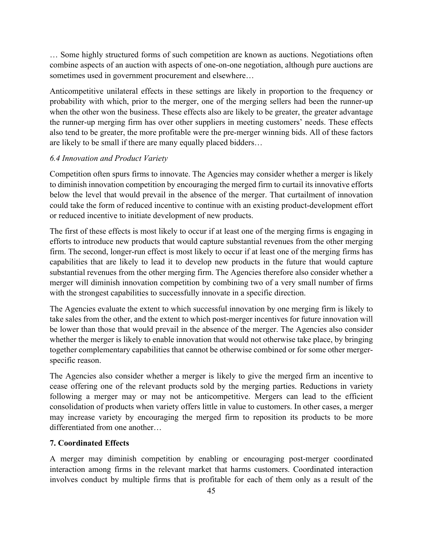… Some highly structured forms of such competition are known as auctions. Negotiations often combine aspects of an auction with aspects of one-on-one negotiation, although pure auctions are sometimes used in government procurement and elsewhere…

Anticompetitive unilateral effects in these settings are likely in proportion to the frequency or probability with which, prior to the merger, one of the merging sellers had been the runner-up when the other won the business. These effects also are likely to be greater, the greater advantage the runner-up merging firm has over other suppliers in meeting customers' needs. These effects also tend to be greater, the more profitable were the pre-merger winning bids. All of these factors are likely to be small if there are many equally placed bidders…

#### *6.4 Innovation and Product Variety*

Competition often spurs firms to innovate. The Agencies may consider whether a merger is likely to diminish innovation competition by encouraging the merged firm to curtail its innovative efforts below the level that would prevail in the absence of the merger. That curtailment of innovation could take the form of reduced incentive to continue with an existing product-development effort or reduced incentive to initiate development of new products.

The first of these effects is most likely to occur if at least one of the merging firms is engaging in efforts to introduce new products that would capture substantial revenues from the other merging firm. The second, longer-run effect is most likely to occur if at least one of the merging firms has capabilities that are likely to lead it to develop new products in the future that would capture substantial revenues from the other merging firm. The Agencies therefore also consider whether a merger will diminish innovation competition by combining two of a very small number of firms with the strongest capabilities to successfully innovate in a specific direction.

The Agencies evaluate the extent to which successful innovation by one merging firm is likely to take sales from the other, and the extent to which post-merger incentives for future innovation will be lower than those that would prevail in the absence of the merger. The Agencies also consider whether the merger is likely to enable innovation that would not otherwise take place, by bringing together complementary capabilities that cannot be otherwise combined or for some other mergerspecific reason.

The Agencies also consider whether a merger is likely to give the merged firm an incentive to cease offering one of the relevant products sold by the merging parties. Reductions in variety following a merger may or may not be anticompetitive. Mergers can lead to the efficient consolidation of products when variety offers little in value to customers. In other cases, a merger may increase variety by encouraging the merged firm to reposition its products to be more differentiated from one another…

#### **7. Coordinated Effects**

A merger may diminish competition by enabling or encouraging post-merger coordinated interaction among firms in the relevant market that harms customers. Coordinated interaction involves conduct by multiple firms that is profitable for each of them only as a result of the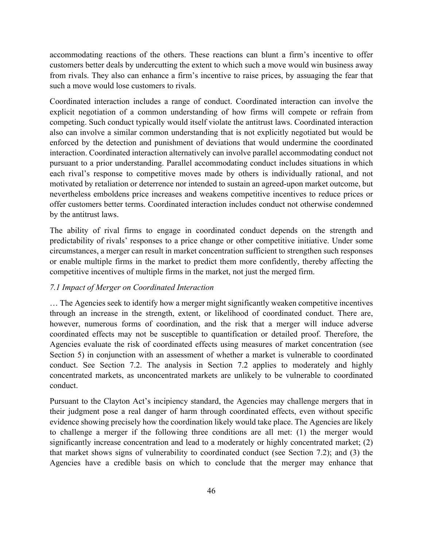accommodating reactions of the others. These reactions can blunt a firm's incentive to offer customers better deals by undercutting the extent to which such a move would win business away from rivals. They also can enhance a firm's incentive to raise prices, by assuaging the fear that such a move would lose customers to rivals.

Coordinated interaction includes a range of conduct. Coordinated interaction can involve the explicit negotiation of a common understanding of how firms will compete or refrain from competing. Such conduct typically would itself violate the antitrust laws. Coordinated interaction also can involve a similar common understanding that is not explicitly negotiated but would be enforced by the detection and punishment of deviations that would undermine the coordinated interaction. Coordinated interaction alternatively can involve parallel accommodating conduct not pursuant to a prior understanding. Parallel accommodating conduct includes situations in which each rival's response to competitive moves made by others is individually rational, and not motivated by retaliation or deterrence nor intended to sustain an agreed-upon market outcome, but nevertheless emboldens price increases and weakens competitive incentives to reduce prices or offer customers better terms. Coordinated interaction includes conduct not otherwise condemned by the antitrust laws.

The ability of rival firms to engage in coordinated conduct depends on the strength and predictability of rivals' responses to a price change or other competitive initiative. Under some circumstances, a merger can result in market concentration sufficient to strengthen such responses or enable multiple firms in the market to predict them more confidently, thereby affecting the competitive incentives of multiple firms in the market, not just the merged firm.

### *7.1 Impact of Merger on Coordinated Interaction*

… The Agencies seek to identify how a merger might significantly weaken competitive incentives through an increase in the strength, extent, or likelihood of coordinated conduct. There are, however, numerous forms of coordination, and the risk that a merger will induce adverse coordinated effects may not be susceptible to quantification or detailed proof. Therefore, the Agencies evaluate the risk of coordinated effects using measures of market concentration (see Section 5) in conjunction with an assessment of whether a market is vulnerable to coordinated conduct. See Section 7.2. The analysis in Section 7.2 applies to moderately and highly concentrated markets, as unconcentrated markets are unlikely to be vulnerable to coordinated conduct.

Pursuant to the Clayton Act's incipiency standard, the Agencies may challenge mergers that in their judgment pose a real danger of harm through coordinated effects, even without specific evidence showing precisely how the coordination likely would take place. The Agencies are likely to challenge a merger if the following three conditions are all met: (1) the merger would significantly increase concentration and lead to a moderately or highly concentrated market; (2) that market shows signs of vulnerability to coordinated conduct (see Section 7.2); and (3) the Agencies have a credible basis on which to conclude that the merger may enhance that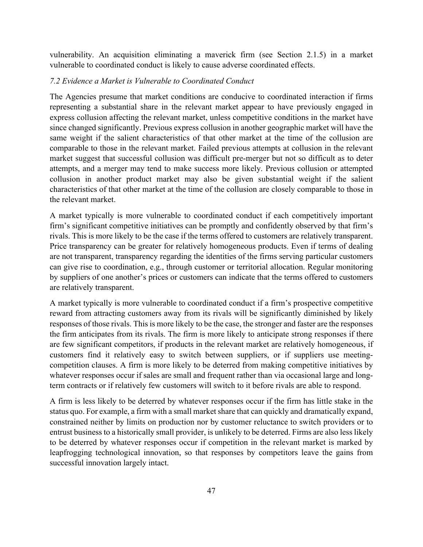vulnerability. An acquisition eliminating a maverick firm (see Section 2.1.5) in a market vulnerable to coordinated conduct is likely to cause adverse coordinated effects.

### *7.2 Evidence a Market is Vulnerable to Coordinated Conduct*

The Agencies presume that market conditions are conducive to coordinated interaction if firms representing a substantial share in the relevant market appear to have previously engaged in express collusion affecting the relevant market, unless competitive conditions in the market have since changed significantly. Previous express collusion in another geographic market will have the same weight if the salient characteristics of that other market at the time of the collusion are comparable to those in the relevant market. Failed previous attempts at collusion in the relevant market suggest that successful collusion was difficult pre-merger but not so difficult as to deter attempts, and a merger may tend to make success more likely. Previous collusion or attempted collusion in another product market may also be given substantial weight if the salient characteristics of that other market at the time of the collusion are closely comparable to those in the relevant market.

A market typically is more vulnerable to coordinated conduct if each competitively important firm's significant competitive initiatives can be promptly and confidently observed by that firm's rivals. This is more likely to be the case if the terms offered to customers are relatively transparent. Price transparency can be greater for relatively homogeneous products. Even if terms of dealing are not transparent, transparency regarding the identities of the firms serving particular customers can give rise to coordination, e.g., through customer or territorial allocation. Regular monitoring by suppliers of one another's prices or customers can indicate that the terms offered to customers are relatively transparent.

A market typically is more vulnerable to coordinated conduct if a firm's prospective competitive reward from attracting customers away from its rivals will be significantly diminished by likely responses of those rivals. This is more likely to be the case, the stronger and faster are the responses the firm anticipates from its rivals. The firm is more likely to anticipate strong responses if there are few significant competitors, if products in the relevant market are relatively homogeneous, if customers find it relatively easy to switch between suppliers, or if suppliers use meetingcompetition clauses. A firm is more likely to be deterred from making competitive initiatives by whatever responses occur if sales are small and frequent rather than via occasional large and longterm contracts or if relatively few customers will switch to it before rivals are able to respond.

A firm is less likely to be deterred by whatever responses occur if the firm has little stake in the status quo. For example, a firm with a small market share that can quickly and dramatically expand, constrained neither by limits on production nor by customer reluctance to switch providers or to entrust business to a historically small provider, is unlikely to be deterred. Firms are also less likely to be deterred by whatever responses occur if competition in the relevant market is marked by leapfrogging technological innovation, so that responses by competitors leave the gains from successful innovation largely intact.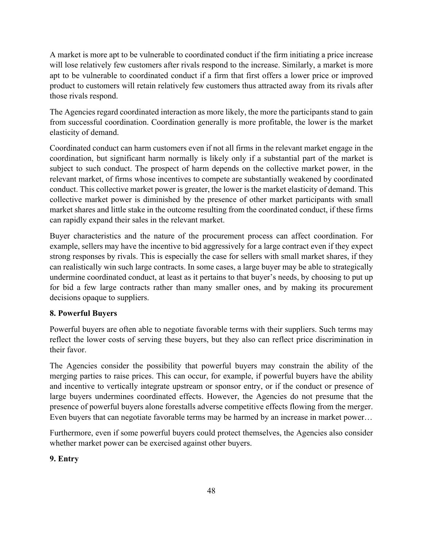A market is more apt to be vulnerable to coordinated conduct if the firm initiating a price increase will lose relatively few customers after rivals respond to the increase. Similarly, a market is more apt to be vulnerable to coordinated conduct if a firm that first offers a lower price or improved product to customers will retain relatively few customers thus attracted away from its rivals after those rivals respond.

The Agencies regard coordinated interaction as more likely, the more the participants stand to gain from successful coordination. Coordination generally is more profitable, the lower is the market elasticity of demand.

Coordinated conduct can harm customers even if not all firms in the relevant market engage in the coordination, but significant harm normally is likely only if a substantial part of the market is subject to such conduct. The prospect of harm depends on the collective market power, in the relevant market, of firms whose incentives to compete are substantially weakened by coordinated conduct. This collective market power is greater, the lower is the market elasticity of demand. This collective market power is diminished by the presence of other market participants with small market shares and little stake in the outcome resulting from the coordinated conduct, if these firms can rapidly expand their sales in the relevant market.

Buyer characteristics and the nature of the procurement process can affect coordination. For example, sellers may have the incentive to bid aggressively for a large contract even if they expect strong responses by rivals. This is especially the case for sellers with small market shares, if they can realistically win such large contracts. In some cases, a large buyer may be able to strategically undermine coordinated conduct, at least as it pertains to that buyer's needs, by choosing to put up for bid a few large contracts rather than many smaller ones, and by making its procurement decisions opaque to suppliers.

# **8. Powerful Buyers**

Powerful buyers are often able to negotiate favorable terms with their suppliers. Such terms may reflect the lower costs of serving these buyers, but they also can reflect price discrimination in their favor.

The Agencies consider the possibility that powerful buyers may constrain the ability of the merging parties to raise prices. This can occur, for example, if powerful buyers have the ability and incentive to vertically integrate upstream or sponsor entry, or if the conduct or presence of large buyers undermines coordinated effects. However, the Agencies do not presume that the presence of powerful buyers alone forestalls adverse competitive effects flowing from the merger. Even buyers that can negotiate favorable terms may be harmed by an increase in market power…

Furthermore, even if some powerful buyers could protect themselves, the Agencies also consider whether market power can be exercised against other buyers.

# **9. Entry**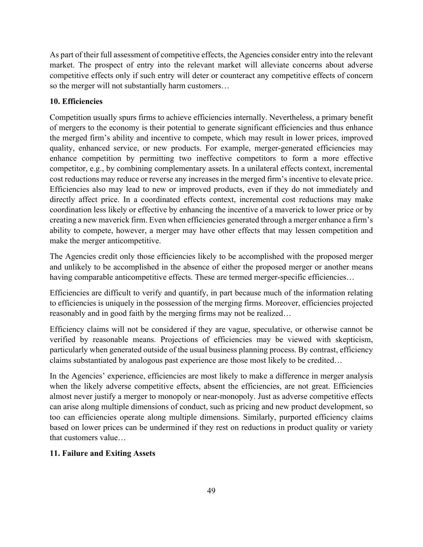As part of their full assessment of competitive effects, the Agencies consider entry into the relevant market. The prospect of entry into the relevant market will alleviate concerns about adverse competitive effects only if such entry will deter or counteract any competitive effects of concern so the merger will not substantially harm customers…

# **10. Efficiencies**

Competition usually spurs firms to achieve efficiencies internally. Nevertheless, a primary benefit of mergers to the economy is their potential to generate significant efficiencies and thus enhance the merged firm's ability and incentive to compete, which may result in lower prices, improved quality, enhanced service, or new products. For example, merger-generated efficiencies may enhance competition by permitting two ineffective competitors to form a more effective competitor, e.g., by combining complementary assets. In a unilateral effects context, incremental cost reductions may reduce or reverse any increases in the merged firm's incentive to elevate price. Efficiencies also may lead to new or improved products, even if they do not immediately and directly affect price. In a coordinated effects context, incremental cost reductions may make coordination less likely or effective by enhancing the incentive of a maverick to lower price or by creating a new maverick firm. Even when efficiencies generated through a merger enhance a firm's ability to compete, however, a merger may have other effects that may lessen competition and make the merger anticompetitive.

The Agencies credit only those efficiencies likely to be accomplished with the proposed merger and unlikely to be accomplished in the absence of either the proposed merger or another means having comparable anticompetitive effects. These are termed merger-specific efficiencies...

Efficiencies are difficult to verify and quantify, in part because much of the information relating to efficiencies is uniquely in the possession of the merging firms. Moreover, efficiencies projected reasonably and in good faith by the merging firms may not be realized…

Efficiency claims will not be considered if they are vague, speculative, or otherwise cannot be verified by reasonable means. Projections of efficiencies may be viewed with skepticism, particularly when generated outside of the usual business planning process. By contrast, efficiency claims substantiated by analogous past experience are those most likely to be credited…

In the Agencies' experience, efficiencies are most likely to make a difference in merger analysis when the likely adverse competitive effects, absent the efficiencies, are not great. Efficiencies almost never justify a merger to monopoly or near-monopoly. Just as adverse competitive effects can arise along multiple dimensions of conduct, such as pricing and new product development, so too can efficiencies operate along multiple dimensions. Similarly, purported efficiency claims based on lower prices can be undermined if they rest on reductions in product quality or variety that customers value…

# **11. Failure and Exiting Assets**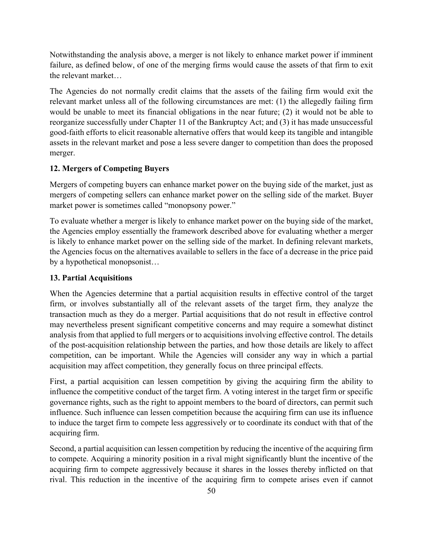Notwithstanding the analysis above, a merger is not likely to enhance market power if imminent failure, as defined below, of one of the merging firms would cause the assets of that firm to exit the relevant market…

The Agencies do not normally credit claims that the assets of the failing firm would exit the relevant market unless all of the following circumstances are met: (1) the allegedly failing firm would be unable to meet its financial obligations in the near future; (2) it would not be able to reorganize successfully under Chapter 11 of the Bankruptcy Act; and (3) it has made unsuccessful good-faith efforts to elicit reasonable alternative offers that would keep its tangible and intangible assets in the relevant market and pose a less severe danger to competition than does the proposed merger.

# **12. Mergers of Competing Buyers**

Mergers of competing buyers can enhance market power on the buying side of the market, just as mergers of competing sellers can enhance market power on the selling side of the market. Buyer market power is sometimes called "monopsony power."

To evaluate whether a merger is likely to enhance market power on the buying side of the market, the Agencies employ essentially the framework described above for evaluating whether a merger is likely to enhance market power on the selling side of the market. In defining relevant markets, the Agencies focus on the alternatives available to sellers in the face of a decrease in the price paid by a hypothetical monopsonist…

### **13. Partial Acquisitions**

When the Agencies determine that a partial acquisition results in effective control of the target firm, or involves substantially all of the relevant assets of the target firm, they analyze the transaction much as they do a merger. Partial acquisitions that do not result in effective control may nevertheless present significant competitive concerns and may require a somewhat distinct analysis from that applied to full mergers or to acquisitions involving effective control. The details of the post-acquisition relationship between the parties, and how those details are likely to affect competition, can be important. While the Agencies will consider any way in which a partial acquisition may affect competition, they generally focus on three principal effects.

First, a partial acquisition can lessen competition by giving the acquiring firm the ability to influence the competitive conduct of the target firm. A voting interest in the target firm or specific governance rights, such as the right to appoint members to the board of directors, can permit such influence. Such influence can lessen competition because the acquiring firm can use its influence to induce the target firm to compete less aggressively or to coordinate its conduct with that of the acquiring firm.

Second, a partial acquisition can lessen competition by reducing the incentive of the acquiring firm to compete. Acquiring a minority position in a rival might significantly blunt the incentive of the acquiring firm to compete aggressively because it shares in the losses thereby inflicted on that rival. This reduction in the incentive of the acquiring firm to compete arises even if cannot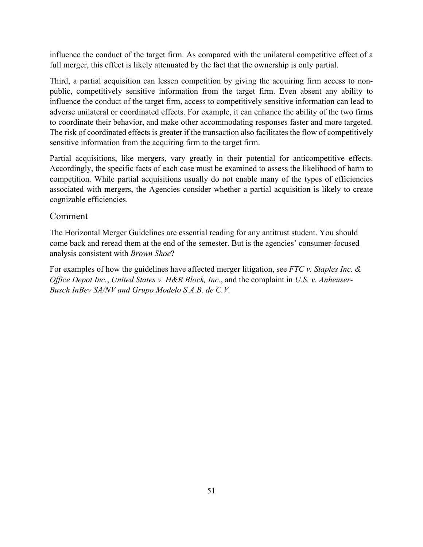influence the conduct of the target firm. As compared with the unilateral competitive effect of a full merger, this effect is likely attenuated by the fact that the ownership is only partial.

Third, a partial acquisition can lessen competition by giving the acquiring firm access to nonpublic, competitively sensitive information from the target firm. Even absent any ability to influence the conduct of the target firm, access to competitively sensitive information can lead to adverse unilateral or coordinated effects. For example, it can enhance the ability of the two firms to coordinate their behavior, and make other accommodating responses faster and more targeted. The risk of coordinated effects is greater if the transaction also facilitates the flow of competitively sensitive information from the acquiring firm to the target firm.

Partial acquisitions, like mergers, vary greatly in their potential for anticompetitive effects. Accordingly, the specific facts of each case must be examined to assess the likelihood of harm to competition. While partial acquisitions usually do not enable many of the types of efficiencies associated with mergers, the Agencies consider whether a partial acquisition is likely to create cognizable efficiencies.

# Comment

The Horizontal Merger Guidelines are essential reading for any antitrust student. You should come back and reread them at the end of the semester. But is the agencies' consumer-focused analysis consistent with *Brown Shoe*?

For examples of how the guidelines have affected merger litigation, see *FTC v. Staples Inc. & Office Depot Inc.*, *United States v. H&R Block, Inc.*, and the complaint in *U.S. v. Anheuser-Busch InBev SA/NV and Grupo Modelo S.A.B. de C.V.*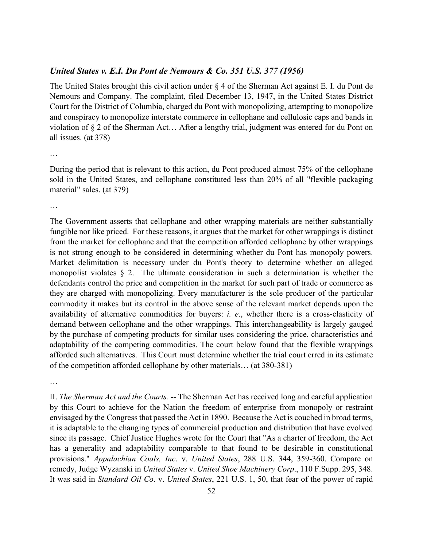### *United States v. E.I. Du Pont de Nemours & Co. 351 U.S. 377 (1956)*

The United States brought this civil action under § 4 of the Sherman Act against E. I. du Pont de Nemours and Company. The complaint, filed December 13, 1947, in the United States District Court for the District of Columbia, charged du Pont with monopolizing, attempting to monopolize and conspiracy to monopolize interstate commerce in cellophane and cellulosic caps and bands in violation of § 2 of the Sherman Act… After a lengthy trial, judgment was entered for du Pont on all issues. (at 378)

…

During the period that is relevant to this action, du Pont produced almost 75% of the cellophane sold in the United States, and cellophane constituted less than 20% of all "flexible packaging material" sales. (at 379)

…

The Government asserts that cellophane and other wrapping materials are neither substantially fungible nor like priced. For these reasons, it argues that the market for other wrappings is distinct from the market for cellophane and that the competition afforded cellophane by other wrappings is not strong enough to be considered in determining whether du Pont has monopoly powers. Market delimitation is necessary under du Pont's theory to determine whether an alleged monopolist violates  $\S$  2. The ultimate consideration in such a determination is whether the defendants control the price and competition in the market for such part of trade or commerce as they are charged with monopolizing. Every manufacturer is the sole producer of the particular commodity it makes but its control in the above sense of the relevant market depends upon the availability of alternative commodities for buyers: *i. e*., whether there is a cross-elasticity of demand between cellophane and the other wrappings. This interchangeability is largely gauged by the purchase of competing products for similar uses considering the price, characteristics and adaptability of the competing commodities. The court below found that the flexible wrappings afforded such alternatives. This Court must determine whether the trial court erred in its estimate of the competition afforded cellophane by other materials… (at 380-381)

…

II. *The Sherman Act and the Courts.* -- The Sherman Act has received long and careful application by this Court to achieve for the Nation the freedom of enterprise from monopoly or restraint envisaged by the Congress that passed the Act in 1890. Because the Act is couched in broad terms, it is adaptable to the changing types of commercial production and distribution that have evolved since its passage. Chief Justice Hughes wrote for the Court that "As a charter of freedom, the Act has a generality and adaptability comparable to that found to be desirable in constitutional provisions." *Appalachian Coals, Inc*. v. *United States*, 288 U.S. 344, 359-360. Compare on remedy, Judge Wyzanski in *United States* v. *United Shoe Machinery Corp*., 110 F.Supp. 295, 348. It was said in *Standard Oil Co*. v. *United States*, 221 U.S. 1, 50, that fear of the power of rapid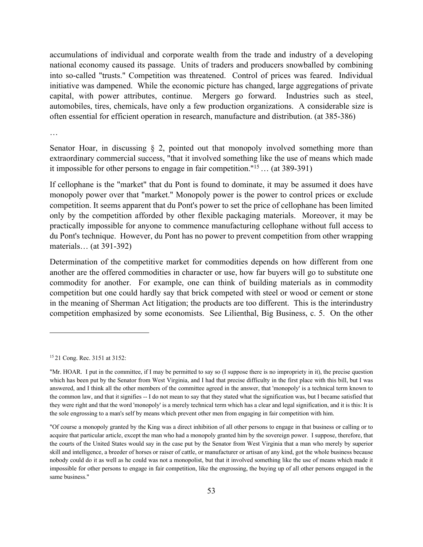accumulations of individual and corporate wealth from the trade and industry of a developing national economy caused its passage. Units of traders and producers snowballed by combining into so-called "trusts." Competition was threatened. Control of prices was feared. Individual initiative was dampened. While the economic picture has changed, large aggregations of private capital, with power attributes, continue. Mergers go forward. Industries such as steel, automobiles, tires, chemicals, have only a few production organizations. A considerable size is often essential for efficient operation in research, manufacture and distribution. (at 385-386)

…

Senator Hoar, in discussing § 2, pointed out that monopoly involved something more than extraordinary commercial success, "that it involved something like the use of means which made it impossible for other persons to engage in fair competition."15 … (at 389-391)

If cellophane is the "market" that du Pont is found to dominate, it may be assumed it does have monopoly power over that "market." Monopoly power is the power to control prices or exclude competition. It seems apparent that du Pont's power to set the price of cellophane has been limited only by the competition afforded by other flexible packaging materials. Moreover, it may be practically impossible for anyone to commence manufacturing cellophane without full access to du Pont's technique. However, du Pont has no power to prevent competition from other wrapping materials… (at 391-392)

Determination of the competitive market for commodities depends on how different from one another are the offered commodities in character or use, how far buyers will go to substitute one commodity for another. For example, one can think of building materials as in commodity competition but one could hardly say that brick competed with steel or wood or cement or stone in the meaning of Sherman Act litigation; the products are too different. This is the interindustry competition emphasized by some economists. See Lilienthal, Big Business, c. 5. On the other

<sup>15</sup> 21 Cong. Rec. 3151 at 3152:

<sup>&</sup>quot;Mr. HOAR. I put in the committee, if I may be permitted to say so (I suppose there is no impropriety in it), the precise question which has been put by the Senator from West Virginia, and I had that precise difficulty in the first place with this bill, but I was answered, and I think all the other members of the committee agreed in the answer, that 'monopoly' is a technical term known to the common law, and that it signifies -- I do not mean to say that they stated what the signification was, but I became satisfied that they were right and that the word 'monopoly' is a merely technical term which has a clear and legal signification, and it is this: It is the sole engrossing to a man's self by means which prevent other men from engaging in fair competition with him.

<sup>&</sup>quot;Of course a monopoly granted by the King was a direct inhibition of all other persons to engage in that business or calling or to acquire that particular article, except the man who had a monopoly granted him by the sovereign power. I suppose, therefore, that the courts of the United States would say in the case put by the Senator from West Virginia that a man who merely by superior skill and intelligence, a breeder of horses or raiser of cattle, or manufacturer or artisan of any kind, got the whole business because nobody could do it as well as he could was not a monopolist, but that it involved something like the use of means which made it impossible for other persons to engage in fair competition, like the engrossing, the buying up of all other persons engaged in the same business."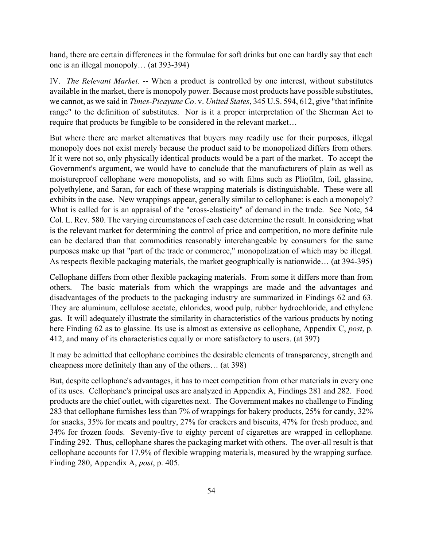hand, there are certain differences in the formulae for soft drinks but one can hardly say that each one is an illegal monopoly… (at 393-394)

IV. *The Relevant Market.* -- When a product is controlled by one interest, without substitutes available in the market, there is monopoly power. Because most products have possible substitutes, we cannot, as we said in *Times-Picayune Co*. v. *United States*, 345 U.S. 594, 612, give "that infinite range" to the definition of substitutes. Nor is it a proper interpretation of the Sherman Act to require that products be fungible to be considered in the relevant market…

But where there are market alternatives that buyers may readily use for their purposes, illegal monopoly does not exist merely because the product said to be monopolized differs from others. If it were not so, only physically identical products would be a part of the market. To accept the Government's argument, we would have to conclude that the manufacturers of plain as well as moistureproof cellophane were monopolists, and so with films such as Pliofilm, foil, glassine, polyethylene, and Saran, for each of these wrapping materials is distinguishable. These were all exhibits in the case. New wrappings appear, generally similar to cellophane: is each a monopoly? What is called for is an appraisal of the "cross-elasticity" of demand in the trade. See Note, 54 Col. L. Rev. 580. The varying circumstances of each case determine the result. In considering what is the relevant market for determining the control of price and competition, no more definite rule can be declared than that commodities reasonably interchangeable by consumers for the same purposes make up that "part of the trade or commerce," monopolization of which may be illegal. As respects flexible packaging materials, the market geographically is nationwide… (at 394-395)

Cellophane differs from other flexible packaging materials. From some it differs more than from others. The basic materials from which the wrappings are made and the advantages and disadvantages of the products to the packaging industry are summarized in Findings 62 and 63. They are aluminum, cellulose acetate, chlorides, wood pulp, rubber hydrochloride, and ethylene gas. It will adequately illustrate the similarity in characteristics of the various products by noting here Finding 62 as to glassine. Its use is almost as extensive as cellophane, Appendix C, *post*, p. 412, and many of its characteristics equally or more satisfactory to users. (at 397)

It may be admitted that cellophane combines the desirable elements of transparency, strength and cheapness more definitely than any of the others… (at 398)

But, despite cellophane's advantages, it has to meet competition from other materials in every one of its uses. Cellophane's principal uses are analyzed in Appendix A, Findings 281 and 282. Food products are the chief outlet, with cigarettes next. The Government makes no challenge to Finding 283 that cellophane furnishes less than 7% of wrappings for bakery products, 25% for candy, 32% for snacks, 35% for meats and poultry, 27% for crackers and biscuits, 47% for fresh produce, and 34% for frozen foods. Seventy-five to eighty percent of cigarettes are wrapped in cellophane. Finding 292. Thus, cellophane shares the packaging market with others. The over-all result is that cellophane accounts for 17.9% of flexible wrapping materials, measured by the wrapping surface. Finding 280, Appendix A, *post*, p. 405.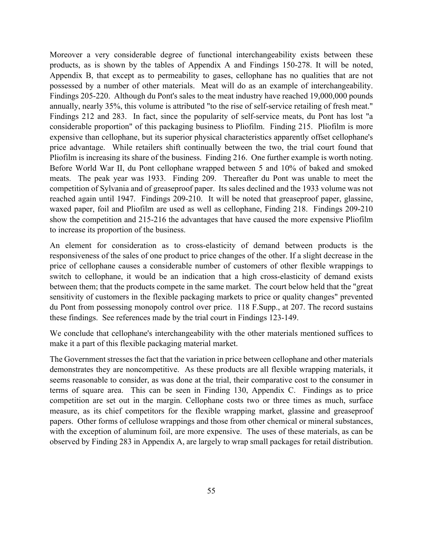Moreover a very considerable degree of functional interchangeability exists between these products, as is shown by the tables of Appendix A and Findings 150-278. It will be noted, Appendix B, that except as to permeability to gases, cellophane has no qualities that are not possessed by a number of other materials. Meat will do as an example of interchangeability. Findings 205-220. Although du Pont's sales to the meat industry have reached 19,000,000 pounds annually, nearly 35%, this volume is attributed "to the rise of self-service retailing of fresh meat." Findings 212 and 283. In fact, since the popularity of self-service meats, du Pont has lost "a considerable proportion" of this packaging business to Pliofilm. Finding 215. Pliofilm is more expensive than cellophane, but its superior physical characteristics apparently offset cellophane's price advantage. While retailers shift continually between the two, the trial court found that Pliofilm is increasing its share of the business. Finding 216. One further example is worth noting. Before World War II, du Pont cellophane wrapped between 5 and 10% of baked and smoked meats. The peak year was 1933. Finding 209. Thereafter du Pont was unable to meet the competition of Sylvania and of greaseproof paper. Its sales declined and the 1933 volume was not reached again until 1947. Findings 209-210. It will be noted that greaseproof paper, glassine, waxed paper, foil and Pliofilm are used as well as cellophane, Finding 218. Findings 209-210 show the competition and 215-216 the advantages that have caused the more expensive Pliofilm to increase its proportion of the business.

An element for consideration as to cross-elasticity of demand between products is the responsiveness of the sales of one product to price changes of the other. If a slight decrease in the price of cellophane causes a considerable number of customers of other flexible wrappings to switch to cellophane, it would be an indication that a high cross-elasticity of demand exists between them; that the products compete in the same market. The court below held that the "great sensitivity of customers in the flexible packaging markets to price or quality changes" prevented du Pont from possessing monopoly control over price. 118 F.Supp., at 207. The record sustains these findings. See references made by the trial court in Findings 123-149.

We conclude that cellophane's interchangeability with the other materials mentioned suffices to make it a part of this flexible packaging material market.

The Government stresses the fact that the variation in price between cellophane and other materials demonstrates they are noncompetitive. As these products are all flexible wrapping materials, it seems reasonable to consider, as was done at the trial, their comparative cost to the consumer in terms of square area. This can be seen in Finding 130, Appendix C. Findings as to price competition are set out in the margin. Cellophane costs two or three times as much, surface measure, as its chief competitors for the flexible wrapping market, glassine and greaseproof papers. Other forms of cellulose wrappings and those from other chemical or mineral substances, with the exception of aluminum foil, are more expensive. The uses of these materials, as can be observed by Finding 283 in Appendix A, are largely to wrap small packages for retail distribution.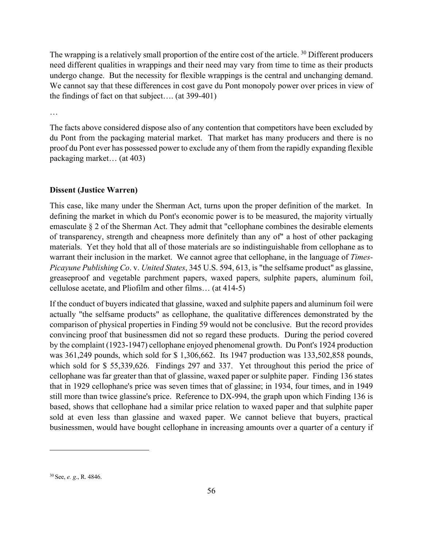The wrapping is a relatively small proportion of the entire cost of the article. <sup>30</sup> Different producers need different qualities in wrappings and their need may vary from time to time as their products undergo change. But the necessity for flexible wrappings is the central and unchanging demand. We cannot say that these differences in cost gave du Pont monopoly power over prices in view of the findings of fact on that subject…. (at 399-401)

…

The facts above considered dispose also of any contention that competitors have been excluded by du Pont from the packaging material market. That market has many producers and there is no proof du Pont ever has possessed power to exclude any of them from the rapidly expanding flexible packaging market… (at 403)

# **Dissent (Justice Warren)**

This case, like many under the Sherman Act, turns upon the proper definition of the market. In defining the market in which du Pont's economic power is to be measured, the majority virtually emasculate § 2 of the Sherman Act. They admit that "cellophane combines the desirable elements of transparency, strength and cheapness more definitely than any of" a host of other packaging materials. Yet they hold that all of those materials are so indistinguishable from cellophane as to warrant their inclusion in the market. We cannot agree that cellophane, in the language of *Times-Picayune Publishing Co*. v. *United States*, 345 U.S. 594, 613, is "the selfsame product" as glassine, greaseproof and vegetable parchment papers, waxed papers, sulphite papers, aluminum foil, cellulose acetate, and Pliofilm and other films… (at 414-5)

If the conduct of buyers indicated that glassine, waxed and sulphite papers and aluminum foil were actually "the selfsame products" as cellophane, the qualitative differences demonstrated by the comparison of physical properties in Finding 59 would not be conclusive. But the record provides convincing proof that businessmen did not so regard these products. During the period covered by the complaint (1923-1947) cellophane enjoyed phenomenal growth. Du Pont's 1924 production was 361,249 pounds, which sold for \$ 1,306,662. Its 1947 production was 133,502,858 pounds, which sold for \$ 55,339,626. Findings 297 and 337. Yet throughout this period the price of cellophane was far greater than that of glassine, waxed paper or sulphite paper. Finding 136 states that in 1929 cellophane's price was seven times that of glassine; in 1934, four times, and in 1949 still more than twice glassine's price. Reference to DX-994, the graph upon which Finding 136 is based, shows that cellophane had a similar price relation to waxed paper and that sulphite paper sold at even less than glassine and waxed paper. We cannot believe that buyers, practical businessmen, would have bought cellophane in increasing amounts over a quarter of a century if

<sup>30</sup> See, *e. g*., R. 4846.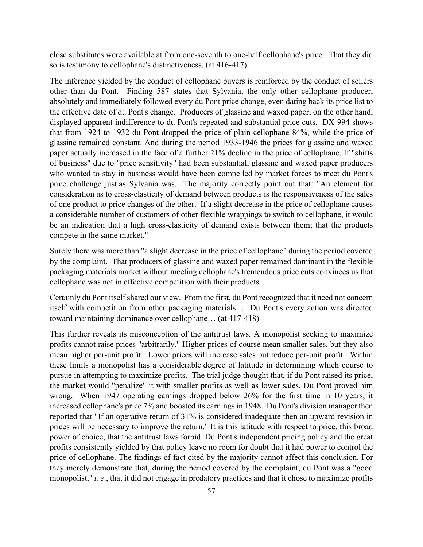close substitutes were available at from one-seventh to one-half cellophane's price. That they did so is testimony to cellophane's distinctiveness. (at 416-417)

The inference yielded by the conduct of cellophane buyers is reinforced by the conduct of sellers other than du Pont. Finding 587 states that Sylvania, the only other cellophane producer, absolutely and immediately followed every du Pont price change, even dating back its price list to the effective date of du Pont's change. Producers of glassine and waxed paper, on the other hand, displayed apparent indifference to du Pont's repeated and substantial price cuts. DX-994 shows that from 1924 to 1932 du Pont dropped the price of plain cellophane 84%, while the price of glassine remained constant. And during the period 1933-1946 the prices for glassine and waxed paper actually increased in the face of a further 21% decline in the price of cellophane. If "shifts of business" due to "price sensitivity" had been substantial, glassine and waxed paper producers who wanted to stay in business would have been compelled by market forces to meet du Pont's price challenge just as Sylvania was. The majority correctly point out that: "An element for consideration as to cross-elasticity of demand between products is the responsiveness of the sales of one product to price changes of the other. If a slight decrease in the price of cellophane causes a considerable number of customers of other flexible wrappings to switch to cellophane, it would be an indication that a high cross-elasticity of demand exists between them; that the products compete in the same market."

Surely there was more than "a slight decrease in the price of cellophane" during the period covered by the complaint. That producers of glassine and waxed paper remained dominant in the flexible packaging materials market without meeting cellophane's tremendous price cuts convinces us that cellophane was not in effective competition with their products.

Certainly du Pont itself shared our view. From the first, du Pont recognized that it need not concern itself with competition from other packaging materials… Du Pont's every action was directed toward maintaining dominance over cellophane… (at 417-418)

This further reveals its misconception of the antitrust laws. A monopolist seeking to maximize profits cannot raise prices "arbitrarily." Higher prices of course mean smaller sales, but they also mean higher per-unit profit. Lower prices will increase sales but reduce per-unit profit. Within these limits a monopolist has a considerable degree of latitude in determining which course to pursue in attempting to maximize profits. The trial judge thought that, if du Pont raised its price, the market would "penalize" it with smaller profits as well as lower sales. Du Pont proved him wrong. When 1947 operating earnings dropped below 26% for the first time in 10 years, it increased cellophane's price 7% and boosted its earnings in 1948. Du Pont's division manager then reported that "If an operative return of 31% is considered inadequate then an upward revision in prices will be necessary to improve the return." It is this latitude with respect to price, this broad power of choice, that the antitrust laws forbid. Du Pont's independent pricing policy and the great profits consistently yielded by that policy leave no room for doubt that it had power to control the price of cellophane. The findings of fact cited by the majority cannot affect this conclusion. For they merely demonstrate that, during the period covered by the complaint, du Pont was a "good monopolist," *i. e*., that it did not engage in predatory practices and that it chose to maximize profits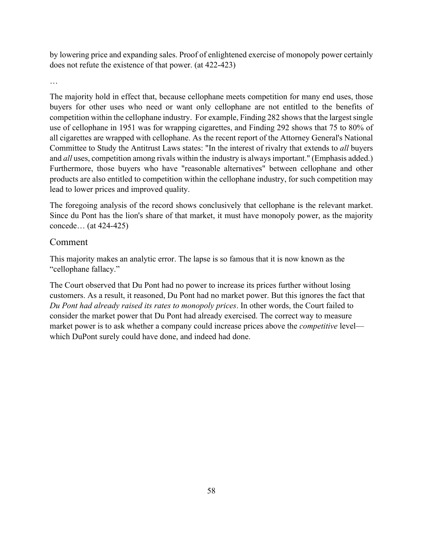by lowering price and expanding sales. Proof of enlightened exercise of monopoly power certainly does not refute the existence of that power. (at 422-423)

…

The majority hold in effect that, because cellophane meets competition for many end uses, those buyers for other uses who need or want only cellophane are not entitled to the benefits of competition within the cellophane industry. For example, Finding 282 shows that the largest single use of cellophane in 1951 was for wrapping cigarettes, and Finding 292 shows that 75 to 80% of all cigarettes are wrapped with cellophane. As the recent report of the Attorney General's National Committee to Study the Antitrust Laws states: "In the interest of rivalry that extends to *all* buyers and *all* uses, competition among rivals within the industry is always important." (Emphasis added.) Furthermore, those buyers who have "reasonable alternatives" between cellophane and other products are also entitled to competition within the cellophane industry, for such competition may lead to lower prices and improved quality.

The foregoing analysis of the record shows conclusively that cellophane is the relevant market. Since du Pont has the lion's share of that market, it must have monopoly power, as the majority concede… (at 424-425)

# Comment

This majority makes an analytic error. The lapse is so famous that it is now known as the "cellophane fallacy."

The Court observed that Du Pont had no power to increase its prices further without losing customers. As a result, it reasoned, Du Pont had no market power. But this ignores the fact that *Du Pont had already raised its rates to monopoly prices*. In other words, the Court failed to consider the market power that Du Pont had already exercised. The correct way to measure market power is to ask whether a company could increase prices above the *competitive* level which DuPont surely could have done, and indeed had done.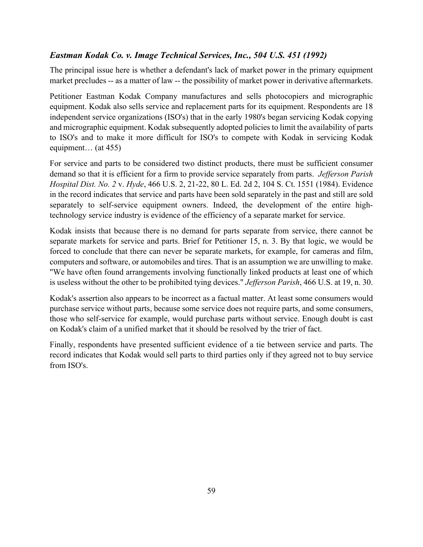# *Eastman Kodak Co. v. Image Technical Services, Inc., 504 U.S. 451 (1992)*

The principal issue here is whether a defendant's lack of market power in the primary equipment market precludes -- as a matter of law -- the possibility of market power in derivative aftermarkets.

Petitioner Eastman Kodak Company manufactures and sells photocopiers and micrographic equipment. Kodak also sells service and replacement parts for its equipment. Respondents are 18 independent service organizations (ISO's) that in the early 1980's began servicing Kodak copying and micrographic equipment. Kodak subsequently adopted policies to limit the availability of parts to ISO's and to make it more difficult for ISO's to compete with Kodak in servicing Kodak equipment… (at 455)

For service and parts to be considered two distinct products, there must be sufficient consumer demand so that it is efficient for a firm to provide service separately from parts. *Jefferson Parish Hospital Dist. No. 2* v. *Hyde*, 466 U.S. 2, 21-22, 80 L. Ed. 2d 2, 104 S. Ct. 1551 (1984). Evidence in the record indicates that service and parts have been sold separately in the past and still are sold separately to self-service equipment owners. Indeed, the development of the entire hightechnology service industry is evidence of the efficiency of a separate market for service.

Kodak insists that because there is no demand for parts separate from service, there cannot be separate markets for service and parts. Brief for Petitioner 15, n. 3. By that logic, we would be forced to conclude that there can never be separate markets, for example, for cameras and film, computers and software, or automobiles and tires. That is an assumption we are unwilling to make. "We have often found arrangements involving functionally linked products at least one of which is useless without the other to be prohibited tying devices." *Jefferson Parish*, 466 U.S. at 19, n. 30.

Kodak's assertion also appears to be incorrect as a factual matter. At least some consumers would purchase service without parts, because some service does not require parts, and some consumers, those who self-service for example, would purchase parts without service. Enough doubt is cast on Kodak's claim of a unified market that it should be resolved by the trier of fact.

Finally, respondents have presented sufficient evidence of a tie between service and parts. The record indicates that Kodak would sell parts to third parties only if they agreed not to buy service from ISO's.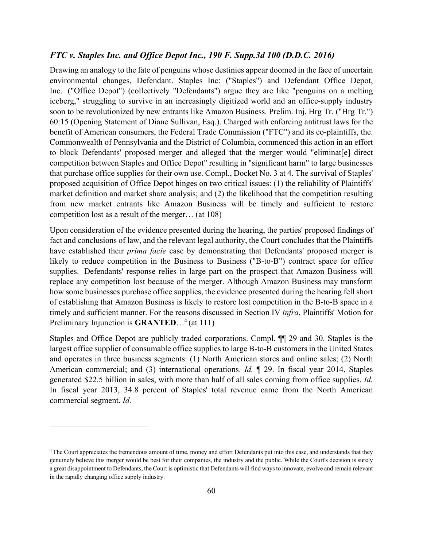### *FTC v. Staples Inc. and Office Depot Inc., 190 F. Supp.3d 100 (D.D.C. 2016)*

Drawing an analogy to the fate of penguins whose destinies appear doomed in the face of uncertain environmental changes, Defendant. Staples Inc: ("Staples") and Defendant Office Depot, Inc. ("Office Depot") (collectively "Defendants") argue they are like "penguins on a melting iceberg," struggling to survive in an increasingly digitized world and an office-supply industry soon to be revolutionized by new entrants like Amazon Business. Prelim. Inj. Hrg Tr. ("Hrg Tr.") 60:15 (Opening Statement of Diane Sullivan, Esq.). Charged with enforcing antitrust laws for the benefit of American consumers, the Federal Trade Commission ("FTC") and its co-plaintiffs, the. Commonwealth of Pennsylvania and the District of Columbia, commenced this action in an effort to block Defendants' proposed merger and alleged that the merger would "eliminat[e] direct competition between Staples and Office Depot" resulting in "significant harm" to large businesses that purchase office supplies for their own use. Compl., Docket No. 3 at 4. The survival of Staples' proposed acquisition of Office Depot hinges on two critical issues: (1) the reliability of Plaintiffs' market definition and market share analysis; and (2) the likelihood that the competition resulting from new market entrants like Amazon Business will be timely and sufficient to restore competition lost as a result of the merger… (at 108)

Upon consideration of the evidence presented during the hearing, the parties' proposed findings of fact and conclusions of law, and the relevant legal authority, the Court concludes that the Plaintiffs have established their *prima facie* case by demonstrating that Defendants' proposed merger is likely to reduce competition in the Business to Business ("B-to-B") contract space for office supplies. Defendants' response relies in large part on the prospect that Amazon Business will replace any competition lost because of the merger. Although Amazon Business may transform how some businesses purchase office supplies, the evidence presented during the hearing fell short of establishing that Amazon Business is likely to restore lost competition in the B-to-B space in a timely and sufficient manner. For the reasons discussed in Section IV *infra*, Plaintiffs' Motion for Preliminary Injunction is **GRANTED**…4 (at 111)

Staples and Office Depot are publicly traded corporations. Compl. ¶¶ 29 and 30. Staples is the largest office supplier of consumable office supplies to large B-to-B customers in the United States and operates in three business segments: (1) North American stores and online sales; (2) North American commercial; and (3) international operations. *Id.* ¶ 29. In fiscal year 2014, Staples generated \$22.5 billion in sales, with more than half of all sales coming from office supplies. *Id.* In fiscal year 2013, 34.8 percent of Staples' total revenue came from the North American commercial segment. *Id.*

<sup>4</sup> The Court appreciates the tremendous amount of time, money and effort Defendants put into this case, and understands that they genuinely believe this merger would be best for their companies, the industry and the public. While the Court's decision is surely a great disappointment to Defendants, the Court is optimistic that Defendants will find ways to innovate, evolve and remain relevant in the rapidly changing office supply industry.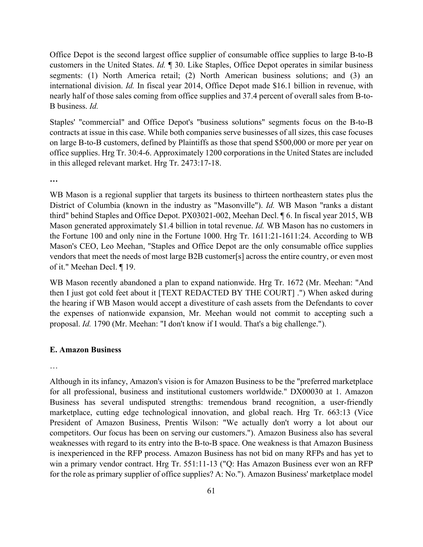Office Depot is the second largest office supplier of consumable office supplies to large B-to-B customers in the United States. *Id.* ¶ 30. Like Staples, Office Depot operates in similar business segments: (1) North America retail; (2) North American business solutions; and (3) an international division. *Id.* In fiscal year 2014, Office Depot made \$16.1 billion in revenue, with nearly half of those sales coming from office supplies and 37.4 percent of overall sales from B-to-B business. *Id.*

Staples' "commercial" and Office Depot's "business solutions" segments focus on the B-to-B contracts at issue in this case. While both companies serve businesses of all sizes, this case focuses on large B-to-B customers, defined by Plaintiffs as those that spend \$500,000 or more per year on office supplies. Hrg Tr. 30:4-6. Approximately 1200 corporations in the United States are included in this alleged relevant market. Hrg Tr. 2473:17-18.

**…**

WB Mason is a regional supplier that targets its business to thirteen northeastern states plus the District of Columbia (known in the industry as "Masonville"). *Id.* WB Mason "ranks a distant third" behind Staples and Office Depot. PX03021-002, Meehan Decl. ¶ 6. In fiscal year 2015, WB Mason generated approximately \$1.4 billion in total revenue. *Id.* WB Mason has no customers in the Fortune 100 and only nine in the Fortune 1000. Hrg Tr. 1611:21-1611:24. According to WB Mason's CEO, Leo Meehan, "Staples and Office Depot are the only consumable office supplies vendors that meet the needs of most large B2B customer[s] across the entire country, or even most of it." Meehan Decl. ¶ 19.

WB Mason recently abandoned a plan to expand nationwide. Hrg Tr. 1672 (Mr. Meehan: "And then I just got cold feet about it [TEXT REDACTED BY THE COURT] .") When asked during the hearing if WB Mason would accept a divestiture of cash assets from the Defendants to cover the expenses of nationwide expansion, Mr. Meehan would not commit to accepting such a proposal. *Id.* 1790 (Mr. Meehan: "I don't know if I would. That's a big challenge.").

#### **E. Amazon Business**

…

Although in its infancy, Amazon's vision is for Amazon Business to be the "preferred marketplace for all professional, business and institutional customers worldwide." DX00030 at 1. Amazon Business has several undisputed strengths: tremendous brand recognition, a user-friendly marketplace, cutting edge technological innovation, and global reach. Hrg Tr. 663:13 (Vice President of Amazon Business, Prentis Wilson: "We actually don't worry a lot about our competitors. Our focus has been on serving our customers."). Amazon Business also has several weaknesses with regard to its entry into the B-to-B space. One weakness is that Amazon Business is inexperienced in the RFP process. Amazon Business has not bid on many RFPs and has yet to win a primary vendor contract. Hrg Tr. 551:11-13 ("Q: Has Amazon Business ever won an RFP for the role as primary supplier of office supplies? A: No."). Amazon Business' marketplace model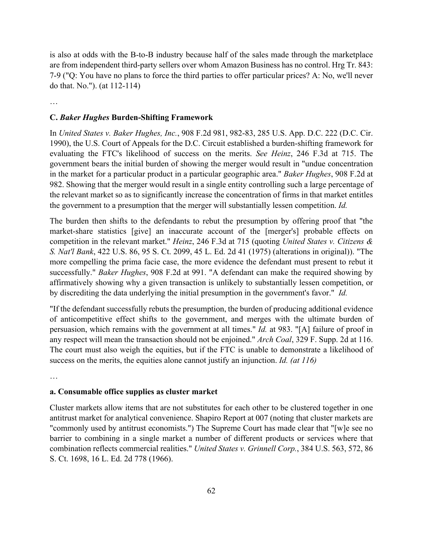is also at odds with the B-to-B industry because half of the sales made through the marketplace are from independent third-party sellers over whom Amazon Business has no control. Hrg Tr. 843: 7-9 ("Q: You have no plans to force the third parties to offer particular prices? A: No, we'll never do that. No."). (at 112-114)

…

### **C.** *Baker Hughes* **Burden-Shifting Framework**

In *United States v. Baker Hughes, Inc.*, 908 F.2d 981, 982-83, 285 U.S. App. D.C. 222 (D.C. Cir. 1990), the U.S. Court of Appeals for the D.C. Circuit established a burden-shifting framework for evaluating the FTC's likelihood of success on the merits. *See Heinz*, 246 F.3d at 715. The government bears the initial burden of showing the merger would result in "undue concentration in the market for a particular product in a particular geographic area." *Baker Hughes*, 908 F.2d at 982. Showing that the merger would result in a single entity controlling such a large percentage of the relevant market so as to significantly increase the concentration of firms in that market entitles the government to a presumption that the merger will substantially lessen competition. *Id.*

The burden then shifts to the defendants to rebut the presumption by offering proof that "the market-share statistics [give] an inaccurate account of the [merger's] probable effects on competition in the relevant market." *Heinz*, 246 F.3d at 715 (quoting *United States v. Citizens & S. Nat'l Bank*, 422 U.S. 86, 95 S. Ct. 2099, 45 L. Ed. 2d 41 (1975) (alterations in original)). "The more compelling the prima facie case, the more evidence the defendant must present to rebut it successfully." *Baker Hughes*, 908 F.2d at 991. "A defendant can make the required showing by affirmatively showing why a given transaction is unlikely to substantially lessen competition, or by discrediting the data underlying the initial presumption in the government's favor." *Id.*

"If the defendant successfully rebuts the presumption, the burden of producing additional evidence of anticompetitive effect shifts to the government, and merges with the ultimate burden of persuasion, which remains with the government at all times." *Id.* at 983. "[A] failure of proof in any respect will mean the transaction should not be enjoined." *Arch Coal*, 329 F. Supp. 2d at 116. The court must also weigh the equities, but if the FTC is unable to demonstrate a likelihood of success on the merits, the equities alone cannot justify an injunction. *Id. (at 116)*

…

#### **a. Consumable office supplies as cluster market**

Cluster markets allow items that are not substitutes for each other to be clustered together in one antitrust market for analytical convenience. Shapiro Report at 007 (noting that cluster markets are "commonly used by antitrust economists.") The Supreme Court has made clear that "[w]e see no barrier to combining in a single market a number of different products or services where that combination reflects commercial realities." *United States v. Grinnell Corp.*, 384 U.S. 563, 572, 86 S. Ct. 1698, 16 L. Ed. 2d 778 (1966).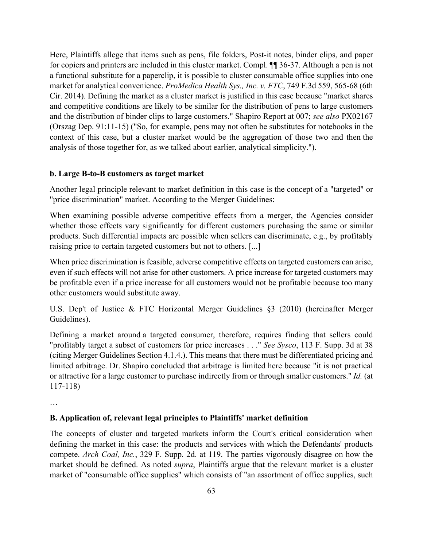Here, Plaintiffs allege that items such as pens, file folders, Post-it notes, binder clips, and paper for copiers and printers are included in this cluster market. Compl. ¶¶ 36-37. Although a pen is not a functional substitute for a paperclip, it is possible to cluster consumable office supplies into one market for analytical convenience. *ProMedica Health Sys., Inc. v. FTC*, 749 F.3d 559, 565-68 (6th Cir. 2014). Defining the market as a cluster market is justified in this case because "market shares and competitive conditions are likely to be similar for the distribution of pens to large customers and the distribution of binder clips to large customers." Shapiro Report at 007; *see also* PX02167 (Orszag Dep. 91:11-15) ("So, for example, pens may not often be substitutes for notebooks in the context of this case, but a cluster market would be the aggregation of those two and then the analysis of those together for, as we talked about earlier, analytical simplicity.").

#### **b. Large B-to-B customers as target market**

Another legal principle relevant to market definition in this case is the concept of a "targeted" or "price discrimination" market. According to the Merger Guidelines:

When examining possible adverse competitive effects from a merger, the Agencies consider whether those effects vary significantly for different customers purchasing the same or similar products. Such differential impacts are possible when sellers can discriminate, e.g., by profitably raising price to certain targeted customers but not to others. [...]

When price discrimination is feasible, adverse competitive effects on targeted customers can arise, even if such effects will not arise for other customers. A price increase for targeted customers may be profitable even if a price increase for all customers would not be profitable because too many other customers would substitute away.

U.S. Dep't of Justice & FTC Horizontal Merger Guidelines §3 (2010) (hereinafter Merger Guidelines).

Defining a market around a targeted consumer, therefore, requires finding that sellers could "profitably target a subset of customers for price increases . . ." *See Sysco*, 113 F. Supp. 3d at 38 (citing Merger Guidelines Section 4.1.4.). This means that there must be differentiated pricing and limited arbitrage. Dr. Shapiro concluded that arbitrage is limited here because "it is not practical or attractive for a large customer to purchase indirectly from or through smaller customers." *Id.* (at 117-118)

…

#### **B. Application of, relevant legal principles to Plaintiffs' market definition**

The concepts of cluster and targeted markets inform the Court's critical consideration when defining the market in this case: the products and services with which the Defendants' products compete. *Arch Coal, Inc.*, 329 F. Supp. 2d. at 119. The parties vigorously disagree on how the market should be defined. As noted *supra*, Plaintiffs argue that the relevant market is a cluster market of "consumable office supplies" which consists of "an assortment of office supplies, such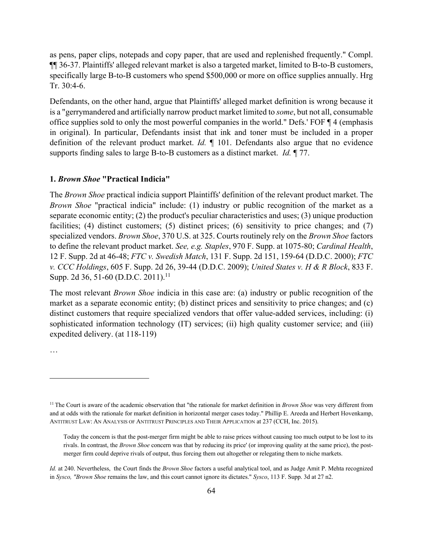as pens, paper clips, notepads and copy paper, that are used and replenished frequently." Compl. ¶¶ 36-37. Plaintiffs' alleged relevant market is also a targeted market, limited to B-to-B customers, specifically large B-to-B customers who spend \$500,000 or more on office supplies annually. Hrg Tr. 30:4-6.

Defendants, on the other hand, argue that Plaintiffs' alleged market definition is wrong because it is a "gerrymandered and artificially narrow product market limited to *some*, but not all, consumable office supplies sold to only the most powerful companies in the world." Defs.' FOF ¶ 4 (emphasis in original). In particular, Defendants insist that ink and toner must be included in a proper definition of the relevant product market. *Id.* ¶ 101. Defendants also argue that no evidence supports finding sales to large B-to-B customers as a distinct market. *Id.* ¶ 77.

#### **1.** *Brown Shoe* **"Practical Indicia"**

The *Brown Shoe* practical indicia support Plaintiffs' definition of the relevant product market. The *Brown Shoe* "practical indicia" include: (1) industry or public recognition of the market as a separate economic entity; (2) the product's peculiar characteristics and uses; (3) unique production facilities; (4) distinct customers; (5) distinct prices; (6) sensitivity to price changes; and (7) specialized vendors. *Brown Shoe*, 370 U.S. at 325. Courts routinely rely on the *Brown Shoe* factors to define the relevant product market. *See, e.g. Staples*, 970 F. Supp. at 1075-80; *Cardinal Health*, 12 F. Supp. 2d at 46-48; *FTC v. Swedish Match*, 131 F. Supp. 2d 151, 159-64 (D.D.C. 2000); *FTC v. CCC Holdings*, 605 F. Supp. 2d 26, 39-44 (D.D.C. 2009); *United States v. H & R Block*, 833 F. Supp. 2d 36, 51-60 (D.D.C. 2011).<sup>11</sup>

The most relevant *Brown Shoe* indicia in this case are: (a) industry or public recognition of the market as a separate economic entity; (b) distinct prices and sensitivity to price changes; and (c) distinct customers that require specialized vendors that offer value-added services, including: (i) sophisticated information technology (IT) services; (ii) high quality customer service; and (iii) expedited delivery. (at 118-119)

<sup>…</sup>

<sup>11</sup> The Court is aware of the academic observation that "the rationale for market definition in *Brown Shoe* was very different from and at odds with the rationale for market definition in horizontal merger cases today." Phillip E. Areeda and Herbert Hovenkamp, ANTITRUST LAW: AN ANALYSIS OF ANTITRUST PRINCIPLES AND THEIR APPLICATION at 237 (CCH, Inc. 2015).

Today the concern is that the post-merger firm might be able to raise prices without causing too much output to be lost to its rivals. In contrast, the *Brown Shoe* concern was that by reducing its price' (or improving quality at the same price), the postmerger firm could deprive rivals of output, thus forcing them out altogether or relegating them to niche markets.

*Id.* at 240. Nevertheless, the Court finds the *Brown Shoe* factors a useful analytical tool, and as Judge Amit P. Mehta recognized in *Sysco, "Brown Shoe* remains the law, and this court cannot ignore its dictates." *Sysco*, 113 F. Supp. 3d at 27 n2.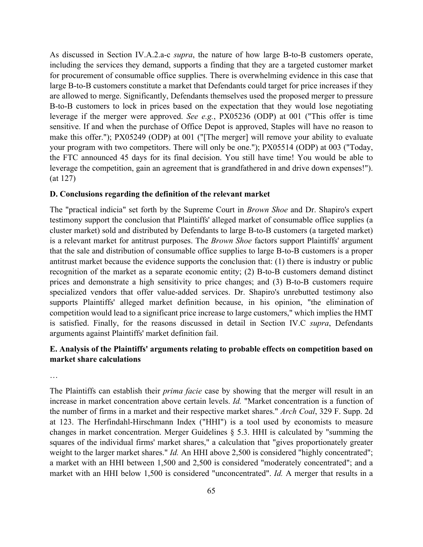As discussed in Section IV.A.2.a-c *supra*, the nature of how large B-to-B customers operate, including the services they demand, supports a finding that they are a targeted customer market for procurement of consumable office supplies. There is overwhelming evidence in this case that large B-to-B customers constitute a market that Defendants could target for price increases if they are allowed to merge. Significantly, Defendants themselves used the proposed merger to pressure B-to-B customers to lock in prices based on the expectation that they would lose negotiating leverage if the merger were approved. *See e.g.*, PX05236 (ODP) at 001 ("This offer is time sensitive. If and when the purchase of Office Depot is approved, Staples will have no reason to make this offer."); PX05249 (ODP) at 001 ("[The merger] will remove your ability to evaluate your program with two competitors. There will only be one."); PX05514 (ODP) at 003 ("Today, the FTC announced 45 days for its final decision. You still have time! You would be able to leverage the competition, gain an agreement that is grandfathered in and drive down expenses!"). (at 127)

### **D. Conclusions regarding the definition of the relevant market**

The "practical indicia" set forth by the Supreme Court in *Brown Shoe* and Dr. Shapiro's expert testimony support the conclusion that Plaintiffs' alleged market of consumable office supplies (a cluster market) sold and distributed by Defendants to large B-to-B customers (a targeted market) is a relevant market for antitrust purposes. The *Brown Shoe* factors support Plaintiffs' argument that the sale and distribution of consumable office supplies to large B-to-B customers is a proper antitrust market because the evidence supports the conclusion that: (1) there is industry or public recognition of the market as a separate economic entity; (2) B-to-B customers demand distinct prices and demonstrate a high sensitivity to price changes; and (3) B-to-B customers require specialized vendors that offer value-added services. Dr. Shapiro's unrebutted testimony also supports Plaintiffs' alleged market definition because, in his opinion, "the elimination of competition would lead to a significant price increase to large customers," which implies the HMT is satisfied. Finally, for the reasons discussed in detail in Section IV.C *supra*, Defendants arguments against Plaintiffs' market definition fail.

# **E. Analysis of the Plaintiffs' arguments relating to probable effects on competition based on market share calculations**

…

The Plaintiffs can establish their *prima facie* case by showing that the merger will result in an increase in market concentration above certain levels. *Id.* "Market concentration is a function of the number of firms in a market and their respective market shares." *Arch Coal*, 329 F. Supp. 2d at 123. The Herfindahl-Hirschmann Index ("HHI") is a tool used by economists to measure changes in market concentration. Merger Guidelines § 5.3. HHI is calculated by "summing the squares of the individual firms' market shares," a calculation that "gives proportionately greater weight to the larger market shares." *Id.* An HHI above 2,500 is considered "highly concentrated"; a market with an HHI between 1,500 and 2,500 is considered "moderately concentrated"; and a market with an HHI below 1,500 is considered "unconcentrated". *Id.* A merger that results in a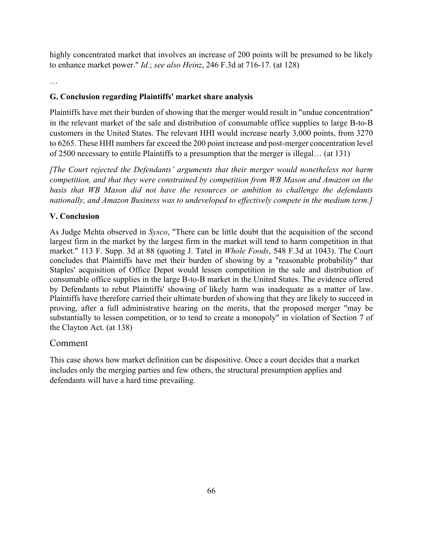highly concentrated market that involves an increase of 200 points will be presumed to be likely to enhance market power." *Id.*; *see also Heinz*, 246 F.3d at 716-17. (at 128)

…

# **G. Conclusion regarding Plaintiffs' market share analysis**

Plaintiffs have met their burden of showing that the merger would result in "undue concentration" in the relevant market of the sale and distribution of consumable office supplies to large B-to-B customers in the United States. The relevant HHI would increase nearly 3,000 points, from 3270 to 6265. These HHI numbers far exceed the 200 point increase and post-merger concentration level of 2500 necessary to entitle Plaintiffs to a presumption that the merger is illegal… (at 131)

*[The Court rejected the Defendants' arguments that their merger would nonetheless not harm competition, and that they were constrained by competition from WB Mason and Amazon on the basis that WB Mason did not have the resources or ambition to challenge the defendants nationally, and Amazon Business was to undeveloped to effectively compete in the medium term.]*

# **V. Conclusion**

As Judge Mehta observed in *Sysco*, "There can be little doubt that the acquisition of the second largest firm in the market by the largest firm in the market will tend to harm competition in that market." 113 F. Supp. 3d at 88 (quoting J. Tatel in *Whole Foods*, 548 F.3d at 1043). The Court concludes that Plaintiffs have met their burden of showing by a "reasonable probability" that Staples' acquisition of Office Depot would lessen competition in the sale and distribution of consumable office supplies in the large B-to-B market in the United States. The evidence offered by Defendants to rebut Plaintiffs' showing of likely harm was inadequate as a matter of law. Plaintiffs have therefore carried their ultimate burden of showing that they are likely to succeed in proving, after a full administrative hearing on the merits, that the proposed merger "may be substantially to lessen competition, or to tend to create a monopoly" in violation of Section 7 of the Clayton Act. (at 138)

# Comment

This case shows how market definition can be dispositive. Once a court decides that a market includes only the merging parties and few others, the structural presumption applies and defendants will have a hard time prevailing.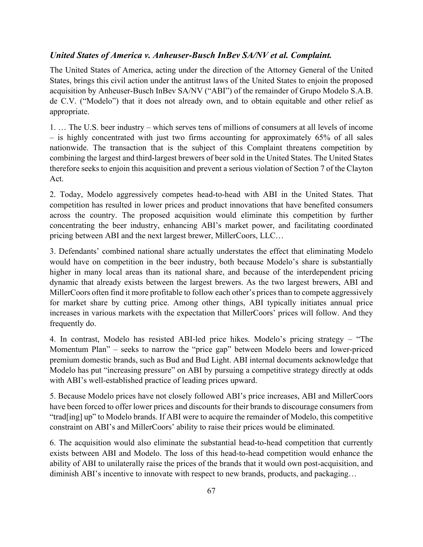## *United States of America v. Anheuser-Busch InBev SA/NV et al. Complaint.*

The United States of America, acting under the direction of the Attorney General of the United States, brings this civil action under the antitrust laws of the United States to enjoin the proposed acquisition by Anheuser-Busch InBev SA/NV ("ABI") of the remainder of Grupo Modelo S.A.B. de C.V. ("Modelo") that it does not already own, and to obtain equitable and other relief as appropriate.

1. … The U.S. beer industry – which serves tens of millions of consumers at all levels of income – is highly concentrated with just two firms accounting for approximately 65% of all sales nationwide. The transaction that is the subject of this Complaint threatens competition by combining the largest and third-largest brewers of beer sold in the United States. The United States therefore seeks to enjoin this acquisition and prevent a serious violation of Section 7 of the Clayton Act.

2. Today, Modelo aggressively competes head-to-head with ABI in the United States. That competition has resulted in lower prices and product innovations that have benefited consumers across the country. The proposed acquisition would eliminate this competition by further concentrating the beer industry, enhancing ABI's market power, and facilitating coordinated pricing between ABI and the next largest brewer, MillerCoors, LLC…

3. Defendants' combined national share actually understates the effect that eliminating Modelo would have on competition in the beer industry, both because Modelo's share is substantially higher in many local areas than its national share, and because of the interdependent pricing dynamic that already exists between the largest brewers. As the two largest brewers, ABI and MillerCoors often find it more profitable to follow each other's prices than to compete aggressively for market share by cutting price. Among other things, ABI typically initiates annual price increases in various markets with the expectation that MillerCoors' prices will follow. And they frequently do.

4. In contrast, Modelo has resisted ABI-led price hikes. Modelo's pricing strategy – "The Momentum Plan" – seeks to narrow the "price gap" between Modelo beers and lower-priced premium domestic brands, such as Bud and Bud Light. ABI internal documents acknowledge that Modelo has put "increasing pressure" on ABI by pursuing a competitive strategy directly at odds with ABI's well-established practice of leading prices upward.

5. Because Modelo prices have not closely followed ABI's price increases, ABI and MillerCoors have been forced to offer lower prices and discounts for their brands to discourage consumers from "trad[ing] up" to Modelo brands. If ABI were to acquire the remainder of Modelo, this competitive constraint on ABI's and MillerCoors' ability to raise their prices would be eliminated.

6. The acquisition would also eliminate the substantial head-to-head competition that currently exists between ABI and Modelo. The loss of this head-to-head competition would enhance the ability of ABI to unilaterally raise the prices of the brands that it would own post-acquisition, and diminish ABI's incentive to innovate with respect to new brands, products, and packaging…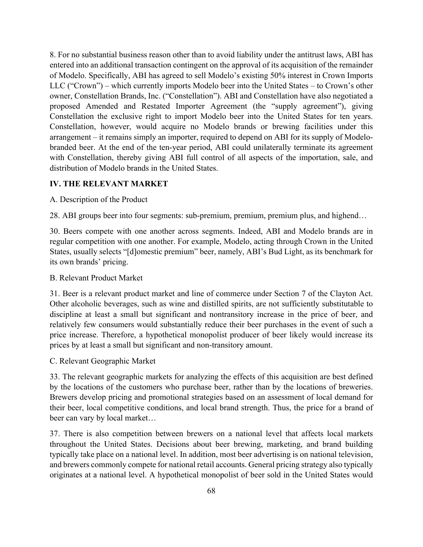8. For no substantial business reason other than to avoid liability under the antitrust laws, ABI has entered into an additional transaction contingent on the approval of its acquisition of the remainder of Modelo. Specifically, ABI has agreed to sell Modelo's existing 50% interest in Crown Imports LLC ("Crown") – which currently imports Modelo beer into the United States – to Crown's other owner, Constellation Brands, Inc. ("Constellation"). ABI and Constellation have also negotiated a proposed Amended and Restated Importer Agreement (the "supply agreement"), giving Constellation the exclusive right to import Modelo beer into the United States for ten years. Constellation, however, would acquire no Modelo brands or brewing facilities under this arrangement – it remains simply an importer, required to depend on ABI for its supply of Modelobranded beer. At the end of the ten-year period, ABI could unilaterally terminate its agreement with Constellation, thereby giving ABI full control of all aspects of the importation, sale, and distribution of Modelo brands in the United States.

### **IV. THE RELEVANT MARKET**

### A. Description of the Product

28. ABI groups beer into four segments: sub-premium, premium, premium plus, and highend…

30. Beers compete with one another across segments. Indeed, ABI and Modelo brands are in regular competition with one another. For example, Modelo, acting through Crown in the United States, usually selects "[d]omestic premium" beer, namely, ABI's Bud Light, as its benchmark for its own brands' pricing.

#### B. Relevant Product Market

31. Beer is a relevant product market and line of commerce under Section 7 of the Clayton Act. Other alcoholic beverages, such as wine and distilled spirits, are not sufficiently substitutable to discipline at least a small but significant and nontransitory increase in the price of beer, and relatively few consumers would substantially reduce their beer purchases in the event of such a price increase. Therefore, a hypothetical monopolist producer of beer likely would increase its prices by at least a small but significant and non-transitory amount.

#### C. Relevant Geographic Market

33. The relevant geographic markets for analyzing the effects of this acquisition are best defined by the locations of the customers who purchase beer, rather than by the locations of breweries. Brewers develop pricing and promotional strategies based on an assessment of local demand for their beer, local competitive conditions, and local brand strength. Thus, the price for a brand of beer can vary by local market…

37. There is also competition between brewers on a national level that affects local markets throughout the United States. Decisions about beer brewing, marketing, and brand building typically take place on a national level. In addition, most beer advertising is on national television, and brewers commonly compete for national retail accounts. General pricing strategy also typically originates at a national level. A hypothetical monopolist of beer sold in the United States would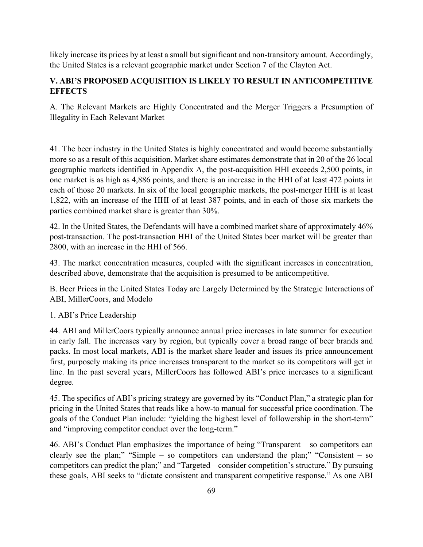likely increase its prices by at least a small but significant and non-transitory amount. Accordingly, the United States is a relevant geographic market under Section 7 of the Clayton Act.

# **V. ABI'S PROPOSED ACQUISITION IS LIKELY TO RESULT IN ANTICOMPETITIVE EFFECTS**

A. The Relevant Markets are Highly Concentrated and the Merger Triggers a Presumption of Illegality in Each Relevant Market

41. The beer industry in the United States is highly concentrated and would become substantially more so as a result of this acquisition. Market share estimates demonstrate that in 20 of the 26 local geographic markets identified in Appendix A, the post-acquisition HHI exceeds 2,500 points, in one market is as high as 4,886 points, and there is an increase in the HHI of at least 472 points in each of those 20 markets. In six of the local geographic markets, the post-merger HHI is at least 1,822, with an increase of the HHI of at least 387 points, and in each of those six markets the parties combined market share is greater than 30%.

42. In the United States, the Defendants will have a combined market share of approximately 46% post-transaction. The post-transaction HHI of the United States beer market will be greater than 2800, with an increase in the HHI of 566.

43. The market concentration measures, coupled with the significant increases in concentration, described above, demonstrate that the acquisition is presumed to be anticompetitive.

B. Beer Prices in the United States Today are Largely Determined by the Strategic Interactions of ABI, MillerCoors, and Modelo

# 1. ABI's Price Leadership

44. ABI and MillerCoors typically announce annual price increases in late summer for execution in early fall. The increases vary by region, but typically cover a broad range of beer brands and packs. In most local markets, ABI is the market share leader and issues its price announcement first, purposely making its price increases transparent to the market so its competitors will get in line. In the past several years, MillerCoors has followed ABI's price increases to a significant degree.

45. The specifics of ABI's pricing strategy are governed by its "Conduct Plan," a strategic plan for pricing in the United States that reads like a how-to manual for successful price coordination. The goals of the Conduct Plan include: "yielding the highest level of followership in the short-term" and "improving competitor conduct over the long-term."

46. ABI's Conduct Plan emphasizes the importance of being "Transparent – so competitors can clearly see the plan;" "Simple – so competitors can understand the plan;" "Consistent – so competitors can predict the plan;" and "Targeted – consider competition's structure." By pursuing these goals, ABI seeks to "dictate consistent and transparent competitive response." As one ABI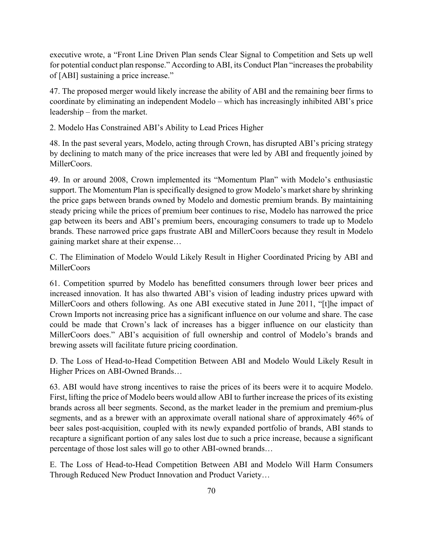executive wrote, a "Front Line Driven Plan sends Clear Signal to Competition and Sets up well for potential conduct plan response." According to ABI, its Conduct Plan "increases the probability of [ABI] sustaining a price increase."

47. The proposed merger would likely increase the ability of ABI and the remaining beer firms to coordinate by eliminating an independent Modelo – which has increasingly inhibited ABI's price leadership – from the market.

2. Modelo Has Constrained ABI's Ability to Lead Prices Higher

48. In the past several years, Modelo, acting through Crown, has disrupted ABI's pricing strategy by declining to match many of the price increases that were led by ABI and frequently joined by MillerCoors.

49. In or around 2008, Crown implemented its "Momentum Plan" with Modelo's enthusiastic support. The Momentum Plan is specifically designed to grow Modelo's market share by shrinking the price gaps between brands owned by Modelo and domestic premium brands. By maintaining steady pricing while the prices of premium beer continues to rise, Modelo has narrowed the price gap between its beers and ABI's premium beers, encouraging consumers to trade up to Modelo brands. These narrowed price gaps frustrate ABI and MillerCoors because they result in Modelo gaining market share at their expense…

C. The Elimination of Modelo Would Likely Result in Higher Coordinated Pricing by ABI and MillerCoors

61. Competition spurred by Modelo has benefitted consumers through lower beer prices and increased innovation. It has also thwarted ABI's vision of leading industry prices upward with MillerCoors and others following. As one ABI executive stated in June 2011, "[t]he impact of Crown Imports not increasing price has a significant influence on our volume and share. The case could be made that Crown's lack of increases has a bigger influence on our elasticity than MillerCoors does." ABI's acquisition of full ownership and control of Modelo's brands and brewing assets will facilitate future pricing coordination.

D. The Loss of Head-to-Head Competition Between ABI and Modelo Would Likely Result in Higher Prices on ABI-Owned Brands…

63. ABI would have strong incentives to raise the prices of its beers were it to acquire Modelo. First, lifting the price of Modelo beers would allow ABI to further increase the prices of its existing brands across all beer segments. Second, as the market leader in the premium and premium-plus segments, and as a brewer with an approximate overall national share of approximately 46% of beer sales post-acquisition, coupled with its newly expanded portfolio of brands, ABI stands to recapture a significant portion of any sales lost due to such a price increase, because a significant percentage of those lost sales will go to other ABI-owned brands…

E. The Loss of Head-to-Head Competition Between ABI and Modelo Will Harm Consumers Through Reduced New Product Innovation and Product Variety…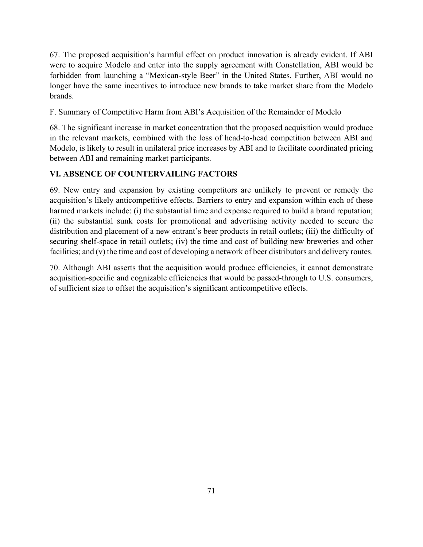67. The proposed acquisition's harmful effect on product innovation is already evident. If ABI were to acquire Modelo and enter into the supply agreement with Constellation, ABI would be forbidden from launching a "Mexican-style Beer" in the United States. Further, ABI would no longer have the same incentives to introduce new brands to take market share from the Modelo brands.

F. Summary of Competitive Harm from ABI's Acquisition of the Remainder of Modelo

68. The significant increase in market concentration that the proposed acquisition would produce in the relevant markets, combined with the loss of head-to-head competition between ABI and Modelo, is likely to result in unilateral price increases by ABI and to facilitate coordinated pricing between ABI and remaining market participants.

# **VI. ABSENCE OF COUNTERVAILING FACTORS**

69. New entry and expansion by existing competitors are unlikely to prevent or remedy the acquisition's likely anticompetitive effects. Barriers to entry and expansion within each of these harmed markets include: (i) the substantial time and expense required to build a brand reputation; (ii) the substantial sunk costs for promotional and advertising activity needed to secure the distribution and placement of a new entrant's beer products in retail outlets; (iii) the difficulty of securing shelf-space in retail outlets; (iv) the time and cost of building new breweries and other facilities; and (v) the time and cost of developing a network of beer distributors and delivery routes.

70. Although ABI asserts that the acquisition would produce efficiencies, it cannot demonstrate acquisition-specific and cognizable efficiencies that would be passed-through to U.S. consumers, of sufficient size to offset the acquisition's significant anticompetitive effects.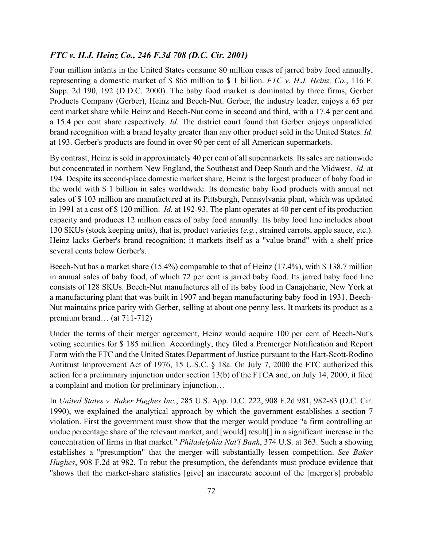### *FTC v. H.J. Heinz Co., 246 F.3d 708 (D.C. Cir. 2001)*

Four million infants in the United States consume 80 million cases of jarred baby food annually, representing a domestic market of \$ 865 million to \$ 1 billion. *FTC v. H.J. Heinz, Co.*, 116 F. Supp. 2d 190, 192 (D.D.C. 2000). The baby food market is dominated by three firms, Gerber Products Company (Gerber), Heinz and Beech-Nut. Gerber, the industry leader, enjoys a 65 per cent market share while Heinz and Beech-Nut come in second and third, with a 17.4 per cent and a 15.4 per cent share respectively. *Id*. The district court found that Gerber enjoys unparalleled brand recognition with a brand loyalty greater than any other product sold in the United States. *Id*. at 193. Gerber's products are found in over 90 per cent of all American supermarkets.

By contrast, Heinz is sold in approximately 40 per cent of all supermarkets. Its sales are nationwide but concentrated in northern New England, the Southeast and Deep South and the Midwest. *Id*. at 194. Despite its second-place domestic market share, Heinz is the largest producer of baby food in the world with \$ 1 billion in sales worldwide. Its domestic baby food products with annual net sales of \$ 103 million are manufactured at its Pittsburgh, Pennsylvania plant, which was updated in 1991 at a cost of \$ 120 million. *Id*. at 192-93. The plant operates at 40 per cent of its production capacity and produces 12 million cases of baby food annually. Its baby food line includes about 130 SKUs (stock keeping units), that is, product varieties (*e.g.*, strained carrots, apple sauce, etc.). Heinz lacks Gerber's brand recognition; it markets itself as a "value brand" with a shelf price several cents below Gerber's.

Beech-Nut has a market share (15.4%) comparable to that of Heinz (17.4%), with \$ 138.7 million in annual sales of baby food, of which 72 per cent is jarred baby food. Its jarred baby food line consists of 128 SKUs. Beech-Nut manufactures all of its baby food in Canajoharie, New York at a manufacturing plant that was built in 1907 and began manufacturing baby food in 1931. Beech-Nut maintains price parity with Gerber, selling at about one penny less. It markets its product as a premium brand… (at 711-712)

Under the terms of their merger agreement, Heinz would acquire 100 per cent of Beech-Nut's voting securities for \$ 185 million. Accordingly, they filed a Premerger Notification and Report Form with the FTC and the United States Department of Justice pursuant to the Hart-Scott-Rodino Antitrust Improvement Act of 1976, 15 U.S.C. § 18a. On July 7, 2000 the FTC authorized this action for a preliminary injunction under section 13(b) of the FTCA and, on July 14, 2000, it filed a complaint and motion for preliminary injunction…

In *United States v. Baker Hughes Inc.*, 285 U.S. App. D.C. 222, 908 F.2d 981, 982-83 (D.C. Cir. 1990), we explained the analytical approach by which the government establishes a section 7 violation. First the government must show that the merger would produce "a firm controlling an undue percentage share of the relevant market, and [would] result[] in a significant increase in the concentration of firms in that market." *Philadelphia Nat'l Bank*, 374 U.S. at 363. Such a showing establishes a "presumption" that the merger will substantially lessen competition. *See Baker Hughes*, 908 F.2d at 982. To rebut the presumption, the defendants must produce evidence that "shows that the market-share statistics [give] an inaccurate account of the [merger's] probable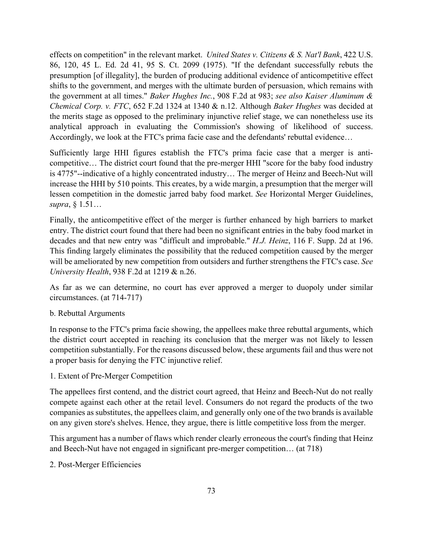effects on competition" in the relevant market. *United States v. Citizens & S. Nat'l Bank*, 422 U.S. 86, 120, 45 L. Ed. 2d 41, 95 S. Ct. 2099 (1975). "If the defendant successfully rebuts the presumption [of illegality], the burden of producing additional evidence of anticompetitive effect shifts to the government, and merges with the ultimate burden of persuasion, which remains with the government at all times." *Baker Hughes Inc.*, 908 F.2d at 983; *see also Kaiser Aluminum & Chemical Corp. v. FTC*, 652 F.2d 1324 at 1340 & n.12. Although *Baker Hughes* was decided at the merits stage as opposed to the preliminary injunctive relief stage, we can nonetheless use its analytical approach in evaluating the Commission's showing of likelihood of success. Accordingly, we look at the FTC's prima facie case and the defendants' rebuttal evidence…

Sufficiently large HHI figures establish the FTC's prima facie case that a merger is anticompetitive… The district court found that the pre-merger HHI "score for the baby food industry is 4775"--indicative of a highly concentrated industry… The merger of Heinz and Beech-Nut will increase the HHI by 510 points. This creates, by a wide margin, a presumption that the merger will lessen competition in the domestic jarred baby food market. *See* Horizontal Merger Guidelines, *supra*, § 1.51…

Finally, the anticompetitive effect of the merger is further enhanced by high barriers to market entry. The district court found that there had been no significant entries in the baby food market in decades and that new entry was "difficult and improbable." *H.J. Heinz*, 116 F. Supp. 2d at 196. This finding largely eliminates the possibility that the reduced competition caused by the merger will be ameliorated by new competition from outsiders and further strengthens the FTC's case. *See University Health*, 938 F.2d at 1219 & n.26.

As far as we can determine, no court has ever approved a merger to duopoly under similar circumstances. (at 714-717)

## b. Rebuttal Arguments

In response to the FTC's prima facie showing, the appellees make three rebuttal arguments, which the district court accepted in reaching its conclusion that the merger was not likely to lessen competition substantially. For the reasons discussed below, these arguments fail and thus were not a proper basis for denying the FTC injunctive relief.

1. Extent of Pre-Merger Competition

The appellees first contend, and the district court agreed, that Heinz and Beech-Nut do not really compete against each other at the retail level. Consumers do not regard the products of the two companies as substitutes, the appellees claim, and generally only one of the two brands is available on any given store's shelves. Hence, they argue, there is little competitive loss from the merger.

This argument has a number of flaws which render clearly erroneous the court's finding that Heinz and Beech-Nut have not engaged in significant pre-merger competition… (at 718)

## 2. Post-Merger Efficiencies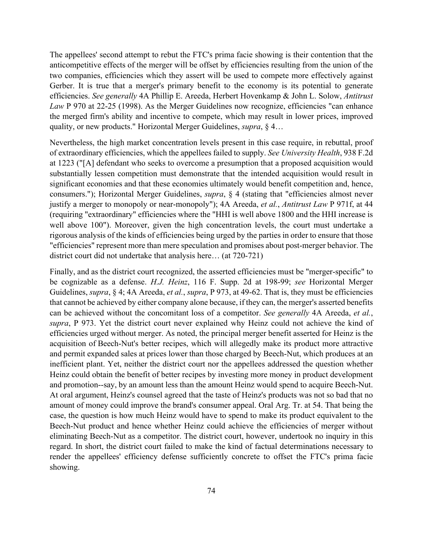The appellees' second attempt to rebut the FTC's prima facie showing is their contention that the anticompetitive effects of the merger will be offset by efficiencies resulting from the union of the two companies, efficiencies which they assert will be used to compete more effectively against Gerber. It is true that a merger's primary benefit to the economy is its potential to generate efficiencies. *See generally* 4A Phillip E. Areeda, Herbert Hovenkamp & John L. Solow, *Antitrust Law* P 970 at 22-25 (1998). As the Merger Guidelines now recognize, efficiencies "can enhance the merged firm's ability and incentive to compete, which may result in lower prices, improved quality, or new products." Horizontal Merger Guidelines, *supra*, § 4…

Nevertheless, the high market concentration levels present in this case require, in rebuttal, proof of extraordinary efficiencies, which the appellees failed to supply. *See University Health*, 938 F.2d at 1223 ("[A] defendant who seeks to overcome a presumption that a proposed acquisition would substantially lessen competition must demonstrate that the intended acquisition would result in significant economies and that these economies ultimately would benefit competition and, hence, consumers."); Horizontal Merger Guidelines, *supra*, § 4 (stating that "efficiencies almost never justify a merger to monopoly or near-monopoly"); 4A Areeda, *et al.*, *Antitrust Law* P 971f, at 44 (requiring "extraordinary" efficiencies where the "HHI is well above 1800 and the HHI increase is well above 100"). Moreover, given the high concentration levels, the court must undertake a rigorous analysis of the kinds of efficiencies being urged by the parties in order to ensure that those "efficiencies" represent more than mere speculation and promises about post-merger behavior. The district court did not undertake that analysis here… (at 720-721)

Finally, and as the district court recognized, the asserted efficiencies must be "merger-specific" to be cognizable as a defense. *H.J. Heinz*, 116 F. Supp. 2d at 198-99; *see* Horizontal Merger Guidelines, *supra*, § 4; 4A Areeda, *et al.*, *supra*, P 973, at 49-62. That is, they must be efficiencies that cannot be achieved by either company alone because, if they can, the merger's asserted benefits can be achieved without the concomitant loss of a competitor. *See generally* 4A Areeda, *et al.*, *supra*, P 973. Yet the district court never explained why Heinz could not achieve the kind of efficiencies urged without merger. As noted, the principal merger benefit asserted for Heinz is the acquisition of Beech-Nut's better recipes, which will allegedly make its product more attractive and permit expanded sales at prices lower than those charged by Beech-Nut, which produces at an inefficient plant. Yet, neither the district court nor the appellees addressed the question whether Heinz could obtain the benefit of better recipes by investing more money in product development and promotion--say, by an amount less than the amount Heinz would spend to acquire Beech-Nut. At oral argument, Heinz's counsel agreed that the taste of Heinz's products was not so bad that no amount of money could improve the brand's consumer appeal. Oral Arg. Tr. at 54. That being the case, the question is how much Heinz would have to spend to make its product equivalent to the Beech-Nut product and hence whether Heinz could achieve the efficiencies of merger without eliminating Beech-Nut as a competitor. The district court, however, undertook no inquiry in this regard. In short, the district court failed to make the kind of factual determinations necessary to render the appellees' efficiency defense sufficiently concrete to offset the FTC's prima facie showing.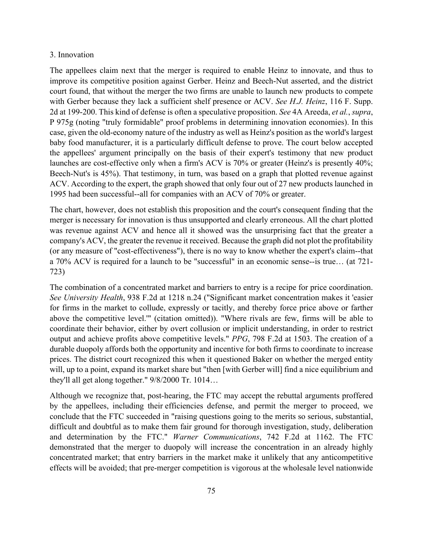#### 3. Innovation

The appellees claim next that the merger is required to enable Heinz to innovate, and thus to improve its competitive position against Gerber. Heinz and Beech-Nut asserted, and the district court found, that without the merger the two firms are unable to launch new products to compete with Gerber because they lack a sufficient shelf presence or ACV. *See H.J. Heinz*, 116 F. Supp. 2d at 199-200. This kind of defense is often a speculative proposition. *See* 4A Areeda, *et al.*, *supra*, P 975g (noting "truly formidable" proof problems in determining innovation economies). In this case, given the old-economy nature of the industry as well as Heinz's position as the world's largest baby food manufacturer, it is a particularly difficult defense to prove. The court below accepted the appellees' argument principally on the basis of their expert's testimony that new product launches are cost-effective only when a firm's ACV is 70% or greater (Heinz's is presently 40%; Beech-Nut's is 45%). That testimony, in turn, was based on a graph that plotted revenue against ACV. According to the expert, the graph showed that only four out of 27 new products launched in 1995 had been successful--all for companies with an ACV of 70% or greater.

The chart, however, does not establish this proposition and the court's consequent finding that the merger is necessary for innovation is thus unsupported and clearly erroneous. All the chart plotted was revenue against ACV and hence all it showed was the unsurprising fact that the greater a company's ACV, the greater the revenue it received. Because the graph did not plot the profitability (or any measure of "cost-effectiveness"), there is no way to know whether the expert's claim--that a 70% ACV is required for a launch to be "successful" in an economic sense--is true… (at 721- 723)

The combination of a concentrated market and barriers to entry is a recipe for price coordination. *See University Health*, 938 F.2d at 1218 n.24 ("Significant market concentration makes it 'easier for firms in the market to collude, expressly or tacitly, and thereby force price above or farther above the competitive level.'" (citation omitted)). "Where rivals are few, firms will be able to coordinate their behavior, either by overt collusion or implicit understanding, in order to restrict output and achieve profits above competitive levels." *PPG*, 798 F.2d at 1503. The creation of a durable duopoly affords both the opportunity and incentive for both firms to coordinate to increase prices. The district court recognized this when it questioned Baker on whether the merged entity will, up to a point, expand its market share but "then [with Gerber will] find a nice equilibrium and they'll all get along together." 9/8/2000 Tr. 1014…

Although we recognize that, post-hearing, the FTC may accept the rebuttal arguments proffered by the appellees, including their efficiencies defense, and permit the merger to proceed, we conclude that the FTC succeeded in "raising questions going to the merits so serious, substantial, difficult and doubtful as to make them fair ground for thorough investigation, study, deliberation and determination by the FTC." *Warner Communications*, 742 F.2d at 1162. The FTC demonstrated that the merger to duopoly will increase the concentration in an already highly concentrated market; that entry barriers in the market make it unlikely that any anticompetitive effects will be avoided; that pre-merger competition is vigorous at the wholesale level nationwide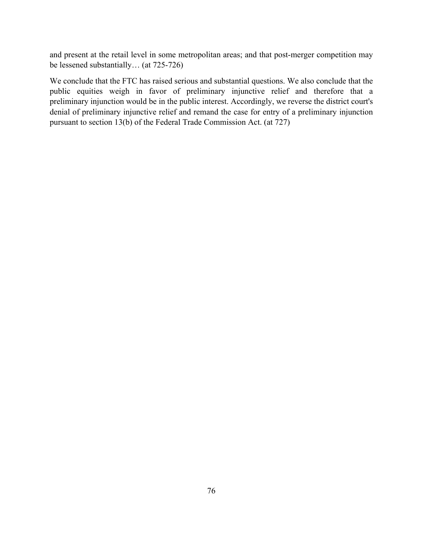and present at the retail level in some metropolitan areas; and that post-merger competition may be lessened substantially… (at 725-726)

We conclude that the FTC has raised serious and substantial questions. We also conclude that the public equities weigh in favor of preliminary injunctive relief and therefore that a preliminary injunction would be in the public interest. Accordingly, we reverse the district court's denial of preliminary injunctive relief and remand the case for entry of a preliminary injunction pursuant to section 13(b) of the Federal Trade Commission Act. (at 727)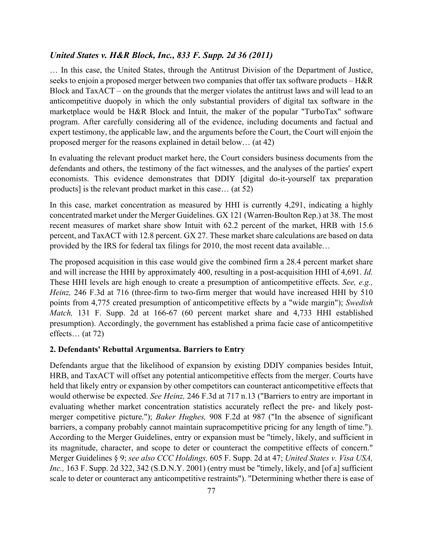## *United States v. H&R Block, Inc., 833 F. Supp. 2d 36 (2011)*

… In this case, the United States, through the Antitrust Division of the Department of Justice, seeks to enjoin a proposed merger between two companies that offer tax software products – H&R Block and TaxACT – on the grounds that the merger violates the antitrust laws and will lead to an anticompetitive duopoly in which the only substantial providers of digital tax software in the marketplace would be H&R Block and Intuit, the maker of the popular "TurboTax" software program. After carefully considering all of the evidence, including documents and factual and expert testimony, the applicable law, and the arguments before the Court, the Court will enjoin the proposed merger for the reasons explained in detail below… (at 42)

In evaluating the relevant product market here, the Court considers business documents from the defendants and others, the testimony of the fact witnesses, and the analyses of the parties' expert economists. This evidence demonstrates that DDIY [digital do-it-yourself tax preparation products] is the relevant product market in this case… (at 52)

In this case, market concentration as measured by HHI is currently 4,291, indicating a highly concentrated market under the Merger Guidelines. GX 121 (Warren-Boulton Rep.) at 38. The most recent measures of market share show Intuit with 62.2 percent of the market, HRB with 15.6 percent, and TaxACT with 12.8 percent. GX 27. These market share calculations are based on data provided by the IRS for federal tax filings for 2010, the most recent data available…

The proposed acquisition in this case would give the combined firm a 28.4 percent market share and will increase the HHI by approximately 400, resulting in a post-acquisition HHI of 4,691. *Id.* These HHI levels are high enough to create a presumption of anticompetitive effects. *See, e.g., Heinz,* 246 F.3d at 716 (three-firm to two-firm merger that would have increased HHI by 510 points from 4,775 created presumption of anticompetitive effects by a "wide margin"); *Swedish Match,* 131 F. Supp. 2d at 166-67 (60 percent market share and 4,733 HHI established presumption). Accordingly, the government has established a prima facie case of anticompetitive effects… (at 72)

## **2. Defendants' Rebuttal Argumentsa. Barriers to Entry**

Defendants argue that the likelihood of expansion by existing DDIY companies besides Intuit, HRB, and TaxACT will offset any potential anticompetitive effects from the merger. Courts have held that likely entry or expansion by other competitors can counteract anticompetitive effects that would otherwise be expected. *See Heinz,* 246 F.3d at 717 n.13 ("Barriers to entry are important in evaluating whether market concentration statistics accurately reflect the pre- and likely postmerger competitive picture."); *Baker Hughes,* 908 F.2d at 987 ("In the absence of significant barriers, a company probably cannot maintain supracompetitive pricing for any length of time."). According to the Merger Guidelines, entry or expansion must be "timely, likely, and sufficient in its magnitude, character, and scope to deter or counteract the competitive effects of concern." Merger Guidelines § 9; *see also CCC Holdings,* 605 F. Supp. 2d at 47; *United States v. Visa USA, Inc.,* 163 F. Supp. 2d 322, 342 (S.D.N.Y. 2001) (entry must be "timely, likely, and [of a] sufficient scale to deter or counteract any anticompetitive restraints"). "Determining whether there is ease of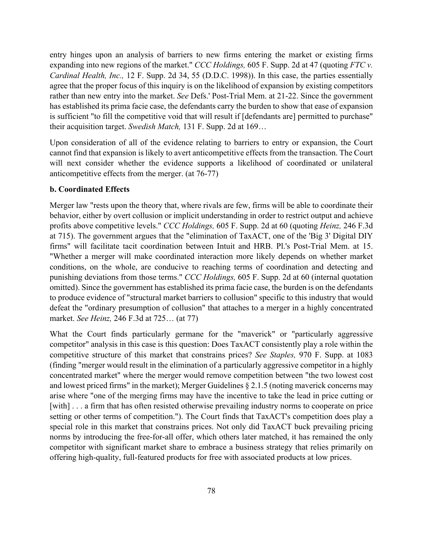entry hinges upon an analysis of barriers to new firms entering the market or existing firms expanding into new regions of the market." *CCC Holdings,* 605 F. Supp. 2d at 47 (quoting *FTC v. Cardinal Health, Inc.,* 12 F. Supp. 2d 34, 55 (D.D.C. 1998)). In this case, the parties essentially agree that the proper focus of this inquiry is on the likelihood of expansion by existing competitors rather than new entry into the market. *See* Defs.' Post-Trial Mem. at 21-22. Since the government has established its prima facie case, the defendants carry the burden to show that ease of expansion is sufficient "to fill the competitive void that will result if [defendants are] permitted to purchase" their acquisition target. *Swedish Match,* 131 F. Supp. 2d at 169…

Upon consideration of all of the evidence relating to barriers to entry or expansion, the Court cannot find that expansion is likely to avert anticompetitive effects from the transaction. The Court will next consider whether the evidence supports a likelihood of coordinated or unilateral anticompetitive effects from the merger. (at 76-77)

#### **b. Coordinated Effects**

Merger law "rests upon the theory that, where rivals are few, firms will be able to coordinate their behavior, either by overt collusion or implicit understanding in order to restrict output and achieve profits above competitive levels." *CCC Holdings,* 605 F. Supp. 2d at 60 (quoting *Heinz,* 246 F.3d at 715). The government argues that the "elimination of TaxACT, one of the 'Big 3' Digital DIY firms" will facilitate tacit coordination between Intuit and HRB. Pl.'s Post-Trial Mem. at 15. "Whether a merger will make coordinated interaction more likely depends on whether market conditions, on the whole, are conducive to reaching terms of coordination and detecting and punishing deviations from those terms." *CCC Holdings,* 605 F. Supp. 2d at 60 (internal quotation omitted). Since the government has established its prima facie case, the burden is on the defendants to produce evidence of "structural market barriers to collusion" specific to this industry that would defeat the "ordinary presumption of collusion" that attaches to a merger in a highly concentrated market. *See Heinz,* 246 F.3d at 725… (at 77)

What the Court finds particularly germane for the "maverick" or "particularly aggressive competitor" analysis in this case is this question: Does TaxACT consistently play a role within the competitive structure of this market that constrains prices? *See Staples,* 970 F. Supp. at 1083 (finding "merger would result in the elimination of a particularly aggressive competitor in a highly concentrated market" where the merger would remove competition between "the two lowest cost and lowest priced firms" in the market); Merger Guidelines § 2.1.5 (noting maverick concerns may arise where "one of the merging firms may have the incentive to take the lead in price cutting or [with] . . . a firm that has often resisted otherwise prevailing industry norms to cooperate on price setting or other terms of competition."). The Court finds that TaxACT's competition does play a special role in this market that constrains prices. Not only did TaxACT buck prevailing pricing norms by introducing the free-for-all offer, which others later matched, it has remained the only competitor with significant market share to embrace a business strategy that relies primarily on offering high-quality, full-featured products for free with associated products at low prices.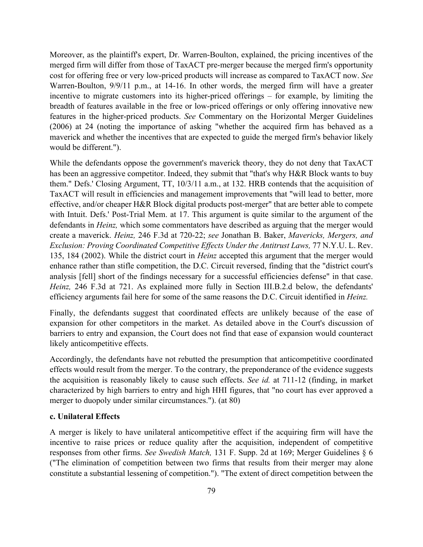Moreover, as the plaintiff's expert, Dr. Warren-Boulton, explained, the pricing incentives of the merged firm will differ from those of TaxACT pre-merger because the merged firm's opportunity cost for offering free or very low-priced products will increase as compared to TaxACT now. *See* Warren-Boulton, 9/9/11 p.m., at 14-16. In other words, the merged firm will have a greater incentive to migrate customers into its higher-priced offerings – for example, by limiting the breadth of features available in the free or low-priced offerings or only offering innovative new features in the higher-priced products. *See* Commentary on the Horizontal Merger Guidelines (2006) at 24 (noting the importance of asking "whether the acquired firm has behaved as a maverick and whether the incentives that are expected to guide the merged firm's behavior likely would be different.").

While the defendants oppose the government's maverick theory, they do not deny that TaxACT has been an aggressive competitor. Indeed, they submit that "that's why H&R Block wants to buy them." Defs.' Closing Argument, TT, 10/3/11 a.m., at 132. HRB contends that the acquisition of TaxACT will result in efficiencies and management improvements that "will lead to better, more effective, and/or cheaper H&R Block digital products post-merger" that are better able to compete with Intuit. Defs.' Post-Trial Mem. at 17. This argument is quite similar to the argument of the defendants in *Heinz,* which some commentators have described as arguing that the merger would create a maverick. *Heinz,* 246 F.3d at 720-22; *see* Jonathan B. Baker, *Mavericks, Mergers, and Exclusion: Proving Coordinated Competitive Effects Under the Antitrust Laws,* 77 N.Y.U. L. Rev. 135, 184 (2002). While the district court in *Heinz* accepted this argument that the merger would enhance rather than stifle competition, the D.C. Circuit reversed, finding that the "district court's analysis [fell] short of the findings necessary for a successful efficiencies defense" in that case. *Heinz,* 246 F.3d at 721. As explained more fully in Section III.B.2.d below, the defendants' efficiency arguments fail here for some of the same reasons the D.C. Circuit identified in *Heinz.*

Finally, the defendants suggest that coordinated effects are unlikely because of the ease of expansion for other competitors in the market. As detailed above in the Court's discussion of barriers to entry and expansion, the Court does not find that ease of expansion would counteract likely anticompetitive effects.

Accordingly, the defendants have not rebutted the presumption that anticompetitive coordinated effects would result from the merger. To the contrary, the preponderance of the evidence suggests the acquisition is reasonably likely to cause such effects. *See id.* at 711-12 (finding, in market characterized by high barriers to entry and high HHI figures, that "no court has ever approved a merger to duopoly under similar circumstances."). (at 80)

## **c. Unilateral Effects**

A merger is likely to have unilateral anticompetitive effect if the acquiring firm will have the incentive to raise prices or reduce quality after the acquisition, independent of competitive responses from other firms. *See Swedish Match,* 131 F. Supp. 2d at 169; Merger Guidelines § 6 ("The elimination of competition between two firms that results from their merger may alone constitute a substantial lessening of competition."). "The extent of direct competition between the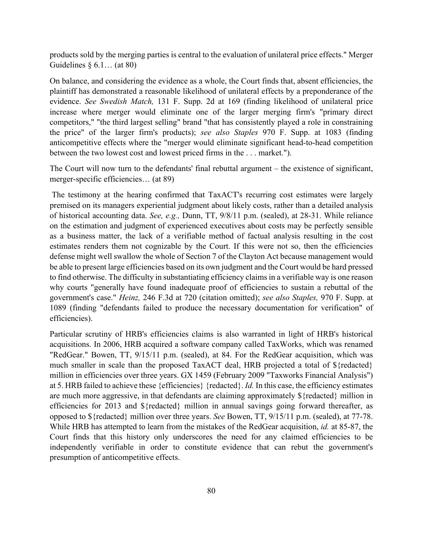products sold by the merging parties is central to the evaluation of unilateral price effects." Merger Guidelines § 6.1… (at 80)

On balance, and considering the evidence as a whole, the Court finds that, absent efficiencies, the plaintiff has demonstrated a reasonable likelihood of unilateral effects by a preponderance of the evidence. *See Swedish Match,* 131 F. Supp. 2d at 169 (finding likelihood of unilateral price increase where merger would eliminate one of the larger merging firm's "primary direct competitors," "the third largest selling" brand "that has consistently played a role in constraining the price" of the larger firm's products); *see also Staples* 970 F. Supp. at 1083 (finding anticompetitive effects where the "merger would eliminate significant head-to-head competition between the two lowest cost and lowest priced firms in the . . . market.").

The Court will now turn to the defendants' final rebuttal argument – the existence of significant, merger-specific efficiencies… (at 89)

The testimony at the hearing confirmed that TaxACT's recurring cost estimates were largely premised on its managers experiential judgment about likely costs, rather than a detailed analysis of historical accounting data. *See, e.g.,* Dunn, TT, 9/8/11 p.m. (sealed), at 28-31. While reliance on the estimation and judgment of experienced executives about costs may be perfectly sensible as a business matter, the lack of a verifiable method of factual analysis resulting in the cost estimates renders them not cognizable by the Court. If this were not so, then the efficiencies defense might well swallow the whole of Section 7 of the Clayton Act because management would be able to present large efficiencies based on its own judgment and the Court would be hard pressed to find otherwise. The difficulty in substantiating efficiency claims in a verifiable way is one reason why courts "generally have found inadequate proof of efficiencies to sustain a rebuttal of the government's case." *Heinz,* 246 F.3d at 720 (citation omitted); *see also Staples,* 970 F. Supp. at 1089 (finding "defendants failed to produce the necessary documentation for verification" of efficiencies).

Particular scrutiny of HRB's efficiencies claims is also warranted in light of HRB's historical acquisitions. In 2006, HRB acquired a software company called TaxWorks, which was renamed "RedGear." Bowen, TT, 9/15/11 p.m. (sealed), at 84. For the RedGear acquisition, which was much smaller in scale than the proposed TaxACT deal, HRB projected a total of \${redacted} million in efficiencies over three years. GX 1459 (February 2009 "Taxworks Financial Analysis") at 5. HRB failed to achieve these {efficiencies} {redacted}. *Id.* In this case, the efficiency estimates are much more aggressive, in that defendants are claiming approximately \${redacted} million in efficiencies for 2013 and \${redacted} million in annual savings going forward thereafter, as opposed to \${redacted} million over three years. *See* Bowen, TT, 9/15/11 p.m. (sealed), at 77-78. While HRB has attempted to learn from the mistakes of the RedGear acquisition, *id.* at 85-87, the Court finds that this history only underscores the need for any claimed efficiencies to be independently verifiable in order to constitute evidence that can rebut the government's presumption of anticompetitive effects.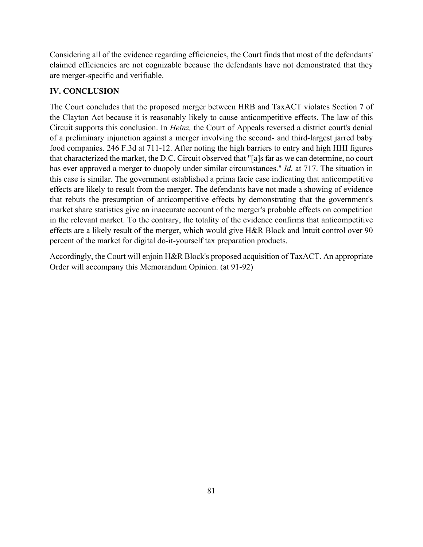Considering all of the evidence regarding efficiencies, the Court finds that most of the defendants' claimed efficiencies are not cognizable because the defendants have not demonstrated that they are merger-specific and verifiable.

# **IV. CONCLUSION**

The Court concludes that the proposed merger between HRB and TaxACT violates Section 7 of the Clayton Act because it is reasonably likely to cause anticompetitive effects. The law of this Circuit supports this conclusion. In *Heinz,* the Court of Appeals reversed a district court's denial of a preliminary injunction against a merger involving the second- and third-largest jarred baby food companies. 246 F.3d at 711-12. After noting the high barriers to entry and high HHI figures that characterized the market, the D.C. Circuit observed that "[a]s far as we can determine, no court has ever approved a merger to duopoly under similar circumstances." *Id.* at 717. The situation in this case is similar. The government established a prima facie case indicating that anticompetitive effects are likely to result from the merger. The defendants have not made a showing of evidence that rebuts the presumption of anticompetitive effects by demonstrating that the government's market share statistics give an inaccurate account of the merger's probable effects on competition in the relevant market. To the contrary, the totality of the evidence confirms that anticompetitive effects are a likely result of the merger, which would give H&R Block and Intuit control over 90 percent of the market for digital do-it-yourself tax preparation products.

Accordingly, the Court will enjoin H&R Block's proposed acquisition of TaxACT. An appropriate Order will accompany this Memorandum Opinion. (at 91-92)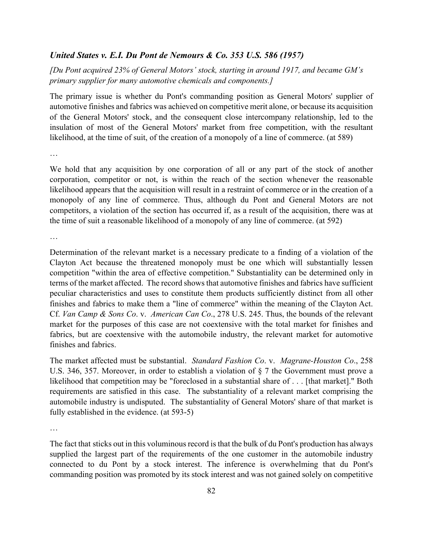## *United States v. E.I. Du Pont de Nemours & Co. 353 U.S. 586 (1957)*

*[Du Pont acquired 23% of General Motors' stock, starting in around 1917, and became GM's primary supplier for many automotive chemicals and components.]*

The primary issue is whether du Pont's commanding position as General Motors' supplier of automotive finishes and fabrics was achieved on competitive merit alone, or because its acquisition of the General Motors' stock, and the consequent close intercompany relationship, led to the insulation of most of the General Motors' market from free competition, with the resultant likelihood, at the time of suit, of the creation of a monopoly of a line of commerce. (at 589)

…

We hold that any acquisition by one corporation of all or any part of the stock of another corporation, competitor or not, is within the reach of the section whenever the reasonable likelihood appears that the acquisition will result in a restraint of commerce or in the creation of a monopoly of any line of commerce. Thus, although du Pont and General Motors are not competitors, a violation of the section has occurred if, as a result of the acquisition, there was at the time of suit a reasonable likelihood of a monopoly of any line of commerce. (at 592)

…

Determination of the relevant market is a necessary predicate to a finding of a violation of the Clayton Act because the threatened monopoly must be one which will substantially lessen competition "within the area of effective competition." Substantiality can be determined only in terms of the market affected. The record shows that automotive finishes and fabrics have sufficient peculiar characteristics and uses to constitute them products sufficiently distinct from all other finishes and fabrics to make them a "line of commerce" within the meaning of the Clayton Act. Cf. *Van Camp & Sons Co*. v. *American Can Co*., 278 U.S. 245. Thus, the bounds of the relevant market for the purposes of this case are not coextensive with the total market for finishes and fabrics, but are coextensive with the automobile industry, the relevant market for automotive finishes and fabrics.

The market affected must be substantial. *Standard Fashion Co*. v. *Magrane-Houston Co*., 258 U.S. 346, 357. Moreover, in order to establish a violation of § 7 the Government must prove a likelihood that competition may be "foreclosed in a substantial share of . . . [that market]." Both requirements are satisfied in this case. The substantiality of a relevant market comprising the automobile industry is undisputed. The substantiality of General Motors' share of that market is fully established in the evidence. (at 593-5)

…

The fact that sticks out in this voluminous record is that the bulk of du Pont's production has always supplied the largest part of the requirements of the one customer in the automobile industry connected to du Pont by a stock interest. The inference is overwhelming that du Pont's commanding position was promoted by its stock interest and was not gained solely on competitive